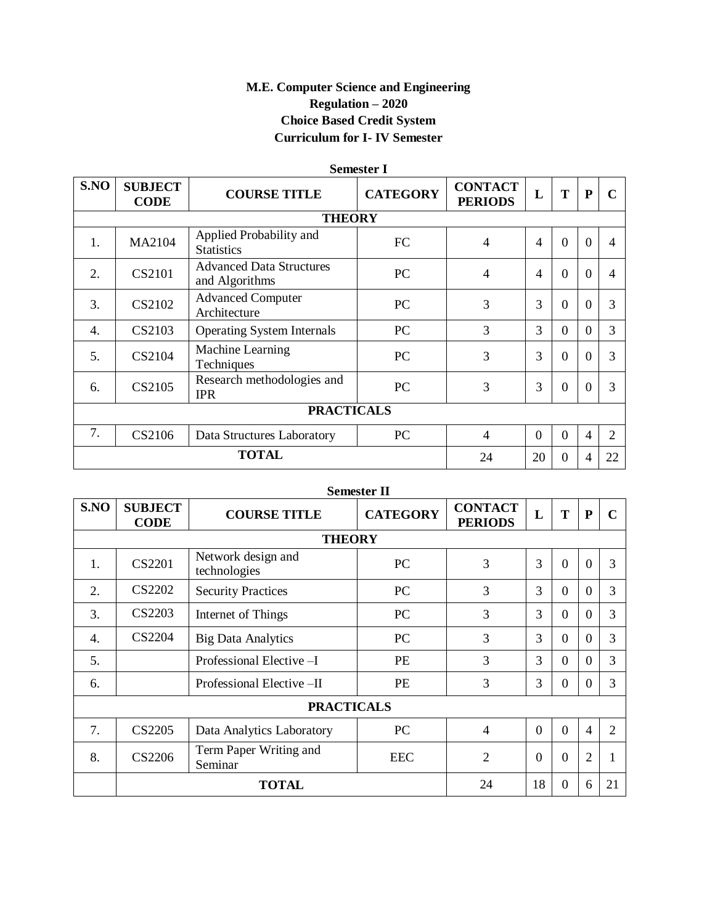# **M.E. Computer Science and Engineering Regulation – 2020 Choice Based Credit System Curriculum for I- IV Semester**

|      |                               |                                                   | рсшемен 1       |                                  |          |                |                |                |
|------|-------------------------------|---------------------------------------------------|-----------------|----------------------------------|----------|----------------|----------------|----------------|
| S.NO | <b>SUBJECT</b><br><b>CODE</b> | <b>COURSE TITLE</b>                               | <b>CATEGORY</b> | <b>CONTACT</b><br><b>PERIODS</b> | L        | T              | ${\bf P}$      | $\mathbf C$    |
|      |                               | <b>THEORY</b>                                     |                 |                                  |          |                |                |                |
| 1.   | MA2104                        | Applied Probability and<br><b>Statistics</b>      | FC              | 4                                | 4        | $\overline{0}$ | $\theta$       | $\overline{4}$ |
| 2.   | CS2101                        | <b>Advanced Data Structures</b><br>and Algorithms | PC              | $\overline{4}$                   | 4        | $\overline{0}$ | $\overline{0}$ | $\overline{4}$ |
| 3.   | CS2102                        | <b>Advanced Computer</b><br>Architecture          | PC              | 3                                | 3        | $\overline{0}$ | $\Omega$       | 3              |
| 4.   | CS2103                        | <b>Operating System Internals</b>                 | PC              | 3                                | 3        | $\theta$       | $\Omega$       | 3              |
| 5.   | CS2104                        | Machine Learning<br>Techniques                    | <b>PC</b>       | 3                                | 3        | $\theta$       | $\Omega$       | 3              |
| 6.   | CS2105                        | Research methodologies and<br><b>IPR</b>          | PC              | 3                                | 3        | $\theta$       | $\Omega$       | 3              |
|      | <b>PRACTICALS</b>             |                                                   |                 |                                  |          |                |                |                |
| 7.   | CS2106                        | Data Structures Laboratory                        | PC              | 4                                | $\Omega$ | $\theta$       | $\overline{4}$ | $\overline{2}$ |
|      |                               |                                                   | 24              | 20                               | $\Omega$ | $\overline{4}$ | 22             |                |

**Semester I**

|      | <b>Semester II</b>            |                                    |                 |                                  |          |                |                |              |
|------|-------------------------------|------------------------------------|-----------------|----------------------------------|----------|----------------|----------------|--------------|
| S.NO | <b>SUBJECT</b><br><b>CODE</b> | <b>COURSE TITLE</b>                | <b>CATEGORY</b> | <b>CONTACT</b><br><b>PERIODS</b> | L        | T              | $\mathbf{P}$   | $\mathsf{C}$ |
|      |                               | <b>THEORY</b>                      |                 |                                  |          |                |                |              |
| 1.   | CS2201                        | Network design and<br>technologies | <b>PC</b>       | 3                                | 3        | $\theta$       | $\Omega$       | 3            |
| 2.   | <b>CS2202</b>                 | <b>Security Practices</b>          | PC              | 3                                | 3        | $\theta$       | $\Omega$       | 3            |
| 3.   | CS2203                        | Internet of Things                 | <b>PC</b>       | 3                                | 3        | $\Omega$       | $\Omega$       | 3            |
| 4.   | CS2204                        | <b>Big Data Analytics</b>          | <b>PC</b>       | 3                                | 3        | $\Omega$       | $\Omega$       | 3            |
| 5.   |                               | Professional Elective -I           | <b>PE</b>       | 3                                | 3        | $\Omega$       | $\Omega$       | 3            |
| 6.   |                               | Professional Elective --II         | <b>PE</b>       | 3                                | 3        | $\overline{0}$ | $\theta$       | 3            |
|      |                               | <b>PRACTICALS</b>                  |                 |                                  |          |                |                |              |
| 7.   | CS2205                        | Data Analytics Laboratory          | <b>PC</b>       | $\overline{4}$                   | $\Omega$ | $\theta$       | $\overline{4}$ | 2            |
| 8.   | CS2206                        | Term Paper Writing and<br>Seminar  | <b>EEC</b>      | $\overline{c}$                   | $\Omega$ | $\theta$       | $\overline{2}$ |              |
|      |                               | 24                                 | 18              | $\overline{0}$                   | 6        | 21             |                |              |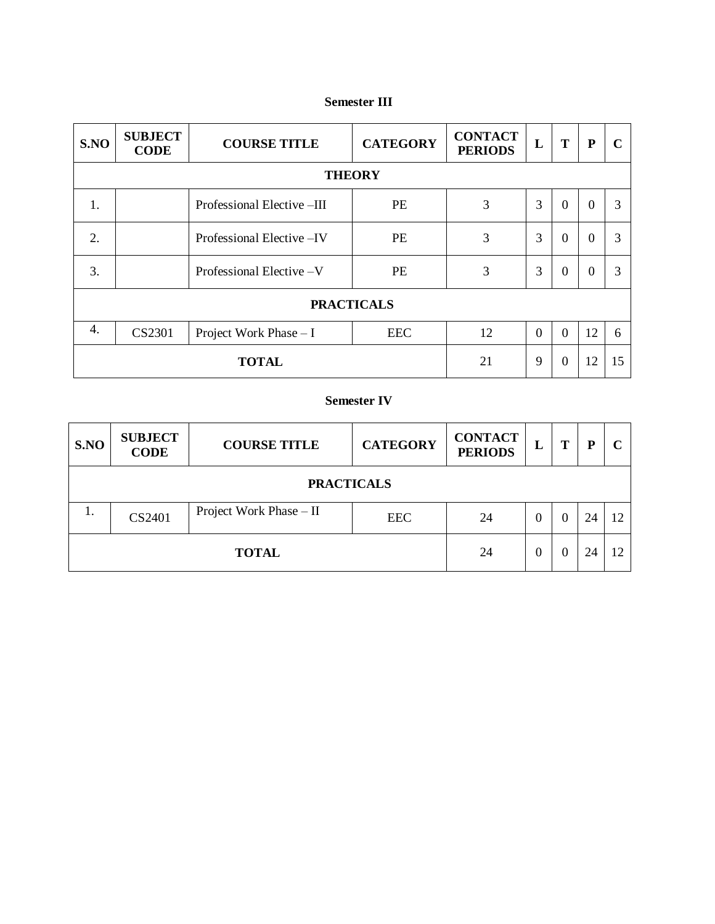| S.NO             | <b>SUBJECT</b><br><b>CODE</b> | <b>COURSE TITLE</b>                   | <b>CATEGORY</b> | <b>CONTACT</b><br><b>PERIODS</b> | L              | T              | ${\bf P}$      | C |
|------------------|-------------------------------|---------------------------------------|-----------------|----------------------------------|----------------|----------------|----------------|---|
|                  | <b>THEORY</b>                 |                                       |                 |                                  |                |                |                |   |
| 1.               |                               | Professional Elective -III            | PE              | 3                                | 3              | $\Omega$       | $\overline{0}$ | 3 |
| 2.               |                               | Professional Elective –IV             | <b>PE</b>       | 3                                | 3              | $\Omega$       | $\Omega$       | 3 |
| 3.               |                               | Professional Elective -V<br><b>PE</b> |                 | 3                                | $\overline{3}$ | $\Omega$       | $\Omega$       | 3 |
|                  | <b>PRACTICALS</b>             |                                       |                 |                                  |                |                |                |   |
| $\overline{4}$ . | CS2301                        | Project Work Phase $- I$              | <b>EEC</b>      | 12                               | $\overline{0}$ | $\overline{0}$ | 12             | 6 |
|                  |                               | 21                                    | 9               | $\Omega$                         | 12             | 15             |                |   |

# **Semester III**

# **Semester IV**

| S.NO | <b>SUBJECT</b><br><b>CODE</b>                   | <b>COURSE TITLE</b>     | <b>CATEGORY</b> | <b>CONTACT</b><br><b>PERIODS</b> | L        | m | D  |    |
|------|-------------------------------------------------|-------------------------|-----------------|----------------------------------|----------|---|----|----|
|      | <b>PRACTICALS</b>                               |                         |                 |                                  |          |   |    |    |
| 1.   | CS2401                                          | Project Work Phase - II | <b>EEC</b>      | 24                               | $\Omega$ |   | 24 | 12 |
|      | 24<br><b>TOTAL</b><br>$\theta$<br>12<br>24<br>0 |                         |                 |                                  |          |   |    |    |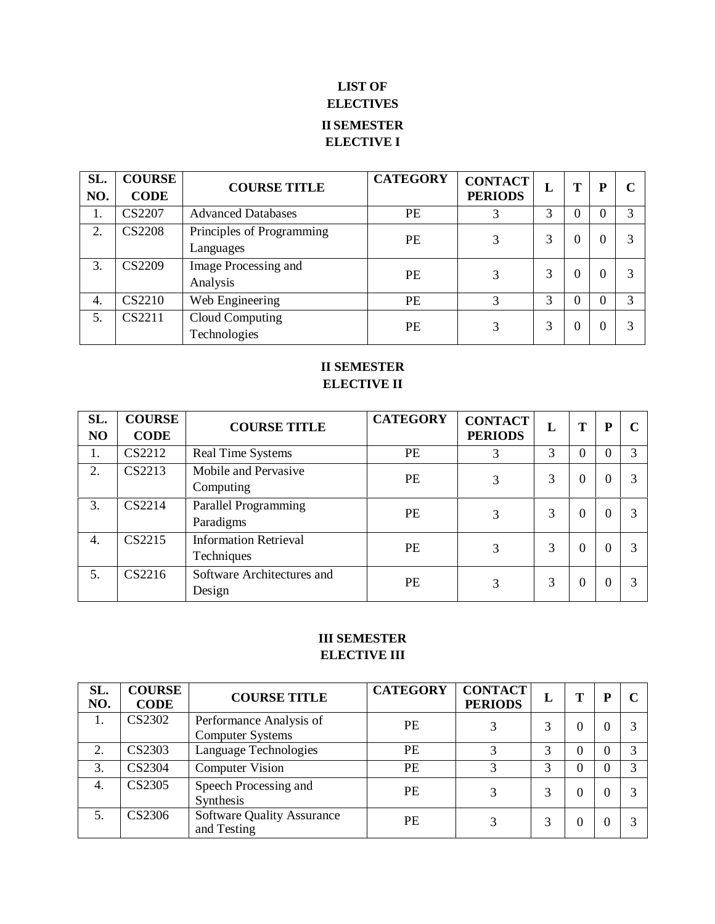# **LIST OF ELECTIVES II SEMESTER ELECTIVE I**

| SL.<br>NO. | <b>COURSE</b><br><b>CODE</b> | <b>COURSE TITLE</b>                    | <b>CATEGORY</b> | <b>CONTACT</b><br><b>PERIODS</b> | L | Т        | D        |   |
|------------|------------------------------|----------------------------------------|-----------------|----------------------------------|---|----------|----------|---|
| 1.         | <b>CS2207</b>                | <b>Advanced Databases</b>              | PE              | 3                                | 3 | $\Omega$ |          | 3 |
| 2.         | <b>CS2208</b>                | Principles of Programming<br>Languages | <b>PE</b>       |                                  | 3 | $\theta$ |          |   |
| 3.         | CS2209                       | Image Processing and<br>Analysis       | <b>PE</b>       |                                  |   | O        | $\theta$ |   |
| 4.         | CS2210                       | Web Engineering                        | <b>PE</b>       | 3                                | 3 |          |          | 3 |
| 5.         | CS2211                       | <b>Cloud Computing</b><br>Technologies | <b>PE</b>       |                                  | 3 | O        |          | 3 |

# **II SEMESTER ELECTIVE II**

| SL.<br>N <sub>O</sub> | <b>COURSE</b><br><b>CODE</b> | <b>COURSE TITLE</b>                        | <b>CATEGORY</b> | <b>CONTACT</b><br><b>PERIODS</b> | L | Т        | P        | $\mathbf C$ |
|-----------------------|------------------------------|--------------------------------------------|-----------------|----------------------------------|---|----------|----------|-------------|
| 1.                    | CS2212                       | <b>Real Time Systems</b>                   | <b>PE</b>       | 3                                | 3 | 0        | 0        | 3           |
| 2.                    | CS2213                       | Mobile and Pervasive<br>Computing          | <b>PE</b>       | 3                                | 3 | 0        | $\theta$ | 3           |
| 3.                    | CS2214                       | <b>Parallel Programming</b><br>Paradigms   | <b>PE</b>       | 3                                | 3 | $\theta$ | $\theta$ | 3           |
| 4.                    | CS2215                       | <b>Information Retrieval</b><br>Techniques | <b>PE</b>       | 3                                | 3 | 0        | 0        | 3           |
| 5.                    | CS2216                       | Software Architectures and<br>Design       | <b>PE</b>       | 3                                | 3 | $\theta$ | 0        | 3           |

# **III SEMESTER ELECTIVE III**

| SL.<br>NO. | <b>COURSE</b><br><b>CODE</b> | <b>COURSE TITLE</b>                                | <b>CATEGORY</b><br><b>CONTACT</b><br><b>PERIODS</b> |   | L | m |   |  |
|------------|------------------------------|----------------------------------------------------|-----------------------------------------------------|---|---|---|---|--|
|            | <b>CS2302</b>                | Performance Analysis of<br><b>Computer Systems</b> | <b>PE</b>                                           | 3 | 3 |   | 0 |  |
| 2.         | CS2303                       | Language Technologies                              | PE                                                  | 3 | 3 |   | 0 |  |
| 3.         | CS2304                       | <b>Computer Vision</b>                             | PE<br>3                                             |   | 3 |   | 0 |  |
| 4.         | CS2305                       | Speech Processing and<br>Synthesis                 | PE                                                  |   | 3 |   | 0 |  |
|            | CS2306                       | <b>Software Quality Assurance</b><br>and Testing   | PE                                                  |   | 3 |   | 0 |  |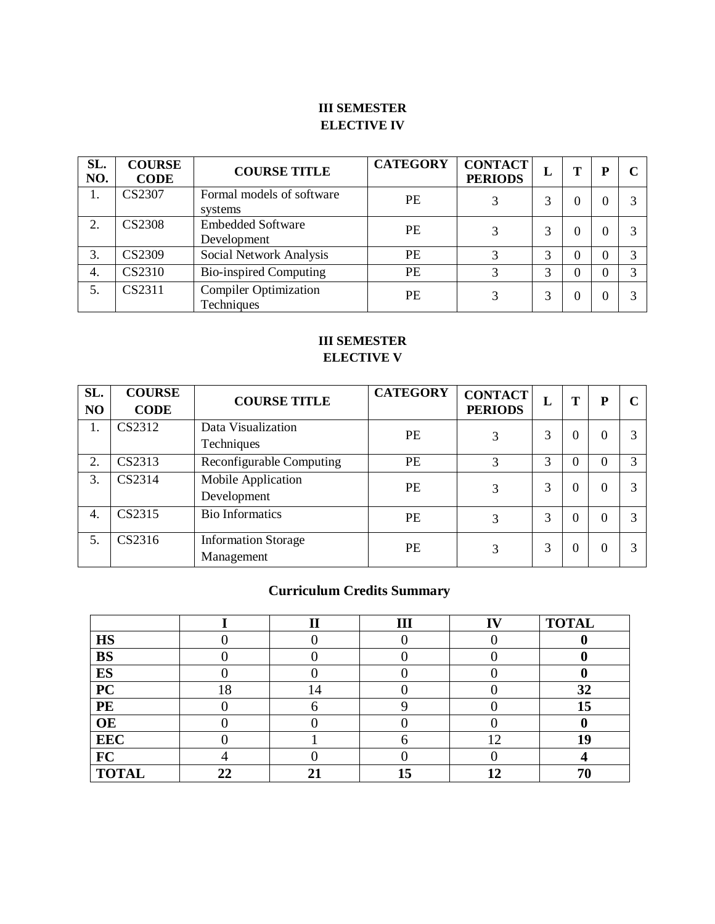# **III SEMESTER ELECTIVE IV**

| SL.<br>NO. | <b>COURSE</b><br><b>CODE</b> | <b>COURSE TITLE</b>                        | <b>CATEGORY</b> | <b>CONTACT</b><br><b>PERIODS</b> | ⊥ | т        |          |  |
|------------|------------------------------|--------------------------------------------|-----------------|----------------------------------|---|----------|----------|--|
| 1.         | CS2307                       | Formal models of software<br>systems       | <b>PE</b>       |                                  |   |          |          |  |
| 2.         | CS2308                       | <b>Embedded Software</b><br>Development    | <b>PE</b>       | 3                                | 3 | $\theta$ |          |  |
| 3.         | CS2309                       | Social Network Analysis                    | <b>PE</b>       |                                  | 3 | 0        | $\theta$ |  |
| 4.         | CS2310                       | <b>Bio-inspired Computing</b>              | PE              | 2                                | 3 |          |          |  |
| 5.         | CS2311                       | <b>Compiler Optimization</b><br>Techniques | <b>PE</b>       |                                  | 3 |          |          |  |

# **III SEMESTER ELECTIVE V**

| SL.<br>NO | <b>COURSE</b><br><b>CODE</b> | <b>COURSE TITLE</b>                      | <b>CATEGORY</b> | <b>CONTACT</b><br><b>PERIODS</b> | L | т | Р |   |
|-----------|------------------------------|------------------------------------------|-----------------|----------------------------------|---|---|---|---|
| 1.        | CS2312                       | Data Visualization<br>Techniques         | PE              | 3                                | 3 |   | 0 |   |
| 2.        | CS2313                       | Reconfigurable Computing                 | PЕ              | 3                                | 3 |   |   | 3 |
| 3.        | CS2314                       | Mobile Application<br>Development        | <b>PE</b>       | 3                                | 3 |   | 0 | 3 |
| 4.        | CS2315                       | <b>Bio Informatics</b>                   | <b>PE</b>       | 3                                | 3 |   | 0 | 3 |
| 5.        | CS2316                       | <b>Information Storage</b><br>Management | PЕ              | 3                                | 3 |   | 0 | 3 |

# **Curriculum Credits Summary**

|              |    | $\mathbf{I}$ | III | IV | <b>TOTAL</b> |
|--------------|----|--------------|-----|----|--------------|
| <b>HS</b>    |    |              |     |    |              |
| <b>BS</b>    |    |              |     |    |              |
| <b>ES</b>    |    |              |     |    |              |
| PC           | 18 | 4            |     |    | 32           |
| PE           |    |              |     |    | 15           |
| <b>OE</b>    |    |              |     |    |              |
| <b>EEC</b>   |    |              |     | 12 | 19           |
| FC           |    |              |     |    |              |
| <b>TOTAL</b> | 22 |              | 15  | 12 | 70           |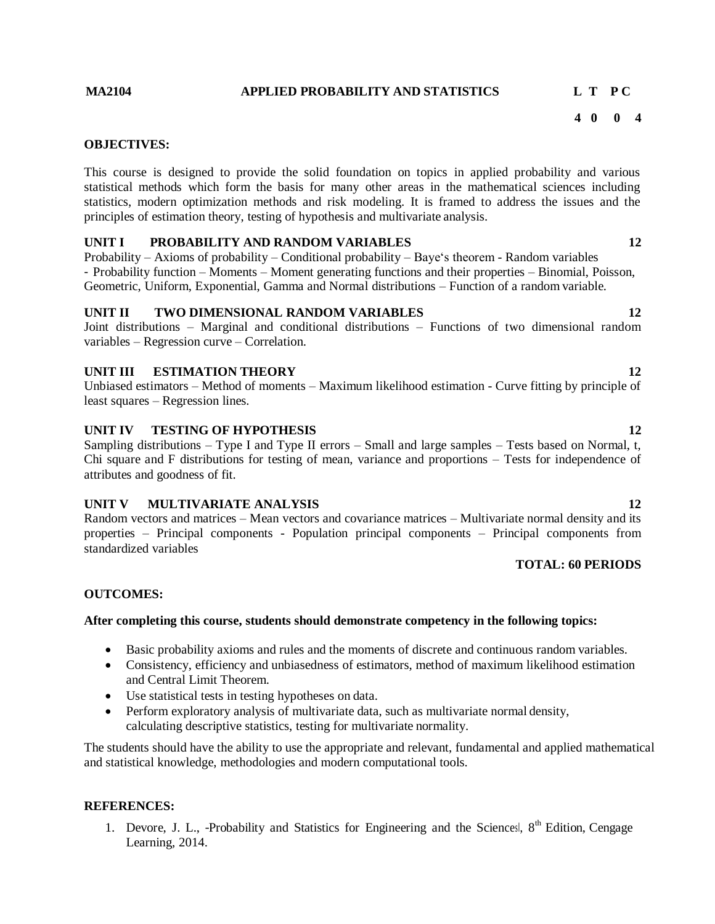#### **MA2104 APPLIED PROBABILITY AND STATISTICS L T P C**

**4 0 0 4**

#### **OBJECTIVES:**

This course is designed to provide the solid foundation on topics in applied probability and various statistical methods which form the basis for many other areas in the mathematical sciences including statistics, modern optimization methods and risk modeling. It is framed to address the issues and the principles of estimation theory, testing of hypothesis and multivariate analysis.

#### **UNIT I PROBABILITY AND RANDOM VARIABLES 12**

Probability – Axioms of probability – Conditional probability – Baye's theorem - Random variables - Probability function – Moments – Moment generating functions and their properties – Binomial, Poisson, Geometric, Uniform, Exponential, Gamma and Normal distributions – Function of a random variable.

# **UNIT II TWO DIMENSIONAL RANDOM VARIABLES 12**

Joint distributions – Marginal and conditional distributions – Functions of two dimensional random variables – Regression curve – Correlation.

### **UNIT III ESTIMATION THEORY 12**

Unbiased estimators – Method of moments – Maximum likelihood estimation - Curve fitting by principle of least squares – Regression lines.

### **UNIT IV TESTING OF HYPOTHESIS 12**

Sampling distributions – Type I and Type II errors – Small and large samples – Tests based on Normal, t, Chi square and F distributions for testing of mean, variance and proportions – Tests for independence of attributes and goodness of fit.

### **UNIT V MULTIVARIATE ANALYSIS 12**

Random vectors and matrices – Mean vectors and covariance matrices – Multivariate normal density and its properties – Principal components - Population principal components – Principal components from standardized variables

# **TOTAL: 60 PERIODS**

### **OUTCOMES:**

#### **After completing this course, students should demonstrate competency in the following topics:**

- Basic probability axioms and rules and the moments of discrete and continuous random variables.
- Consistency, efficiency and unbiasedness of estimators, method of maximum likelihood estimation and Central Limit Theorem.
- Use statistical tests in testing hypotheses on data.
- Perform exploratory analysis of multivariate data, such as multivariate normal density, calculating descriptive statistics, testing for multivariate normality.

The students should have the ability to use the appropriate and relevant, fundamental and applied mathematical and statistical knowledge, methodologies and modern computational tools.

#### **REFERENCES:**

1. Devore, J. L., -Probability and Statistics for Engineering and the Sciences<sup>, 8th</sup> Edition, Cengage Learning, 2014.

| ٦           |
|-------------|
| ٠<br>I<br>i |
|             |
|             |
|             |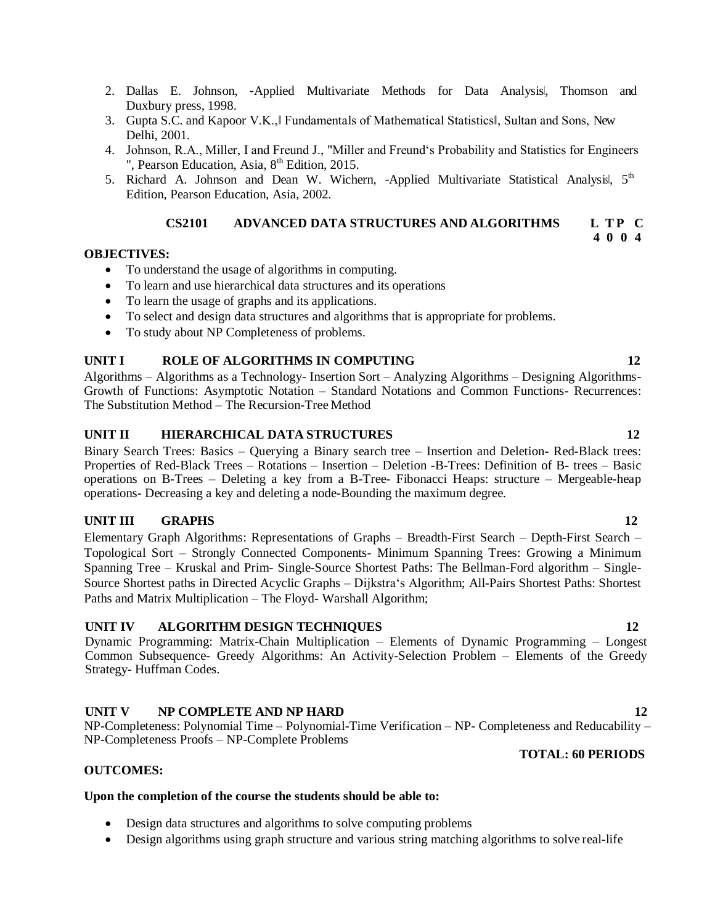- 2. Dallas E. Johnson, -Applied Multivariate Methods for Data Analysis, Thomson and Duxbury press, 1998.
- 3. Gupta S.C. and Kapoor V.K., Fundamentals of Mathematical Statistics I, Sultan and Sons, New Delhi, 2001.
- 4. Johnson, R.A., Miller, I and Freund J., "Miller and Freund's Probability and Statistics for Engineers ", Pearson Education, Asia,  $8<sup>th</sup>$  Edition, 2015.
- 5. Richard A. Johnson and Dean W. Wichern, -Applied Multivariate Statistical Analysis,  $5<sup>th</sup>$ Edition, Pearson Education, Asia, 2002.

#### **CS2101 ADVANCED DATA STRUCTURES AND ALGORITHMS L T P C 4 0 0 4**

### **OBJECTIVES:**

- To understand the usage of algorithms in computing.
- To learn and use hierarchical data structures and its operations
- To learn the usage of graphs and its applications.
- To select and design data structures and algorithms that is appropriate for problems.
- To study about NP Completeness of problems.

#### **UNIT I ROLE OF ALGORITHMS IN COMPUTING 12**

Algorithms – Algorithms as a Technology- Insertion Sort – Analyzing Algorithms – Designing Algorithms-Growth of Functions: Asymptotic Notation – Standard Notations and Common Functions- Recurrences: The Substitution Method – The Recursion-Tree Method

#### **UNIT II HIERARCHICAL DATA STRUCTURES 12**

Binary Search Trees: Basics – Querying a Binary search tree – Insertion and Deletion- Red-Black trees: Properties of Red-Black Trees – Rotations – Insertion – Deletion -B-Trees: Definition of B- trees – Basic operations on B-Trees – Deleting a key from a B-Tree- Fibonacci Heaps: structure – Mergeable-heap operations- Decreasing a key and deleting a node-Bounding the maximum degree.

#### **UNIT III GRAPHS 12**

Elementary Graph Algorithms: Representations of Graphs – Breadth-First Search – Depth-First Search – Topological Sort – Strongly Connected Components- Minimum Spanning Trees: Growing a Minimum Spanning Tree – Kruskal and Prim- Single-Source Shortest Paths: The Bellman-Ford algorithm – Single-Source Shortest paths in Directed Acyclic Graphs – Dijkstra's Algorithm; All-Pairs Shortest Paths: Shortest Paths and Matrix Multiplication – The Floyd- Warshall Algorithm;

### **UNIT IV ALGORITHM DESIGN TECHNIQUES 12**

Dynamic Programming: Matrix-Chain Multiplication – Elements of Dynamic Programming – Longest Common Subsequence- Greedy Algorithms: An Activity-Selection Problem – Elements of the Greedy Strategy- Huffman Codes.

### **UNIT V NP COMPLETE AND NP HARD 12**

NP-Completeness: Polynomial Time – Polynomial-Time Verification – NP- Completeness and Reducability – NP-Completeness Proofs – NP-Complete Problems

#### **TOTAL: 60 PERIODS**

#### **OUTCOMES:**

#### **Upon the completion of the course the students should be able to:**

- Design data structures and algorithms to solve computing problems
- Design algorithms using graph structure and various string matching algorithms to solve real-life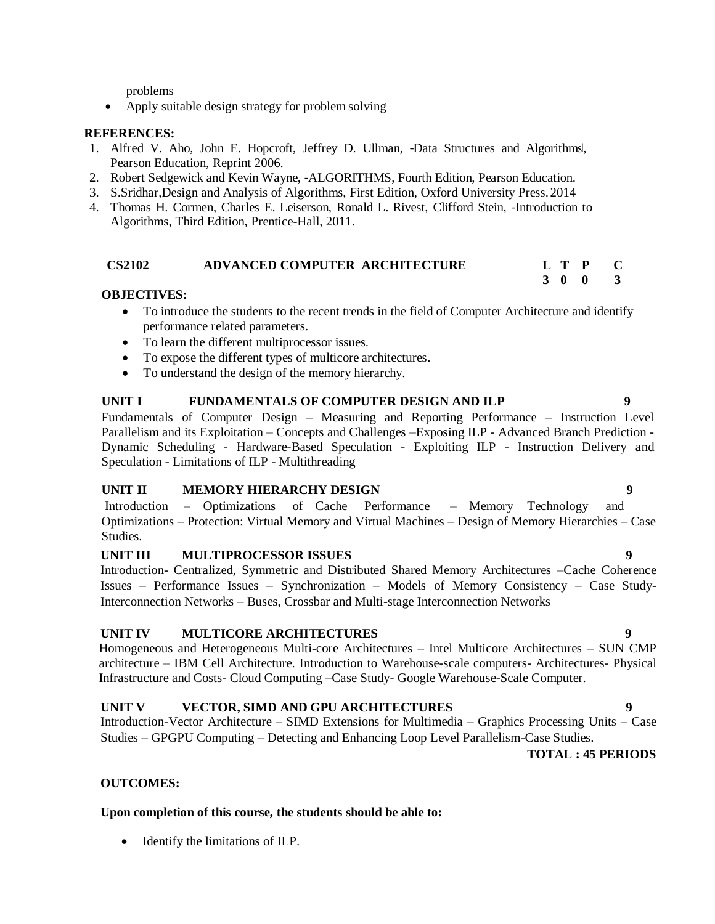problems

• Apply suitable design strategy for problem solving

### **REFERENCES:**

- 1. Alfred V. Aho, John E. Hopcroft, Jeffrey D. Ullman, -Data Structures and Algorithms, Pearson Education, Reprint 2006.
- 2. Robert Sedgewick and Kevin Wayne, ―ALGORITHMS, Fourth Edition, Pearson Education.
- 3. S.Sridhar,Design and Analysis of Algorithms, First Edition, Oxford University Press.2014
- 4. Thomas H. Cormen, Charles E. Leiserson, Ronald L. Rivest, Clifford Stein, -Introduction to Algorithms, Third Edition, Prentice-Hall, 2011.

#### **CS2102 ADVANCED COMPUTER ARCHITECTURE L T P C 3 0 0 3**

## **OBJECTIVES:**

- To introduce the students to the recent trends in the field of Computer Architecture and identify performance related parameters.
- To learn the different multiprocessor issues.
- To expose the different types of multicore architectures.
- To understand the design of the memory hierarchy.

### **UNIT I FUNDAMENTALS OF COMPUTER DESIGN AND ILP 9**

Fundamentals of Computer Design – Measuring and Reporting Performance – Instruction Level Parallelism and its Exploitation – Concepts and Challenges –Exposing ILP - Advanced Branch Prediction - Dynamic Scheduling - Hardware-Based Speculation - Exploiting ILP - Instruction Delivery and Speculation - Limitations of ILP - Multithreading

#### **UNIT II MEMORY HIERARCHY DESIGN 9**

Introduction – Optimizations of Cache Performance – Memory Technology and Optimizations – Protection: Virtual Memory and Virtual Machines – Design of Memory Hierarchies – Case Studies.

#### **UNIT III MULTIPROCESSOR ISSUES 9**

Introduction- Centralized, Symmetric and Distributed Shared Memory Architectures –Cache Coherence Issues – Performance Issues – Synchronization – Models of Memory Consistency – Case Study-Interconnection Networks – Buses, Crossbar and Multi-stage Interconnection Networks

### **UNIT IV MULTICORE ARCHITECTURES 9**

Homogeneous and Heterogeneous Multi-core Architectures – Intel Multicore Architectures – SUN CMP architecture – IBM Cell Architecture. Introduction to Warehouse-scale computers- Architectures- Physical Infrastructure and Costs- Cloud Computing –Case Study- Google Warehouse-Scale Computer.

### **UNIT V VECTOR, SIMD AND GPU ARCHITECTURES 9**

Introduction-Vector Architecture – SIMD Extensions for Multimedia – Graphics Processing Units – Case Studies – GPGPU Computing – Detecting and Enhancing Loop Level Parallelism-Case Studies.

#### **TOTAL : 45 PERIODS**

### **OUTCOMES:**

### **Upon completion of this course, the students should be able to:**

Identify the limitations of ILP.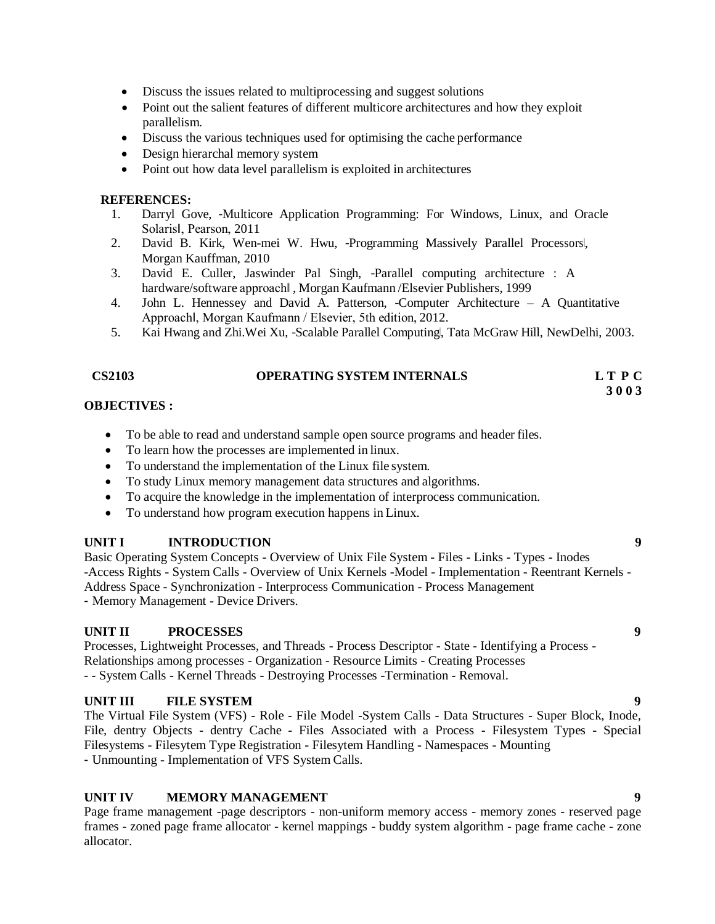- Discuss the issues related to multiprocessing and suggest solutions
- Point out the salient features of different multicore architectures and how they exploit parallelism.
- Discuss the various techniques used for optimising the cache performance
- Design hierarchal memory system
- Point out how data level parallelism is exploited in architectures

#### **REFERENCES:**

- 1. Darryl Gove, ―Multicore Application Programming: For Windows, Linux, and Oracle Solaris‖, Pearson, 2011
- 2. David B. Kirk, Wen-mei W. Hwu, -Programming Massively Parallel Processors, Morgan Kauffman, 2010
- 3. David E. Culler, Jaswinder Pal Singh, ―Parallel computing architecture : A hardware/software approach‖ , Morgan Kaufmann /Elsevier Publishers, 1999
- 4. John L. Hennessey and David A. Patterson, ―Computer Architecture A Quantitative Approach‖, Morgan Kaufmann / Elsevier, 5th edition, 2012.
- 5. Kai Hwang and Zhi.Wei Xu, -Scalable Parallel Computing, Tata McGraw Hill, NewDelhi, 2003.

**3 0 0 3**

#### **OBJECTIVES :**

- To be able to read and understand sample open source programs and header files.
- To learn how the processes are implemented in linux.
- To understand the implementation of the Linux file system.
- To study Linux memory management data structures and algorithms.
- To acquire the knowledge in the implementation of interprocess communication.
- To understand how program execution happens in Linux.

### **UNIT I INTRODUCTION 9**

Basic Operating System Concepts - Overview of Unix File System - Files - Links - Types - Inodes -Access Rights - System Calls - Overview of Unix Kernels -Model - Implementation - Reentrant Kernels - Address Space - Synchronization - Interprocess Communication - Process Management - Memory Management - Device Drivers.

### **UNIT II PROCESSES 9**

Processes, Lightweight Processes, and Threads - Process Descriptor - State - Identifying a Process - Relationships among processes - Organization - Resource Limits - Creating Processes - - System Calls - Kernel Threads - Destroying Processes -Termination - Removal.

### **UNIT III FILE SYSTEM 9**

The Virtual File System (VFS) - Role - File Model -System Calls - Data Structures - Super Block, Inode, File, dentry Objects - dentry Cache - Files Associated with a Process - Filesystem Types - Special Filesystems - Filesytem Type Registration - Filesytem Handling - Namespaces - Mounting - Unmounting - Implementation of VFS System Calls.

#### **UNIT IV MEMORY MANAGEMENT 9**

Page frame management -page descriptors - non-uniform memory access - memory zones - reserved page frames - zoned page frame allocator - kernel mappings - buddy system algorithm - page frame cache - zone allocator.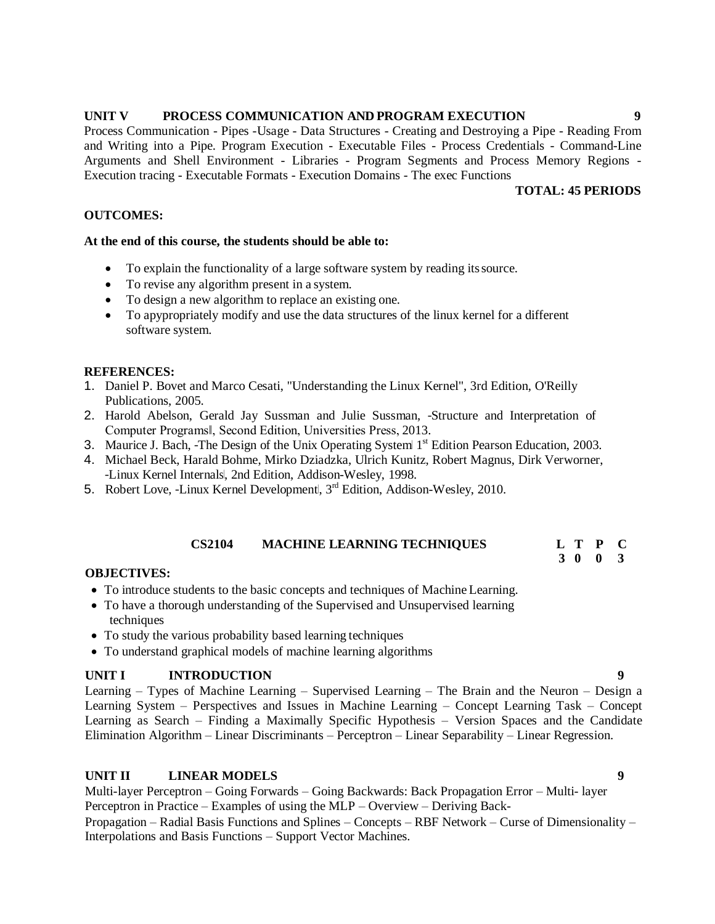# **UNIT V PROCESS COMMUNICATION AND PROGRAM EXECUTION 9**

Process Communication - Pipes -Usage - Data Structures - Creating and Destroying a Pipe - Reading From and Writing into a Pipe. Program Execution - Executable Files - Process Credentials - Command-Line Arguments and Shell Environment - Libraries - Program Segments and Process Memory Regions - Execution tracing - Executable Formats - Execution Domains - The exec Functions

# **TOTAL: 45 PERIODS**

#### **OUTCOMES:**

#### **At the end of this course, the students should be able to:**

- To explain the functionality of a large software system by reading itssource.
- To revise any algorithm present in a system.
- To design a new algorithm to replace an existing one.
- To apypropriately modify and use the data structures of the linux kernel for a different software system.

#### **REFERENCES:**

- 1. Daniel P. Bovet and Marco Cesati, "Understanding the Linux Kernel", 3rd Edition, O'Reilly Publications, 2005.
- 2. [Harold Abelson,](https://mitpress.mit.edu/authors/harold-abelson) [Gerald Jay Sussman](https://mitpress.mit.edu/authors/gerald-jay-sussman) and [Julie Sussman,](https://mitpress.mit.edu/authors/julie-sussman) -Structure and Interpretation of Computer Programs‖, Second Edition, Universities Press, 2013.
- 3. Maurice J. Bach, -The Design of the Unix Operating System 1<sup>st</sup> Edition Pearson Education, 2003.
- 4. Michael Beck, Harald Bohme, Mirko Dziadzka, Ulrich Kunitz, Robert Magnus, Dirk Verworner, -Linux Kernel Internals, 2nd Edition, Addison-Wesley, 1998.
- 5. [Robert](http://www.goodreads.com/author/show/13609144.Robert_Love) Love, -Linux Kernel Development,  $3<sup>rd</sup>$  Edition, Addison-Wesley, 2010.

#### **CS2104 MACHINE LEARNING TECHNIQUES L T P C**

#### **OBJECTIVES:**

- To introduce students to the basic concepts and techniques of Machine Learning.
- To have a thorough understanding of the Supervised and Unsupervised learning techniques
- To study the various probability based learning techniques
- To understand graphical models of machine learning algorithms

# **UNIT I INTRODUCTION 9**

Learning – Types of Machine Learning – Supervised Learning – The Brain and the Neuron – Design a Learning System – Perspectives and Issues in Machine Learning – Concept Learning Task – Concept Learning as Search – Finding a Maximally Specific Hypothesis – Version Spaces and the Candidate Elimination Algorithm – Linear Discriminants – Perceptron – Linear Separability – Linear Regression.

#### **UNIT II LINEAR MODELS 9**

Multi-layer Perceptron – Going Forwards – Going Backwards: Back Propagation Error – Multi- layer Perceptron in Practice – Examples of using the MLP – Overview – Deriving Back-Propagation – Radial Basis Functions and Splines – Concepts – RBF Network – Curse of Dimensionality – Interpolations and Basis Functions – Support Vector Machines.

**3 0 0 3**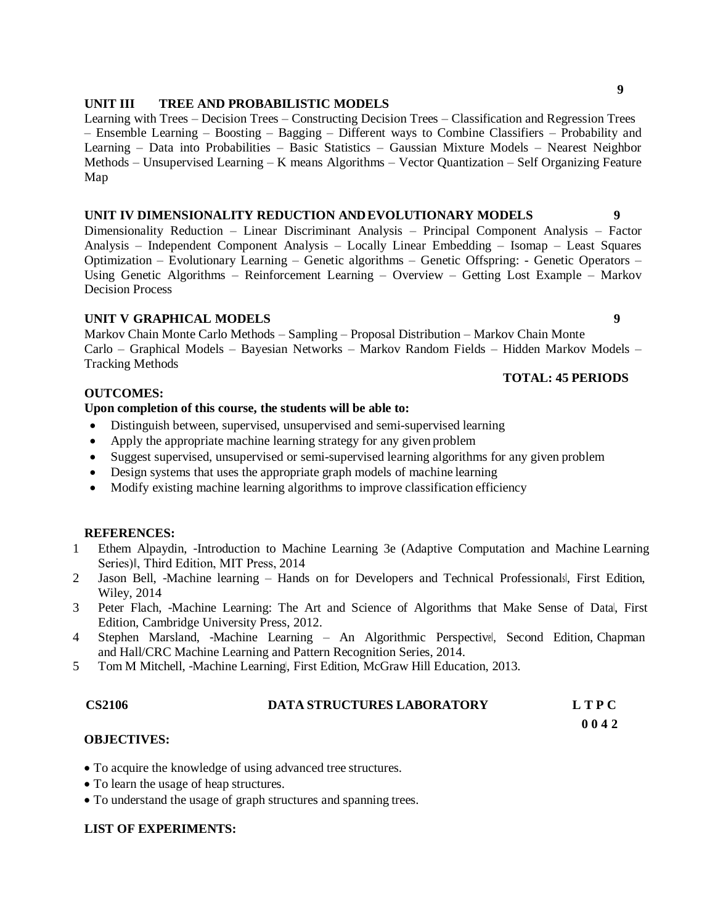#### **UNIT III TREE AND PROBABILISTIC MODELS**

Learning with Trees – Decision Trees – Constructing Decision Trees – Classification and Regression Trees – Ensemble Learning – Boosting – Bagging – Different ways to Combine Classifiers – Probability and Learning – Data into Probabilities – Basic Statistics – Gaussian Mixture Models – Nearest Neighbor Methods – Unsupervised Learning – K means Algorithms – Vector Quantization – Self Organizing Feature Map

### **UNIT IV DIMENSIONALITY REDUCTION ANDEVOLUTIONARY MODELS 9**

Dimensionality Reduction – Linear Discriminant Analysis – Principal Component Analysis – Factor Analysis – Independent Component Analysis – Locally Linear Embedding – Isomap – Least Squares Optimization – Evolutionary Learning – Genetic algorithms – Genetic Offspring: - Genetic Operators – Using Genetic Algorithms – Reinforcement Learning – Overview – Getting Lost Example – Markov Decision Process

#### **UNIT V GRAPHICAL MODELS 9**

Markov Chain Monte Carlo Methods – Sampling – Proposal Distribution – Markov Chain Monte Carlo – Graphical Models – Bayesian Networks – Markov Random Fields – Hidden Markov Models – Tracking Methods **TOTAL: 45 PERIODS**

#### **OUTCOMES:**

#### **Upon completion of this course, the students will be able to:**

- Distinguish between, supervised, unsupervised and semi-supervised learning
- Apply the appropriate machine learning strategy for any given problem
- Suggest supervised, unsupervised or semi-supervised learning algorithms for any given problem
- Design systems that uses the appropriate graph models of machine learning
- Modify existing machine learning algorithms to improve classification efficiency

#### **REFERENCES:**

- 1 Ethem Alpaydin, ―Introduction to Machine Learning 3e (Adaptive Computation and Machine Learning Series)‖, Third Edition, MIT Press, 2014
- 2 Jason Bell, -Machine learning Hands on for Developers and Technical Professionals, First Edition, Wiley, 2014
- 3 Peter Flach, -Machine Learning: The Art and Science of Algorithms that Make Sense of Datal, First Edition, Cambridge University Press, 2012.
- 4 Stephen Marsland, -Machine Learning An Algorithmic Perspectivel, Second Edition, Chapman and Hall/CRC Machine Learning and Pattern Recognition Series, 2014.
- 5 Tom M Mitchell, -Machine Learning, First Edition, McGraw Hill Education, 2013.

| <b>CS2106</b> | <b>DATA STRUCTURES LABORATORY</b> | <b>LTPC</b> |
|---------------|-----------------------------------|-------------|
|               |                                   |             |

**0 0 4 2**

### **OBJECTIVES:**

- To acquire the knowledge of using advanced tree structures.
- To learn the usage of heap structures.
- To understand the usage of graph structures and spanning trees.

#### **LIST OF EXPERIMENTS:**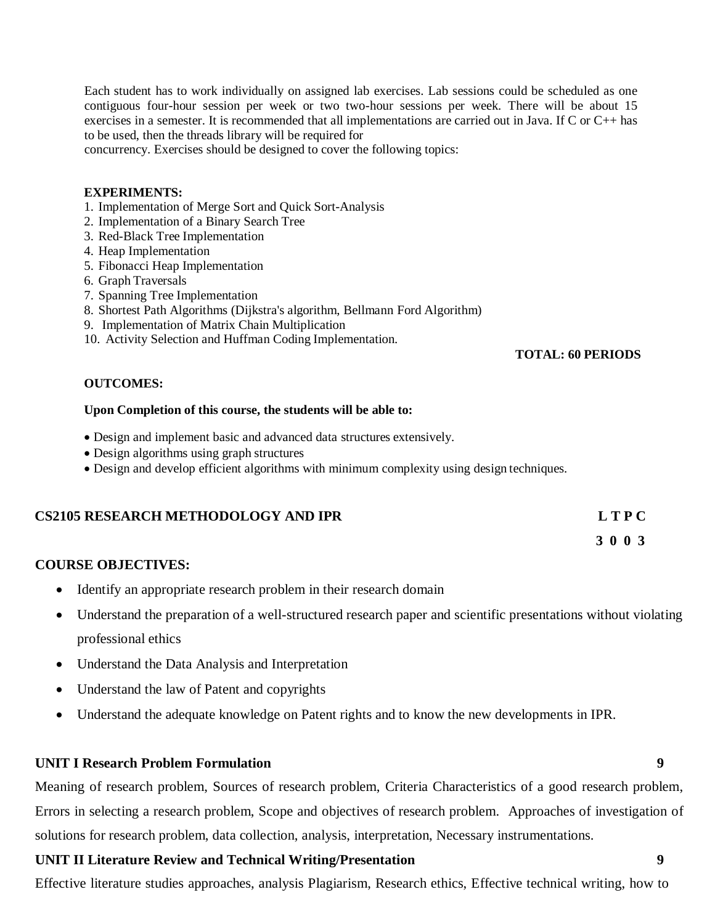Each student has to work individually on assigned lab exercises. Lab sessions could be scheduled as one contiguous four-hour session per week or two two-hour sessions per week. There will be about 15 exercises in a semester. It is recommended that all implementations are carried out in Java. If C or C++ has to be used, then the threads library will be required for

concurrency. Exercises should be designed to cover the following topics:

#### **EXPERIMENTS:**

- 1. Implementation of Merge Sort and Quick Sort-Analysis
- 2. Implementation of a Binary Search Tree
- 3. Red-Black Tree Implementation
- 4. Heap Implementation
- 5. Fibonacci Heap Implementation
- 6. Graph Traversals
- 7. Spanning Tree Implementation
- 8. Shortest Path Algorithms (Dijkstra's algorithm, Bellmann Ford Algorithm)
- 9. Implementation of Matrix Chain Multiplication
- 10. Activity Selection and Huffman Coding Implementation.

#### **TOTAL: 60 PERIODS**

#### **OUTCOMES:**

#### **Upon Completion of this course, the students will be able to:**

- Design and implement basic and advanced data structures extensively.
- Design algorithms using graph structures
- Design and develop efficient algorithms with minimum complexity using design techniques.

### **CS2105 RESEARCH METHODOLOGY AND IPR L T P C**

**3 0 0 3**

# **COURSE OBJECTIVES:**

- Identify an appropriate research problem in their research domain
- Understand the preparation of a well-structured research paper and scientific presentations without violating professional ethics
- Understand the Data Analysis and Interpretation
- Understand the law of Patent and copyrights
- Understand the adequate knowledge on Patent rights and to know the new developments in IPR.

# **UNIT I Research Problem Formulation 9**

Meaning of research problem, Sources of research problem, Criteria Characteristics of a good research problem, Errors in selecting a research problem, Scope and objectives of research problem. Approaches of investigation of solutions for research problem, data collection, analysis, interpretation, Necessary instrumentations.

# **UNIT II Literature Review and Technical Writing/Presentation 9**

Effective literature studies approaches, analysis Plagiarism, Research ethics, Effective technical writing, how to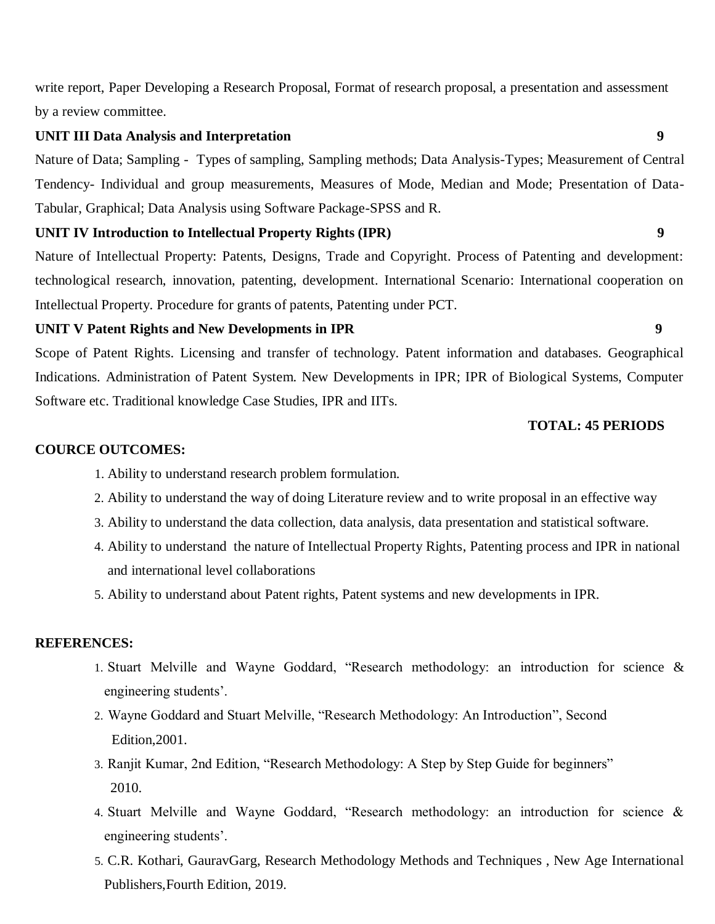write report, Paper Developing a Research Proposal, Format of research proposal, a presentation and assessment by a review committee.

# **UNIT III Data Analysis and Interpretation 9**

Nature of Data; Sampling - Types of sampling, Sampling methods; Data Analysis-Types; Measurement of Central Tendency- Individual and group measurements, Measures of Mode, Median and Mode; Presentation of Data-Tabular, Graphical; Data Analysis using Software Package-SPSS and R.

# **UNIT IV Introduction to Intellectual Property Rights (IPR) 9**

Nature of Intellectual Property: Patents, Designs, Trade and Copyright. Process of Patenting and development: technological research, innovation, patenting, development. International Scenario: International cooperation on Intellectual Property. Procedure for grants of patents, Patenting under PCT.

# **UNIT V Patent Rights and New Developments in IPR** 9

Scope of Patent Rights. Licensing and transfer of technology. Patent information and databases. Geographical Indications. Administration of Patent System. New Developments in IPR; IPR of Biological Systems, Computer Software etc. Traditional knowledge Case Studies, IPR and IITs.

# **TOTAL: 45 PERIODS**

# **COURCE OUTCOMES:**

- 1. Ability to understand research problem formulation.
- 2. Ability to understand the way of doing Literature review and to write proposal in an effective way
- 3. Ability to understand the data collection, data analysis, data presentation and statistical software.
- 4. Ability to understand the nature of Intellectual Property Rights, Patenting process and IPR in national and international level collaborations
- 5. Ability to understand about Patent rights, Patent systems and new developments in IPR.

- 1. Stuart Melville and Wayne Goddard, "Research methodology: an introduction for science & engineering students'.
- 2. Wayne Goddard and Stuart Melville, "Research Methodology: An Introduction", Second Edition,2001.
- 3. Ranjit Kumar, 2nd Edition, "Research Methodology: A Step by Step Guide for beginners" 2010.
- 4. Stuart Melville and Wayne Goddard, "Research methodology: an introduction for science & engineering students'.
- 5. C.R. Kothari, GauravGarg, Research Methodology Methods and Techniques , New Age International Publishers,Fourth Edition, 2019.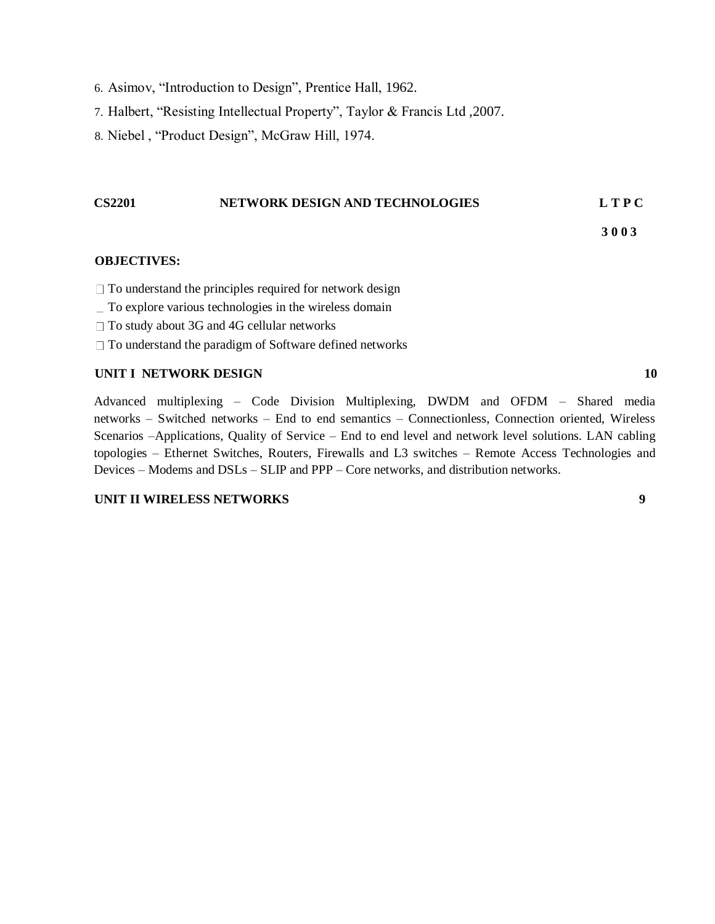- 6. Asimov, "Introduction to Design", Prentice Hall, 1962.
- 7. Halbert, "Resisting Intellectual Property", Taylor & Francis Ltd ,2007.
- 8. Niebel , "Product Design", McGraw Hill, 1974.

#### **CS2201 NETWORK DESIGN AND TECHNOLOGIES L T P C**

**3 0 0 3**

#### **OBJECTIVES:**

- $\Box$  To understand the principles required for network design
- To explore various technologies in the wireless domain
- □ To study about 3G and 4G cellular networks
- □ To understand the paradigm of Software defined networks

### **UNIT I NETWORK DESIGN 10**

Advanced multiplexing – Code Division Multiplexing, DWDM and OFDM – Shared media networks – Switched networks – End to end semantics – Connectionless, Connection oriented, Wireless Scenarios –Applications, Quality of Service – End to end level and network level solutions. LAN cabling topologies – Ethernet Switches, Routers, Firewalls and L3 switches – Remote Access Technologies and Devices – Modems and DSLs – SLIP and PPP – Core networks, and distribution networks.

# **UNIT II WIRELESS NETWORKS 9**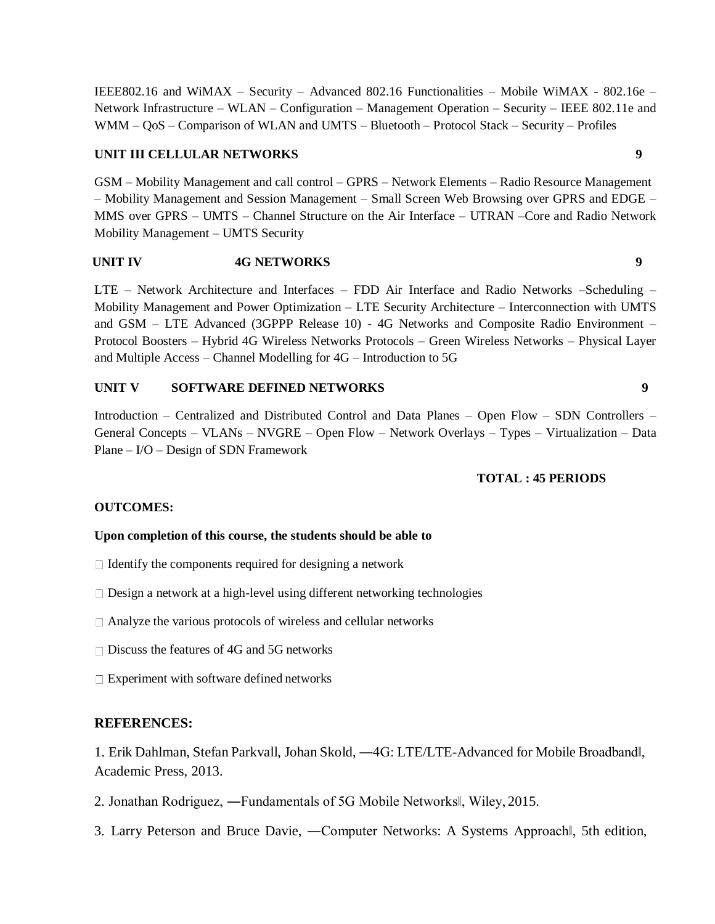IEEE802.16 and WiMAX – Security – Advanced 802.16 Functionalities – Mobile WiMAX - 802.16e – Network Infrastructure – WLAN – Configuration – Management Operation – Security – IEEE 802.11e and WMM – QoS – Comparison of WLAN and UMTS – Bluetooth – Protocol Stack – Security – Profiles

# **UNIT III CELLULAR NETWORKS 9**

GSM – Mobility Management and call control – GPRS – Network Elements – Radio Resource Management – Mobility Management and Session Management – Small Screen Web Browsing over GPRS and EDGE – MMS over GPRS – UMTS – Channel Structure on the Air Interface – UTRAN –Core and Radio Network Mobility Management – UMTS Security

# **UNIT IV 4G NETWORKS 9**

LTE – Network Architecture and Interfaces – FDD Air Interface and Radio Networks –Scheduling – Mobility Management and Power Optimization – LTE Security Architecture – Interconnection with UMTS and GSM – LTE Advanced (3GPPP Release 10) - 4G Networks and Composite Radio Environment – Protocol Boosters – Hybrid 4G Wireless Networks Protocols – Green Wireless Networks – Physical Layer and Multiple Access – Channel Modelling for 4G – Introduction to 5G

# **UNIT V SOFTWARE DEFINED NETWORKS 9**

Introduction – Centralized and Distributed Control and Data Planes – Open Flow – SDN Controllers – General Concepts – VLANs – NVGRE – Open Flow – Network Overlays – Types – Virtualization – Data Plane – I/O – Design of SDN Framework

### **TOTAL : 45 PERIODS**

### **OUTCOMES:**

### **Upon completion of this course, the students should be able to**

- $\Box$  Identify the components required for designing a network
- $\Box$  Design a network at a high-level using different networking technologies
- Analyze the various protocols of wireless and cellular networks
- $\Box$  Discuss the features of 4G and 5G networks
- $\Box$  Experiment with software defined networks

### **REFERENCES:**

1. Erik Dahlman, Stefan Parkvall, Johan Skold, ―4G: LTE/LTE-Advanced for Mobile Broadband‖, Academic Press, 2013.

- 2. Jonathan Rodriguez, ―Fundamentals of 5G Mobile Networks‖, Wiley, 2015.
- 3. Larry Peterson and Bruce Davie, ―Computer Networks: A Systems Approach‖, 5th edition,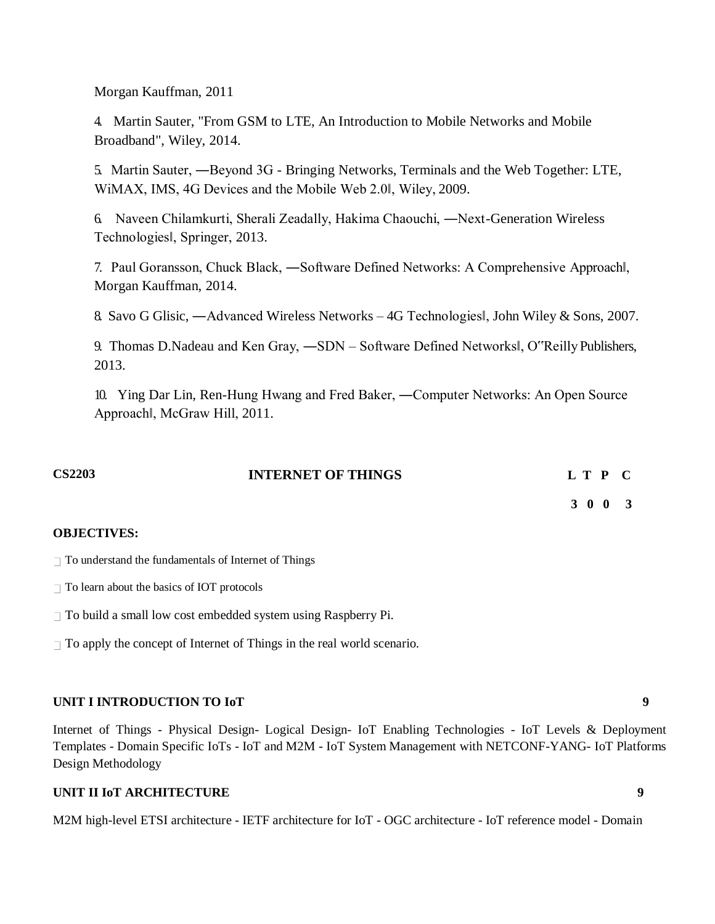Morgan Kauffman, 2011

4. Martin Sauter, "From GSM to LTE, An Introduction to Mobile Networks and Mobile Broadband", Wiley, 2014.

5. Martin Sauter, ―Beyond 3G - Bringing Networks, Terminals and the Web Together: LTE, WiMAX, IMS, 4G Devices and the Mobile Web 2.0‖, Wiley, 2009.

6. Naveen Chilamkurti, Sherali Zeadally, Hakima Chaouchi, ―Next-Generation Wireless Technologies‖, Springer, 2013.

7. Paul Goransson, Chuck Black, ―Software Defined Networks: A Comprehensive Approach‖, Morgan Kauffman, 2014.

8. Savo G Glisic, ―Advanced Wireless Networks – 4G Technologies‖, John Wiley & Sons, 2007.

9. Thomas D.Nadeau and Ken Gray, —SDN – Software Defined Networksl, O"Reilly Publishers, 2013.

10. Ying Dar Lin, Ren-Hung Hwang and Fred Baker, ―Computer Networks: An Open Source Approach‖, McGraw Hill, 2011.

| <b>CS2203</b> | <b>INTERNET OF THINGS</b> |  | L T P C |  |
|---------------|---------------------------|--|---------|--|
|               |                           |  | 3 0 0 3 |  |

### **OBJECTIVES:**

- $\Box$  To understand the fundamentals of Internet of Things
- $\Box$  To learn about the basics of IOT protocols
- $\exists$  To build a small low cost embedded system using Raspberry Pi.
- $\Box$  To apply the concept of Internet of Things in the real world scenario.

#### **UNIT I INTRODUCTION TO IoT 9**

Internet of Things - Physical Design- Logical Design- IoT Enabling Technologies - IoT Levels & Deployment Templates - Domain Specific IoTs - IoT and M2M - IoT System Management with NETCONF-YANG- IoT Platforms Design Methodology

### **UNIT II IoT ARCHITECTURE 9**

M2M high-level ETSI architecture - IETF architecture for IoT - OGC architecture - IoT reference model - Domain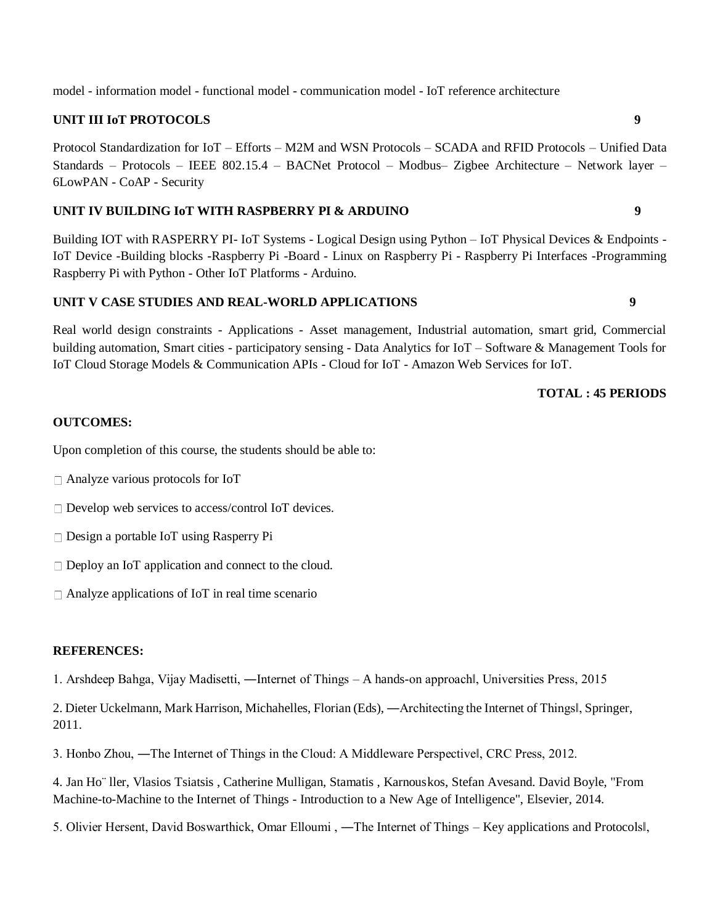model - information model - functional model - communication model - IoT reference architecture

# **UNIT III IoT PROTOCOLS 9**

Protocol Standardization for IoT – Efforts – M2M and WSN Protocols – SCADA and RFID Protocols – Unified Data Standards – Protocols – IEEE 802.15.4 – BACNet Protocol – Modbus– Zigbee Architecture – Network layer – 6LowPAN - CoAP - Security

# **UNIT IV BUILDING IoT WITH RASPBERRY PI & ARDUINO 9**

Building IOT with RASPERRY PI- IoT Systems - Logical Design using Python – IoT Physical Devices & Endpoints - IoT Device -Building blocks -Raspberry Pi -Board - Linux on Raspberry Pi - Raspberry Pi Interfaces -Programming Raspberry Pi with Python - Other IoT Platforms - Arduino.

# **UNIT V CASE STUDIES AND REAL-WORLD APPLICATIONS 9**

Real world design constraints - Applications - Asset management, Industrial automation, smart grid, Commercial building automation, Smart cities - participatory sensing - Data Analytics for IoT – Software & Management Tools for IoT Cloud Storage Models & Communication APIs - Cloud for IoT - Amazon Web Services for IoT.

### **TOTAL : 45 PERIODS**

### **OUTCOMES:**

Upon completion of this course, the students should be able to:

- Analyze various protocols for IoT
- □ Develop web services to access/control IoT devices.
- Design a portable IoT using Rasperry Pi
- □ Deploy an IoT application and connect to the cloud.
- $\Box$  Analyze applications of IoT in real time scenario

### **REFERENCES:**

1. Arshdeep Bahga, Vijay Madisetti, ―Internet of Things – A hands-on approach‖, Universities Press, 2015

2. Dieter Uckelmann, Mark Harrison, Michahelles, Florian (Eds), ―Architecting the Internet of Things‖, Springer, 2011.

3. Honbo Zhou, ―The Internet of Things in the Cloud: A Middleware Perspective‖, CRC Press, 2012.

4. Jan Ho¨ ller, Vlasios Tsiatsis , Catherine Mulligan, Stamatis , Karnouskos, Stefan Avesand. David Boyle, "From Machine-to-Machine to the Internet of Things - Introduction to a New Age of Intelligence", Elsevier, 2014.

5. Olivier Hersent, David Boswarthick, Omar Elloumi, —The Internet of Things – Key applications and Protocolsl,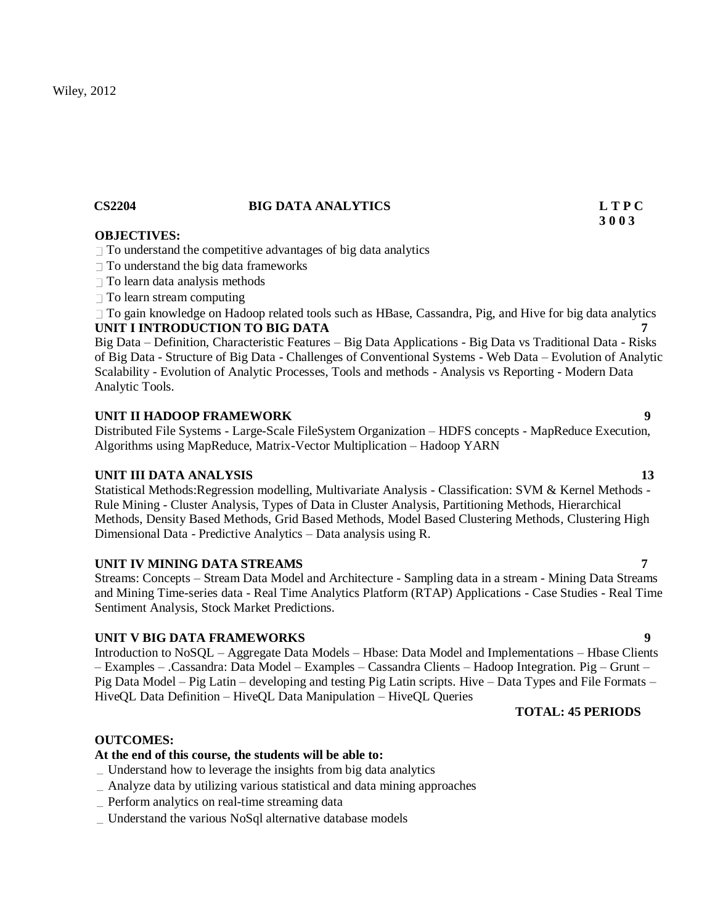### **CS2204 BIG DATA ANALYTICS L T P C**

#### **OBJECTIVES:**

 $\exists$  To understand the competitive advantages of big data analytics

- $\Box$  To understand the big data frameworks
- $\exists$  To learn data analysis methods
- $\top$  To learn stream computing

To gain knowledge on Hadoop related tools such as HBase, Cassandra, Pig, and Hive for big data analytics **UNIT I INTRODUCTION TO BIG DATA 7**

Big Data – Definition, Characteristic Features – Big Data Applications - Big Data vs Traditional Data - Risks of Big Data - Structure of Big Data - Challenges of Conventional Systems - Web Data – Evolution of Analytic Scalability - Evolution of Analytic Processes, Tools and methods - Analysis vs Reporting - Modern Data Analytic Tools.

#### **UNIT II HADOOP FRAMEWORK 9**

Distributed File Systems - Large-Scale FileSystem Organization – HDFS concepts - MapReduce Execution, Algorithms using MapReduce, Matrix-Vector Multiplication – Hadoop YARN

#### **UNIT III DATA ANALYSIS 13**

Statistical Methods:Regression modelling, Multivariate Analysis - Classification: SVM & Kernel Methods - Rule Mining - Cluster Analysis, Types of Data in Cluster Analysis, Partitioning Methods, Hierarchical Methods, Density Based Methods, Grid Based Methods, Model Based Clustering Methods, Clustering High Dimensional Data - Predictive Analytics – Data analysis using R.

#### **UNIT IV MINING DATA STREAMS 7**

Streams: Concepts – Stream Data Model and Architecture - Sampling data in a stream - Mining Data Streams and Mining Time-series data - Real Time Analytics Platform (RTAP) Applications - Case Studies - Real Time Sentiment Analysis, Stock Market Predictions.

#### **UNIT V BIG DATA FRAMEWORKS 9**

Introduction to NoSQL – Aggregate Data Models – Hbase: Data Model and Implementations – Hbase Clients – Examples – .Cassandra: Data Model – Examples – Cassandra Clients – Hadoop Integration. Pig – Grunt – Pig Data Model – Pig Latin – developing and testing Pig Latin scripts. Hive – Data Types and File Formats – HiveQL Data Definition – HiveQL Data Manipulation – HiveQL Queries

# **TOTAL: 45 PERIODS**

### **OUTCOMES:**

#### **At the end of this course, the students will be able to:**

- Understand how to leverage the insights from big data analytics
- Analyze data by utilizing various statistical and data mining approaches
- Perform analytics on real-time streaming data
- Understand the various NoSql alternative database models

**3 0 0 3**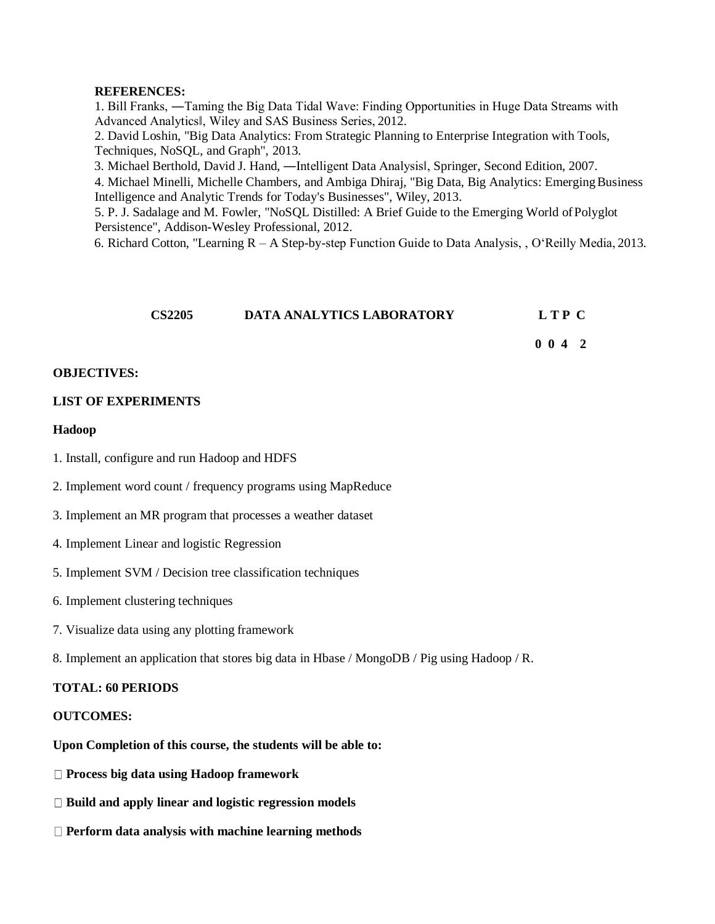#### **REFERENCES:**

1. Bill Franks, ―Taming the Big Data Tidal Wave: Finding Opportunities in Huge Data Streams with Advanced Analytics‖, Wiley and SAS Business Series, 2012.

2. David Loshin, "Big Data Analytics: From Strategic Planning to Enterprise Integration with Tools, Techniques, NoSQL, and Graph", 2013.

3. Michael Berthold, David J. Hand, ―Intelligent Data Analysis‖, Springer, Second Edition, 2007.

4. Michael Minelli, Michelle Chambers, and Ambiga Dhiraj, "Big Data, Big Analytics: Emerging Business Intelligence and Analytic Trends for Today's Businesses", Wiley, 2013.

5. P. J. Sadalage and M. Fowler, "NoSQL Distilled: A Brief Guide to the Emerging World ofPolyglot Persistence", Addison-Wesley Professional, 2012.

6. Richard Cotton, "Learning  $R - A$  Step-by-step Function Guide to Data Analysis, , O'Reilly Media, 2013.

| <b>CS2205</b> | DATA ANALYTICS LABORATORY | LTP C |
|---------------|---------------------------|-------|
|               |                           |       |

**0 0 4 2**

#### **OBJECTIVES:**

### **LIST OF EXPERIMENTS**

#### **Hadoop**

1. Install, configure and run Hadoop and HDFS

2. Implement word count / frequency programs using MapReduce

- 3. Implement an MR program that processes a weather dataset
- 4. Implement Linear and logistic Regression
- 5. Implement SVM / Decision tree classification techniques
- 6. Implement clustering techniques
- 7. Visualize data using any plotting framework
- 8. Implement an application that stores big data in Hbase / MongoDB / Pig using Hadoop / R.

### **TOTAL: 60 PERIODS**

#### **OUTCOMES:**

**Upon Completion of this course, the students will be able to:**

- **Process big data using Hadoop framework**
- **Build and apply linear and logistic regression models**
- **Perform data analysis with machine learning methods**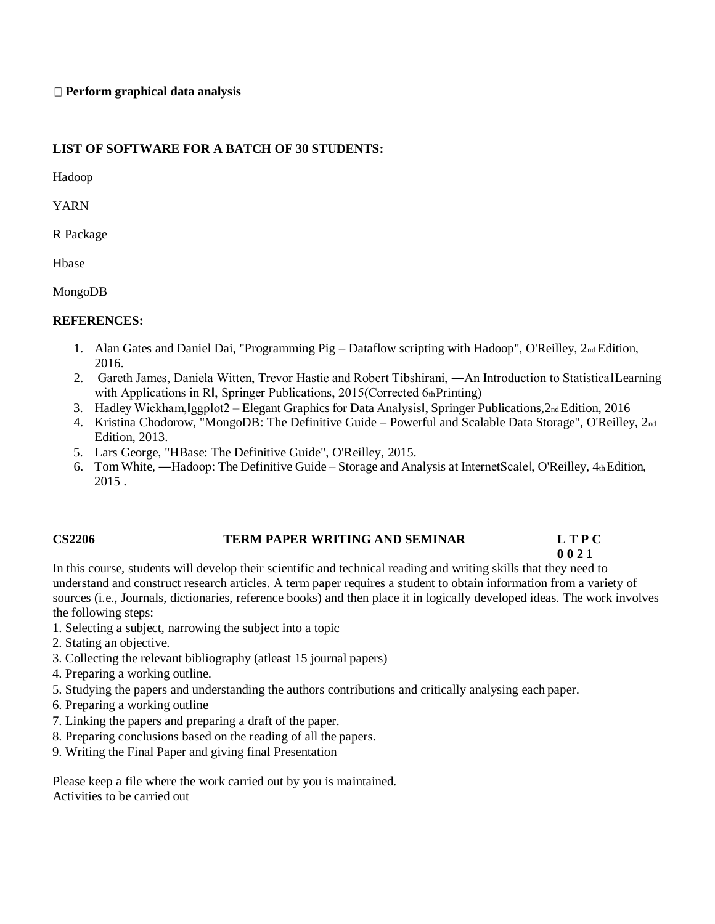### **Perform graphical data analysis**

# **LIST OF SOFTWARE FOR A BATCH OF 30 STUDENTS:**

Hadoop

YARN

R Package

Hbase

MongoDB

# **REFERENCES:**

- 1. Alan Gates and Daniel Dai, "Programming Pig Dataflow scripting with Hadoop", O'Reilley, 2nd Edition, 2016.
- 2. Gareth James, Daniela Witten, Trevor Hastie and Robert Tibshirani, ―An Introduction to StatisticalLearning with Applications in Rl, Springer Publications,  $2015$ (Corrected 6thPrinting)
- 3. Hadley Wickham,‖ggplot2 Elegant Graphics for Data Analysis‖, Springer Publications,2ndEdition, 2016
- 4. Kristina Chodorow, "MongoDB: The Definitive Guide Powerful and Scalable Data Storage", O'Reilley, 2nd Edition, 2013.
- 5. Lars George, "HBase: The Definitive Guide", O'Reilley, 2015.
- 6. Tom White, ―Hadoop: The Definitive Guide Storage and Analysis at InternetScale‖, O'Reilley, 4thEdition, 2015 .

# **CS2206 TERM PAPER WRITING AND SEMINAR L T P C**

**0 0 2 1**

In this course, students will develop their scientific and technical reading and writing skills that they need to understand and construct research articles. A term paper requires a student to obtain information from a variety of sources (i.e., Journals, dictionaries, reference books) and then place it in logically developed ideas. The work involves the following steps:

- 1. Selecting a subject, narrowing the subject into a topic
- 2. Stating an objective.
- 3. Collecting the relevant bibliography (atleast 15 journal papers)
- 4. Preparing a working outline.
- 5. Studying the papers and understanding the authors contributions and critically analysing each paper.
- 6. Preparing a working outline
- 7. Linking the papers and preparing a draft of the paper.
- 8. Preparing conclusions based on the reading of all the papers.
- 9. Writing the Final Paper and giving final Presentation

Please keep a file where the work carried out by you is maintained. Activities to be carried out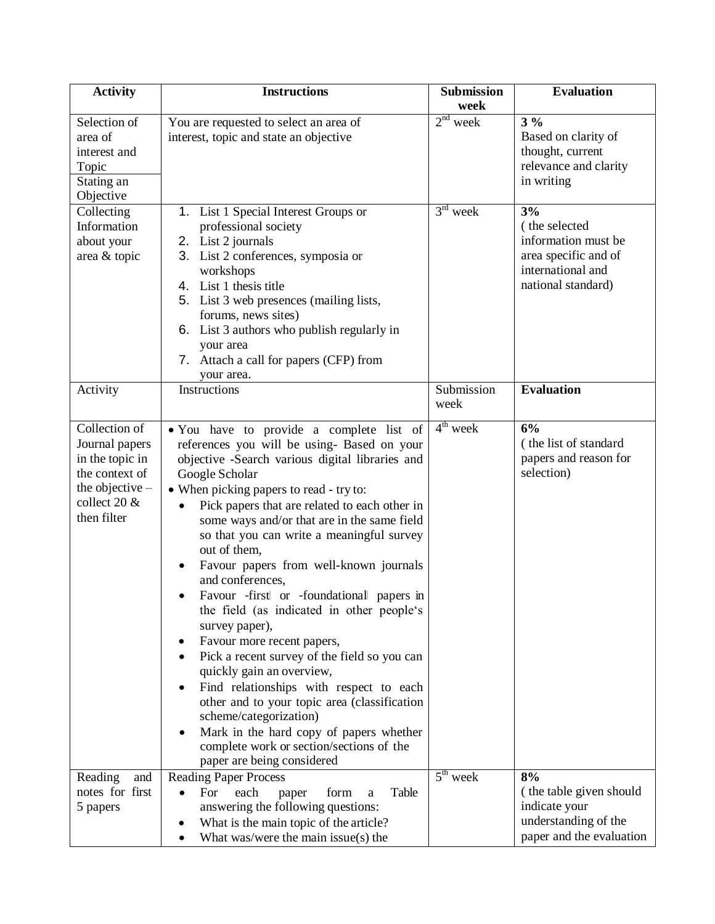| <b>Activity</b>   | <b>Instructions</b>                                            | Submission               | <b>Evaluation</b>                         |
|-------------------|----------------------------------------------------------------|--------------------------|-------------------------------------------|
| Selection of      |                                                                | week<br>$2nd$ week       | $3\%$                                     |
|                   | You are requested to select an area of                         |                          |                                           |
| area of           | interest, topic and state an objective                         |                          | Based on clarity of                       |
| interest and      |                                                                |                          | thought, current<br>relevance and clarity |
| Topic             |                                                                |                          |                                           |
| Stating an        |                                                                |                          | in writing                                |
| Objective         |                                                                | $3rd$ week               | 3%                                        |
| Collecting        | 1. List 1 Special Interest Groups or                           |                          |                                           |
| Information       | professional society                                           |                          | (the selected<br>information must be      |
| about your        | 2. List 2 journals                                             |                          |                                           |
| area & topic      | 3. List 2 conferences, symposia or                             |                          | area specific and of<br>international and |
|                   | workshops                                                      |                          |                                           |
|                   | 4. List 1 thesis title                                         |                          | national standard)                        |
|                   | 5. List 3 web presences (mailing lists,                        |                          |                                           |
|                   | forums, news sites)                                            |                          |                                           |
|                   | 6. List 3 authors who publish regularly in                     |                          |                                           |
|                   | your area                                                      |                          |                                           |
|                   | 7. Attach a call for papers (CFP) from                         |                          |                                           |
|                   | your area.                                                     |                          |                                           |
| Activity          | Instructions                                                   | Submission               | <b>Evaluation</b>                         |
|                   |                                                                | week                     |                                           |
| Collection of     | • You have to provide a complete list of                       | $4th$ week               | 6%                                        |
| Journal papers    | references you will be using- Based on your                    |                          | (the list of standard                     |
| in the topic in   | objective -Search various digital libraries and                |                          | papers and reason for                     |
| the context of    | Google Scholar                                                 |                          | selection)                                |
| the objective $-$ | • When picking papers to read - try to:                        |                          |                                           |
| collect 20 &      | Pick papers that are related to each other in                  |                          |                                           |
| then filter       | some ways and/or that are in the same field                    |                          |                                           |
|                   | so that you can write a meaningful survey                      |                          |                                           |
|                   | out of them,                                                   |                          |                                           |
|                   | Favour papers from well-known journals<br>$\bullet$            |                          |                                           |
|                   | and conferences,                                               |                          |                                           |
|                   |                                                                |                          |                                           |
|                   | Favour -first or -foundational papers in                       |                          |                                           |
|                   | the field (as indicated in other people's                      |                          |                                           |
|                   | survey paper),                                                 |                          |                                           |
|                   | Favour more recent papers,                                     |                          |                                           |
|                   | Pick a recent survey of the field so you can                   |                          |                                           |
|                   | quickly gain an overview,                                      |                          |                                           |
|                   | Find relationships with respect to each                        |                          |                                           |
|                   | other and to your topic area (classification                   |                          |                                           |
|                   | scheme/categorization)                                         |                          |                                           |
|                   | Mark in the hard copy of papers whether                        |                          |                                           |
|                   | complete work or section/sections of the                       |                          |                                           |
|                   | paper are being considered                                     |                          |                                           |
| Reading<br>and    | <b>Reading Paper Process</b>                                   | $\overline{5^{th}}$ week | 8%                                        |
| notes for first   | each<br>Table<br>For<br>form<br>$\bullet$<br>paper<br>$\rm{a}$ |                          | (the table given should                   |
| 5 papers          | answering the following questions:                             |                          | indicate your                             |
|                   | What is the main topic of the article?                         |                          | understanding of the                      |
|                   | What was/were the main issue(s) the                            |                          | paper and the evaluation                  |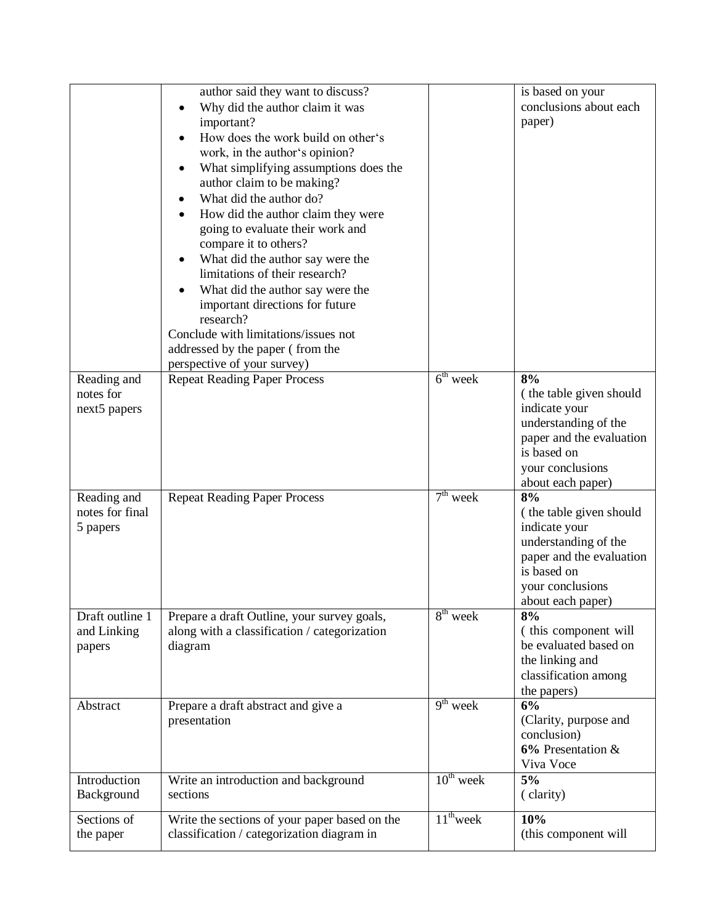|                 | author said they want to discuss?             |                | is based on your         |
|-----------------|-----------------------------------------------|----------------|--------------------------|
|                 | Why did the author claim it was               |                | conclusions about each   |
|                 | important?                                    |                | paper)                   |
|                 | How does the work build on other's            |                |                          |
|                 | work, in the author's opinion?                |                |                          |
|                 | What simplifying assumptions does the<br>٠    |                |                          |
|                 | author claim to be making?                    |                |                          |
|                 | What did the author do?                       |                |                          |
|                 | How did the author claim they were            |                |                          |
|                 | going to evaluate their work and              |                |                          |
|                 | compare it to others?                         |                |                          |
|                 | What did the author say were the<br>٠         |                |                          |
|                 | limitations of their research?                |                |                          |
|                 | What did the author say were the              |                |                          |
|                 | important directions for future               |                |                          |
|                 | research?                                     |                |                          |
|                 | Conclude with limitations/issues not          |                |                          |
|                 | addressed by the paper (from the              |                |                          |
|                 | perspective of your survey)                   |                |                          |
| Reading and     | <b>Repeat Reading Paper Process</b>           | $6th$ week     | 8%                       |
| notes for       |                                               |                | (the table given should  |
| next5 papers    |                                               |                | indicate your            |
|                 |                                               |                | understanding of the     |
|                 |                                               |                | paper and the evaluation |
|                 |                                               |                | is based on              |
|                 |                                               |                | your conclusions         |
|                 |                                               |                | about each paper)        |
| Reading and     | <b>Repeat Reading Paper Process</b>           | $7th$ week     | 8%                       |
| notes for final |                                               |                | (the table given should  |
| 5 papers        |                                               |                | indicate your            |
|                 |                                               |                | understanding of the     |
|                 |                                               |                | paper and the evaluation |
|                 |                                               |                | is based on              |
|                 |                                               |                | your conclusions         |
|                 |                                               |                | about each paper)        |
| Draft outline 1 | Prepare a draft Outline, your survey goals,   | $8th$ week     | 8%                       |
| and Linking     | along with a classification / categorization  |                | (this component will     |
| papers          | diagram                                       |                | be evaluated based on    |
|                 |                                               |                | the linking and          |
|                 |                                               |                | classification among     |
|                 |                                               |                | the papers)              |
| Abstract        | Prepare a draft abstract and give a           | $9th$ week     | 6%                       |
|                 | presentation                                  |                | (Clarity, purpose and    |
|                 |                                               |                | conclusion)              |
|                 |                                               |                | 6% Presentation &        |
|                 |                                               |                | Viva Voce                |
| Introduction    | Write an introduction and background          | $10^{th}$ week | $5\%$                    |
| Background      | sections                                      |                | (clarity)                |
| Sections of     | Write the sections of your paper based on the | $11^{th}$ week | 10%                      |
| the paper       | classification / categorization diagram in    |                | (this component will     |
|                 |                                               |                |                          |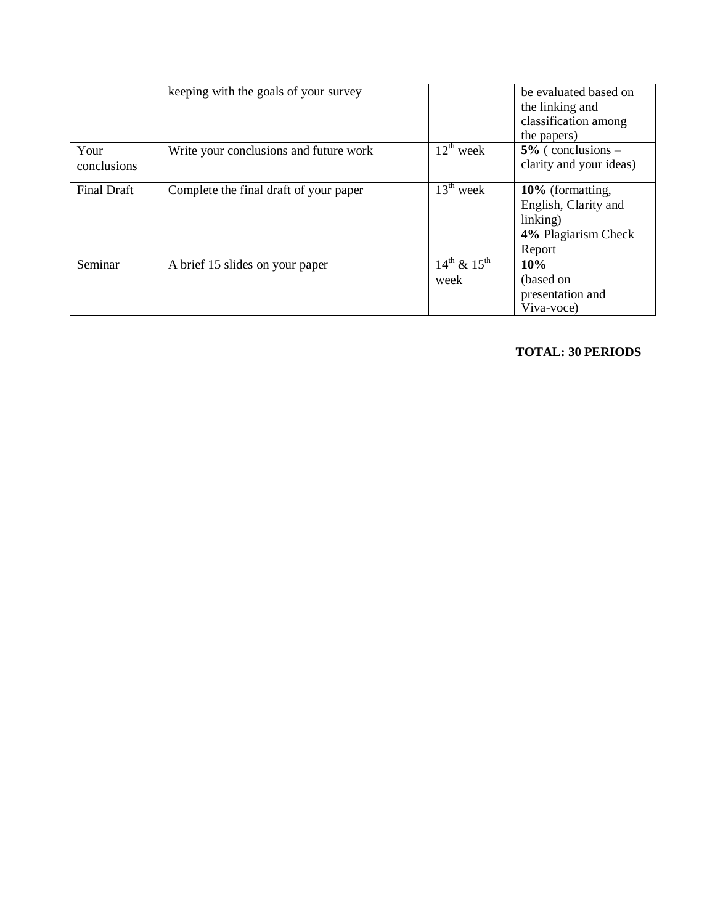|                     | keeping with the goals of your survey  |                             | be evaluated based on<br>the linking and<br>classification among<br>the papers)       |
|---------------------|----------------------------------------|-----------------------------|---------------------------------------------------------------------------------------|
| Your<br>conclusions | Write your conclusions and future work | $12^{\text{th}}$ week       | $5\%$ (conclusions –<br>clarity and your ideas)                                       |
| <b>Final Draft</b>  | Complete the final draft of your paper | $13^{\text{th}}$ week       | 10% (formatting,<br>English, Clarity and<br>linking)<br>4% Plagiarism Check<br>Report |
| Seminar             | A brief 15 slides on your paper        | $14^{th} & 15^{th}$<br>week | 10%<br>(based on<br>presentation and<br>Viva-voce)                                    |

# **TOTAL: 30 PERIODS**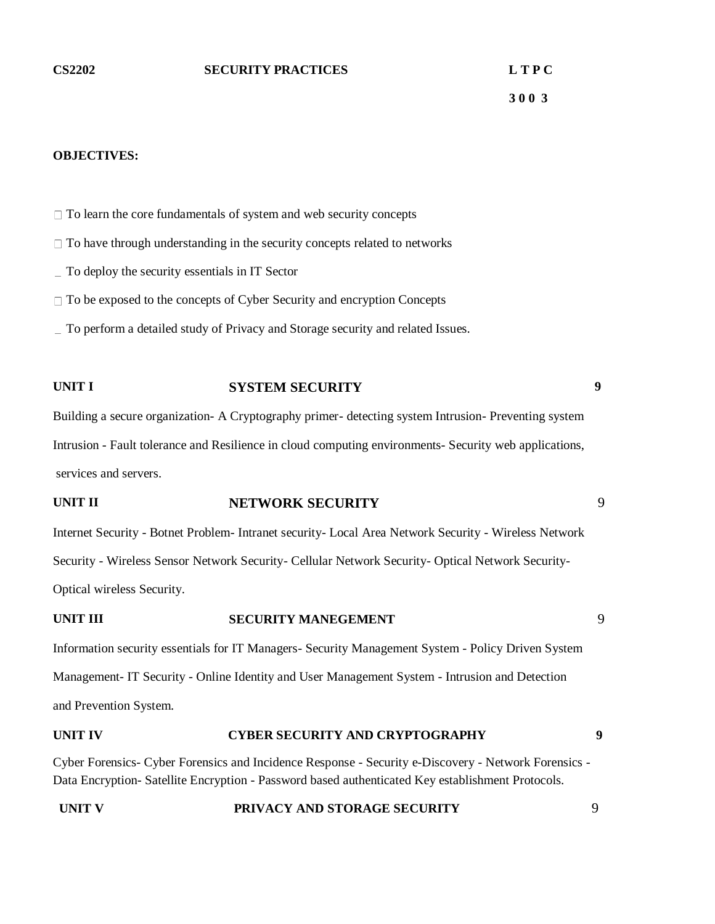#### **CS2202 SECURITY PRACTICES L T P C**

**3 0 0 3**

#### **OBJECTIVES:**

 $\Box$  To learn the core fundamentals of system and web security concepts

- □ To have through understanding in the security concepts related to networks
- To deploy the security essentials in IT Sector
- □ To be exposed to the concepts of Cyber Security and encryption Concepts
- To perform a detailed study of Privacy and Storage security and related Issues.

### **UNIT I SYSTEM SECURITY 9**

Building a secure organization- A Cryptography primer- detecting system Intrusion- Preventing system Intrusion - Fault tolerance and Resilience in cloud computing environments- Security web applications, services and servers.

# **UNIT II NETWORK SECURITY** 9

Internet Security - Botnet Problem- Intranet security- Local Area Network Security - Wireless Network Security - Wireless Sensor Network Security- Cellular Network Security- Optical Network Security-Optical wireless Security.

# **UNIT III SECURITY MANEGEMENT** 9 Information security essentials for IT Managers- Security Management System - Policy Driven System Management- IT Security - Online Identity and User Management System - Intrusion and Detection and Prevention System.

# **UNIT IV CYBER SECURITY AND CRYPTOGRAPHY 9**

Cyber Forensics- Cyber Forensics and Incidence Response - Security e-Discovery - Network Forensics - Data Encryption- Satellite Encryption - Password based authenticated Key establishment Protocols.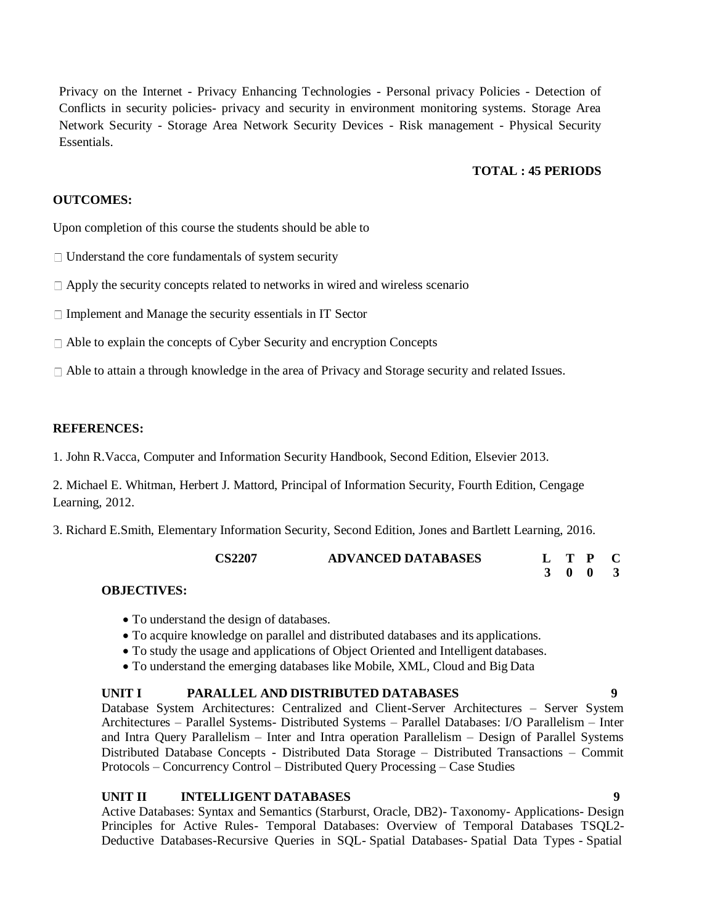Privacy on the Internet - Privacy Enhancing Technologies - Personal privacy Policies - Detection of Conflicts in security policies- privacy and security in environment monitoring systems. Storage Area Network Security - Storage Area Network Security Devices - Risk management - Physical Security Essentials.

# **TOTAL : 45 PERIODS**

#### **OUTCOMES:**

Upon completion of this course the students should be able to

 $\Box$  Understand the core fundamentals of system security

 $\Box$  Apply the security concepts related to networks in wired and wireless scenario

 $\Box$  Implement and Manage the security essentials in IT Sector

 $\Box$  Able to explain the concepts of Cyber Security and encryption Concepts

Able to attain a through knowledge in the area of Privacy and Storage security and related Issues.

#### **REFERENCES:**

1. John R.Vacca, Computer and Information Security Handbook, Second Edition, Elsevier 2013.

2. Michael E. Whitman, Herbert J. Mattord, Principal of Information Security, Fourth Edition, Cengage Learning, 2012.

3. Richard E.Smith, Elementary Information Security, Second Edition, Jones and Bartlett Learning, 2016.

| <b>CS2207</b> | <b>ADVANCED DATABASES</b> |  |  |
|---------------|---------------------------|--|--|
|               |                           |  |  |

#### **OBJECTIVES:**

- To understand the design of databases.
- To acquire knowledge on parallel and distributed databases and its applications.
- To study the usage and applications of Object Oriented and Intelligent databases.
- To understand the emerging databases like Mobile, XML, Cloud and Big Data

### **UNIT I PARALLEL AND DISTRIBUTED DATABASES 9**

Database System Architectures: Centralized and Client-Server Architectures – Server System Architectures – Parallel Systems- Distributed Systems – Parallel Databases: I/O Parallelism – Inter and Intra Query Parallelism – Inter and Intra operation Parallelism – Design of Parallel Systems Distributed Database Concepts - Distributed Data Storage – Distributed Transactions – Commit Protocols – Concurrency Control – Distributed Query Processing – Case Studies

#### **UNIT II INTELLIGENT DATABASES 9**

Active Databases: Syntax and Semantics (Starburst, Oracle, DB2)- Taxonomy- Applications- Design Principles for Active Rules- Temporal Databases: Overview of Temporal Databases TSQL2- Deductive Databases-Recursive Queries in SQL- Spatial Databases- Spatial Data Types - Spatial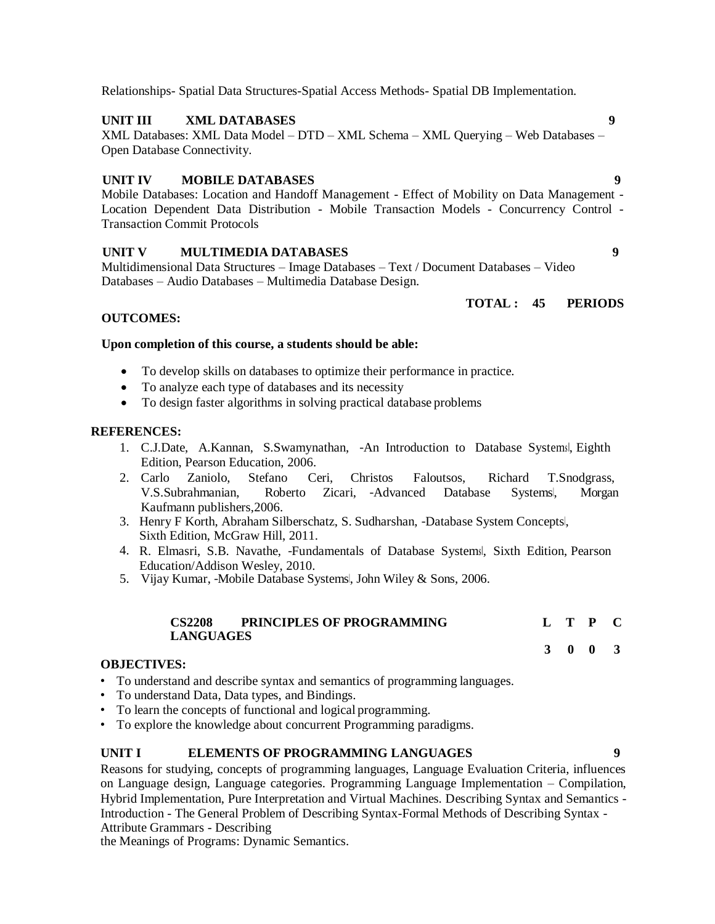- 3. Henry F Korth, Abraham Silberschatz, S. Sudharshan, -Database System Concepts, Sixth Edition, McGraw Hill, 2011.
- 4. R. Elmasri, S.B. Navathe, -Fundamentals of Database Systems, Sixth Edition, Pearson Education/Addison Wesley, 2010.
- 5. Vijay Kumar, -Mobile Database Systems, John Wiley & Sons, 2006.

# **CS2208 PRINCIPLES OF PROGRAMMING LANGUAGES**

### **OBJECTIVES:**

- To understand and describe syntax and semantics of programming languages.
- To understand Data, Data types, and Bindings.
- To learn the concepts of functional and logical programming.
- To explore the knowledge about concurrent Programming paradigms.

# **UNIT I ELEMENTS OF PROGRAMMING LANGUAGES 9**

Reasons for studying, concepts of programming languages, Language Evaluation Criteria, influences on Language design, Language categories. Programming Language Implementation – Compilation, Hybrid Implementation, Pure Interpretation and Virtual Machines. Describing Syntax and Semantics - Introduction - The General Problem of Describing Syntax-Formal Methods of Describing Syntax - Attribute Grammars - Describing

the Meanings of Programs: Dynamic Semantics.

# **UNIT III XML DATABASES 9**

XML Databases: XML Data Model – DTD – XML Schema – XML Querying – Web Databases – Open Database Connectivity.

Relationships- Spatial Data Structures-Spatial Access Methods- Spatial DB Implementation.

# **UNIT IV MOBILE DATABASES 9**

Mobile Databases: Location and Handoff Management - Effect of Mobility on Data Management - Location Dependent Data Distribution - Mobile Transaction Models - Concurrency Control - Transaction Commit Protocols

# **UNIT V MULTIMEDIA DATABASES 9**

Multidimensional Data Structures – Image Databases – Text / Document Databases – Video Databases – Audio Databases – Multimedia Database Design.

#### **TOTAL : 45 PERIODS**

#### **Upon completion of this course, a students should be able:**

- To develop skills on databases to optimize their performance in practice.
- To analyze each type of databases and its necessity
- To design faster algorithms in solving practical database problems

#### **REFERENCES:**

**OUTCOMES:**

- 1. C.J.Date, A.Kannan, S.Swamynathan, -An Introduction to Database Systems, Eighth Edition, Pearson Education, 2006.
- 2. Carlo Zaniolo, Stefano Ceri, Christos Faloutsos, Richard T.Snodgrass, V.S.Subrahmanian, Roberto Zicari, -Advanced Database Systems, Morgan Kaufmann publishers,2006.
- 
- 
- 

**L T P C**

**3 0 0 3**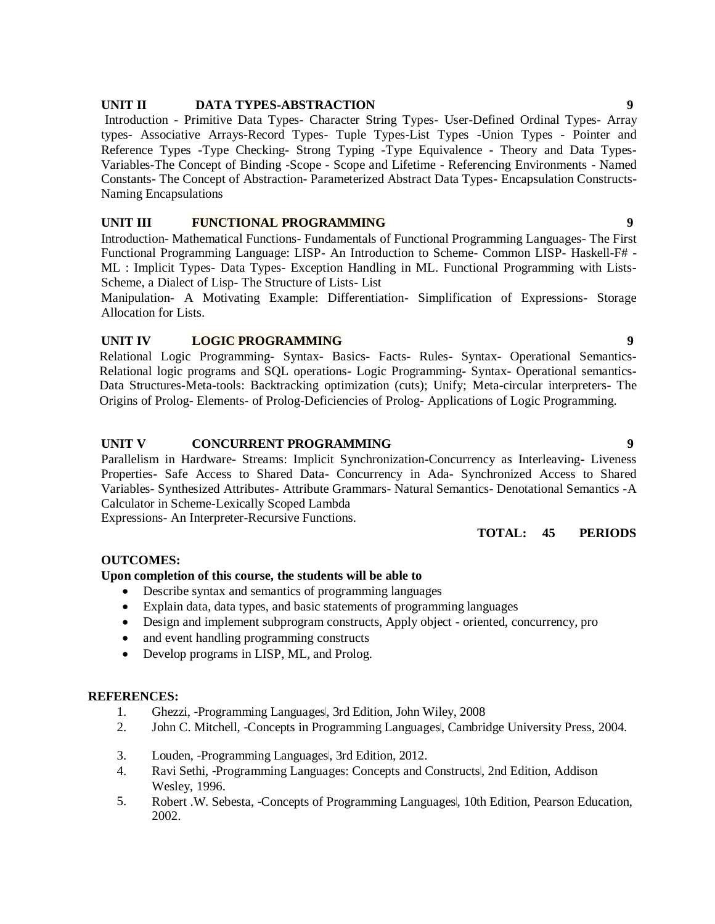#### **UNIT II DATA TYPES-ABSTRACTION 9**

Introduction - Primitive Data Types- Character String Types- User-Defined Ordinal Types- Array types- Associative Arrays-Record Types- Tuple Types-List Types -Union Types - Pointer and Reference Types -Type Checking- Strong Typing -Type Equivalence - Theory and Data Types-Variables-The Concept of Binding -Scope - Scope and Lifetime - Referencing Environments - Named Constants- The Concept of Abstraction- Parameterized Abstract Data Types- Encapsulation Constructs-Naming Encapsulations

## **UNIT III FUNCTIONAL PROGRAMMING 9**

Introduction- Mathematical Functions- Fundamentals of Functional Programming Languages- The First Functional Programming Language: LISP- An Introduction to Scheme- Common LISP- Haskell-F# - ML : Implicit Types- Data Types- Exception Handling in ML. Functional Programming with Lists**-**Scheme, a Dialect of Lisp- The Structure of Lists- List

Manipulation- A Motivating Example: Differentiation- Simplification of Expressions- Storage Allocation for Lists.

# **UNIT IV LOGIC PROGRAMMING 9**

Relational Logic Programming- Syntax- Basics- Facts- Rules- Syntax- Operational Semantics-Relational logic programs and SQL operations- Logic Programming- Syntax- Operational semantics-Data Structures-Meta-tools: Backtracking optimization (cuts); Unify; Meta-circular interpreters- The Origins of Prolog- Elements- of Prolog-Deficiencies of Prolog- Applications of Logic Programming.

# **UNIT V CONCURRENT PROGRAMMING 9**

Parallelism in Hardware- Streams: Implicit Synchronization-Concurrency as Interleaving- Liveness Properties- Safe Access to Shared Data- Concurrency in Ada- Synchronized Access to Shared Variables- Synthesized Attributes- Attribute Grammars- Natural Semantics- Denotational Semantics -A Calculator in Scheme-Lexically Scoped Lambda

Expressions- An Interpreter-Recursive Functions.

### **TOTAL: 45 PERIODS**

### **OUTCOMES:**

### **Upon completion of this course, the students will be able to**

- Describe syntax and semantics of programming languages
- Explain data, data types, and basic statements of programming languages
- Design and implement subprogram constructs, Apply object oriented, concurrency, pro
- and event handling programming constructs
- Develop programs in LISP, ML, and Prolog.

- 1. Ghezzi, -Programming Languages, 3rd Edition, John Wiley, 2008
- 2. John C. Mitchell, -Concepts in Programming Languages, Cambridge University Press, 2004.
- 3. Louden, -Programming Languages, 3rd Edition, 2012.
- 4. Ravi Sethi, ―Programming Languages: Concepts and Constructs‖, 2nd Edition, Addison Wesley, 1996.
- 5. Robert .W. Sebesta, -Concepts of Programming Languages, 10th Edition, Pearson Education, 2002.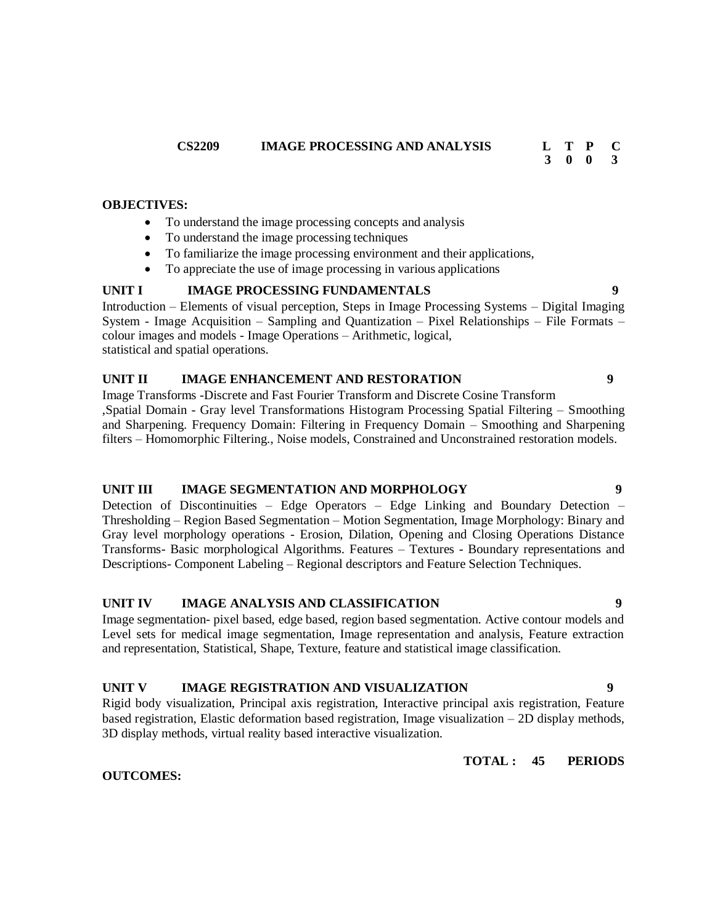#### **CS2209 IMAGE PROCESSING AND ANALYSIS L T P**

#### **OBJECTIVES:**

- To understand the image processing concepts and analysis
- To understand the image processing techniques
- To familiarize the image processing environment and their applications,
- To appreciate the use of image processing in various applications

#### **UNIT I IMAGE PROCESSING FUNDAMENTALS 9**

Introduction – Elements of visual perception, Steps in Image Processing Systems – Digital Imaging System - Image Acquisition – Sampling and Quantization – Pixel Relationships – File Formats – colour images and models - Image Operations – Arithmetic, logical, statistical and spatial operations.

#### **UNIT II IMAGE ENHANCEMENT AND RESTORATION 9**

Image Transforms -Discrete and Fast Fourier Transform and Discrete Cosine Transform ,Spatial Domain - Gray level Transformations Histogram Processing Spatial Filtering – Smoothing and Sharpening. Frequency Domain: Filtering in Frequency Domain – Smoothing and Sharpening filters – Homomorphic Filtering., Noise models, Constrained and Unconstrained restoration models.

### **UNIT III IMAGE SEGMENTATION AND MORPHOLOGY 9**

Detection of Discontinuities – Edge Operators – Edge Linking and Boundary Detection – Thresholding – Region Based Segmentation – Motion Segmentation, Image Morphology: Binary and Gray level morphology operations - Erosion, Dilation, Opening and Closing Operations Distance Transforms- Basic morphological Algorithms. Features – Textures - Boundary representations and Descriptions- Component Labeling – Regional descriptors and Feature Selection Techniques.

# **UNIT IV IMAGE ANALYSIS AND CLASSIFICATION 9**

Image segmentation- pixel based, edge based, region based segmentation. Active contour models and Level sets for medical image segmentation, Image representation and analysis, Feature extraction and representation, Statistical, Shape, Texture, feature and statistical image classification.

#### **UNIT V IMAGE REGISTRATION AND VISUALIZATION 9**

Rigid body visualization, Principal axis registration, Interactive principal axis registration, Feature based registration, Elastic deformation based registration, Image visualization – 2D display methods, 3D display methods, virtual reality based interactive visualization.

**TOTAL : 45 PERIODS**

#### **OUTCOMES:**

**C 3**

**3 0 0**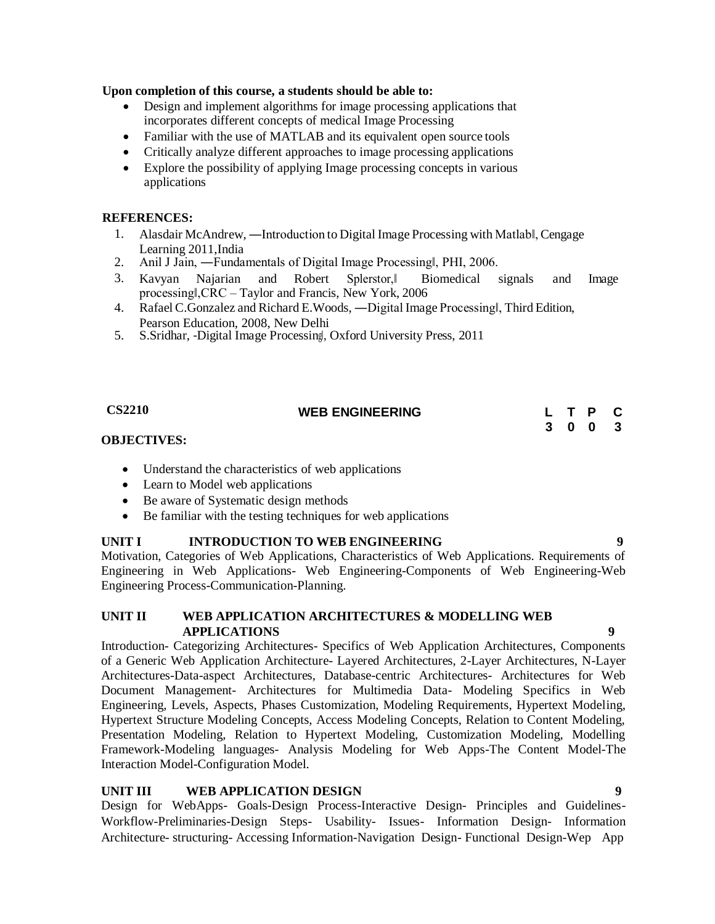#### **Upon completion of this course, a students should be able to:**

- Design and implement algorithms for image processing applications that incorporates different concepts of medical Image Processing
- Familiar with the use of MATLAB and its equivalent open source tools
- Critically analyze different approaches to image processing applications
- Explore the possibility of applying Image processing concepts in various applications

#### **REFERENCES:**

- 1. Alasdair McAndrew, —Introduction to Digital Image Processing with Matlabl, Cengage Learning 2011,India
- 2. Anil J Jain, —Fundamentals of Digital Image Processingl, PHI, 2006.
- 3. Kavyan Najarian and Robert Splerstor,‖ Biomedical signals and Image processing‖,CRC – Taylor and Francis, New York, 2006
- 4. Rafael C.Gonzalez and Richard E.Woods, —Digital Image Processingl, Third Edition, Pearson Education, 2008, New Delhi
- 5. S.Sridhar, -Digital Image Processing, Oxford University Press, 2011

#### **CS2210 WEB ENGINEERING L T P C 3 0 0 3**

#### **OBJECTIVES:**

- Understand the characteristics of web applications
- Learn to Model web applications
- Be aware of Systematic design methods
- Be familiar with the testing techniques for web applications

### **UNIT I INTRODUCTION TO WEB ENGINEERING 9**

Motivation, Categories of Web Applications, Characteristics of Web Applications. Requirements of Engineering in Web Applications- Web Engineering-Components of Web Engineering-Web Engineering Process-Communication-Planning.

#### **UNIT II WEB APPLICATION ARCHITECTURES & MODELLING WEB APPLICATIONS 9**

Introduction- Categorizing Architectures- Specifics of Web Application Architectures, Components of a Generic Web Application Architecture- Layered Architectures, 2-Layer Architectures, N-Layer Architectures-Data-aspect Architectures, Database-centric Architectures- Architectures for Web Document Management- Architectures for Multimedia Data- Modeling Specifics in Web Engineering, Levels, Aspects, Phases Customization, Modeling Requirements, Hypertext Modeling, Hypertext Structure Modeling Concepts, Access Modeling Concepts, Relation to Content Modeling, Presentation Modeling, Relation to Hypertext Modeling, Customization Modeling, Modelling Framework-Modeling languages- Analysis Modeling for Web Apps-The Content Model-The Interaction Model-Configuration Model.

# **UNIT III WEB APPLICATION DESIGN 9**

Design for WebApps- Goals-Design Process-Interactive Design- Principles and Guidelines-Workflow-Preliminaries-Design Steps- Usability- Issues- Information Design- Information Architecture- structuring- Accessing Information-Navigation Design- Functional Design-Wep App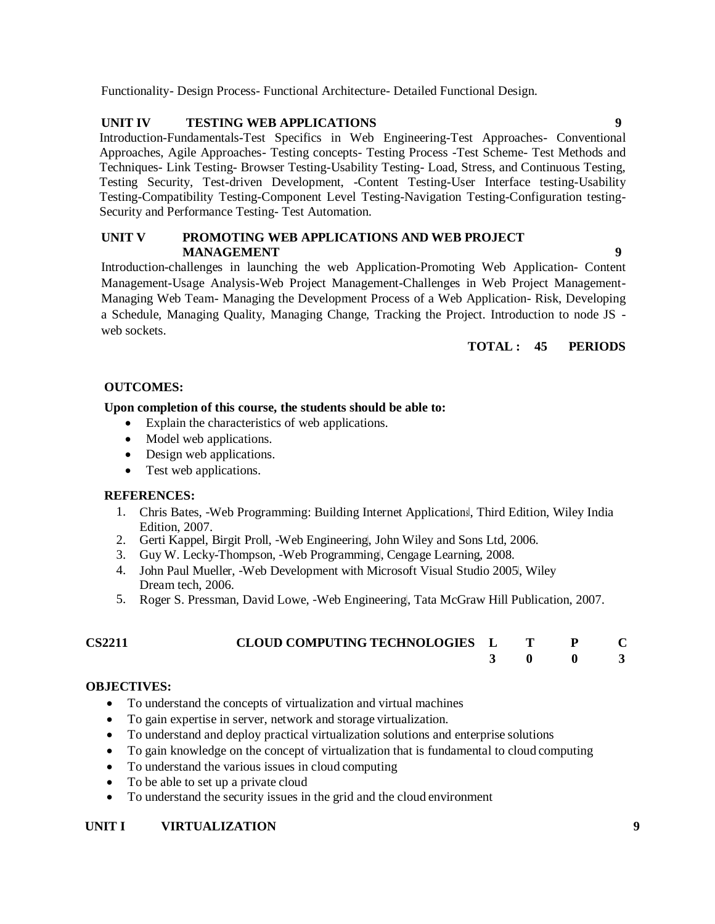Functionality- Design Process- Functional Architecture- Detailed Functional Design.

## **UNIT IV TESTING WEB APPLICATIONS 9**

Introduction-Fundamentals-Test Specifics in Web Engineering-Test Approaches- Conventional Approaches, Agile Approaches- Testing concepts- Testing Process -Test Scheme- Test Methods and Techniques- Link Testing- Browser Testing-Usability Testing- Load, Stress, and Continuous Testing, Testing Security, Test-driven Development, -Content Testing-User Interface testing-Usability Testing-Compatibility Testing-Component Level Testing-Navigation Testing-Configuration testing-Security and Performance Testing- Test Automation.

#### **UNIT V PROMOTING WEB APPLICATIONS AND WEB PROJECT MANAGEMENT 9**

Introduction-challenges in launching the web Application-Promoting Web Application- Content Management-Usage Analysis-Web Project Management-Challenges in Web Project Management-Managing Web Team- Managing the Development Process of a Web Application- Risk, Developing a Schedule, Managing Quality, Managing Change, Tracking the Project. Introduction to node JS web sockets.

# **TOTAL : 45 PERIODS**

### **OUTCOMES:**

#### **Upon completion of this course, the students should be able to:**

- Explain the characteristics of web applications.
- Model web applications.
- Design web applications.
- Test web applications.

### **REFERENCES:**

- 1. Chris Bates, -Web Programming: Building Internet Applications, Third Edition, Wiley India Edition, 2007.
- 2. Gerti Kappel, Birgit Proll, -Web Engineering, John Wiley and Sons Ltd, 2006.
- 3. Guy W. Lecky-Thompson, -Web Programming, Cengage Learning, 2008.
- 4. John Paul Mueller, -Web Development with Microsoft Visual Studio 2005, Wiley Dream tech, 2006.
- 5. Roger S. Pressman, David Lowe, -Web Engineering, Tata McGraw Hill Publication, 2007.

| <b>CS2211</b> | CLOUD COMPUTING TECHNOLOGIES L T |  |  |
|---------------|----------------------------------|--|--|
|               |                                  |  |  |

### **OBJECTIVES:**

- To understand the concepts of virtualization and virtual machines
- To gain expertise in server, network and storage virtualization.
- To understand and deploy practical virtualization solutions and enterprise solutions
- To gain knowledge on the concept of virtualization that is fundamental to cloud computing
- To understand the various issues in cloud computing
- To be able to set up a private cloud
- To understand the security issues in the grid and the cloud environment

### **UNIT I VIRTUALIZATION 9**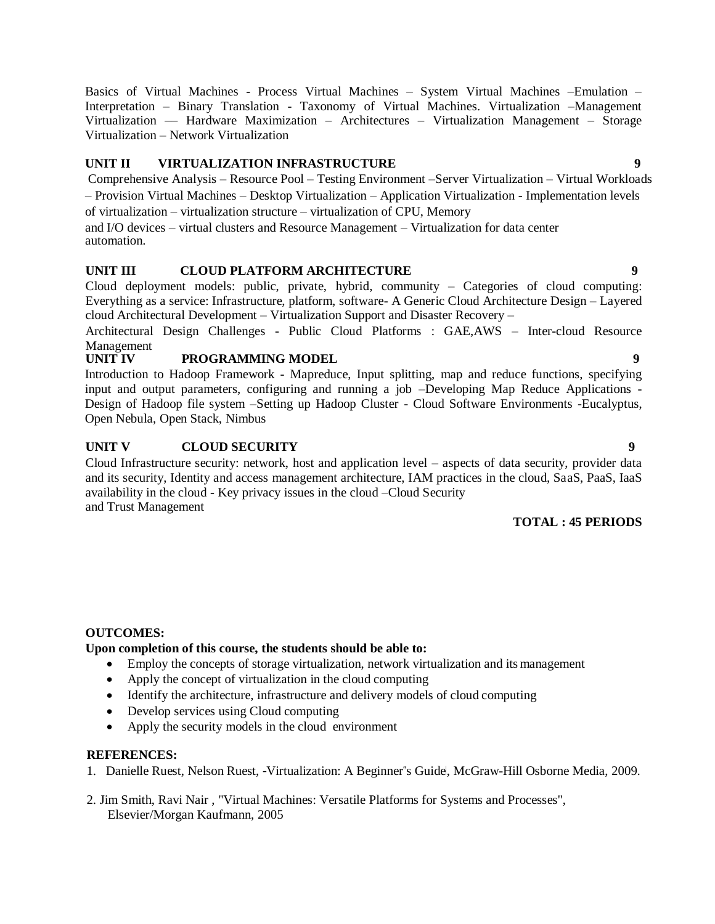Basics of Virtual Machines - Process Virtual Machines – System Virtual Machines –Emulation – Interpretation – Binary Translation - Taxonomy of Virtual Machines. Virtualization –Management Virtualization –– Hardware Maximization – Architectures – Virtualization Management – Storage Virtualization – Network Virtualization

# **UNIT II VIRTUALIZATION INFRASTRUCTURE 9**

Comprehensive Analysis – Resource Pool – Testing Environment –Server Virtualization – Virtual Workloads – Provision Virtual Machines – Desktop Virtualization – Application Virtualization - Implementation levels of virtualization – virtualization structure – virtualization of CPU, Memory

and I/O devices – virtual clusters and Resource Management – Virtualization for data center automation.

# **UNIT III CLOUD PLATFORM ARCHITECTURE 9**

Cloud deployment models: public, private, hybrid, community – Categories of cloud computing: Everything as a service: Infrastructure, platform, software- A Generic Cloud Architecture Design – Layered cloud Architectural Development – Virtualization Support and Disaster Recovery –

Architectural Design Challenges - Public Cloud Platforms : GAE,AWS – Inter-cloud Resource Management<br>UNIT IV

# **PROGRAMMING MODEL 9**

Introduction to Hadoop Framework - Mapreduce, Input splitting, map and reduce functions, specifying input and output parameters, configuring and running a job –Developing Map Reduce Applications - Design of Hadoop file system –Setting up Hadoop Cluster - Cloud Software Environments -Eucalyptus, Open Nebula, Open Stack, Nimbus

#### **UNIT V CLOUD SECURITY 9**

Cloud Infrastructure security: network, host and application level – aspects of data security, provider data and its security, Identity and access management architecture, IAM practices in the cloud, SaaS, PaaS, IaaS availability in the cloud - Key privacy issues in the cloud –Cloud Security and Trust Management

# **TOTAL : 45 PERIODS**

#### **OUTCOMES:**

**Upon completion of this course, the students should be able to:**

- Employ the concepts of storage virtualization, network virtualization and itsmanagement
- Apply the concept of virtualization in the cloud computing
- Identify the architecture, infrastructure and delivery models of cloud computing
- Develop services using Cloud computing
- Apply the security models in the cloud environment

- 1. Danielle Ruest, Nelson Ruest, -Virtualization: A Beginner"s Guide, McGraw-Hill Osborne Media, 2009.
- 2. Jim Smith, Ravi Nair , "Virtual Machines: Versatile Platforms for Systems and Processes", Elsevier/Morgan Kaufmann, 2005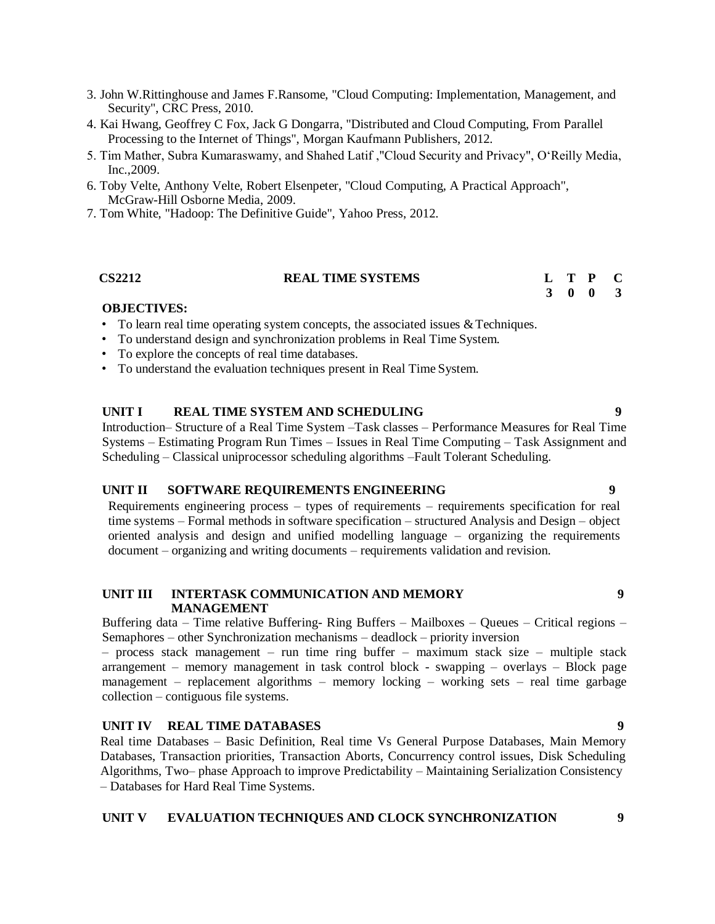- 3. John W.Rittinghouse and James F.Ransome, "Cloud Computing: Implementation, Management, and Security", CRC Press, 2010.
- 4. Kai Hwang, Geoffrey C Fox, Jack G Dongarra, "Distributed and Cloud Computing, From Parallel Processing to the Internet of Things", Morgan Kaufmann Publishers, 2012.
- 5. Tim Mather, Subra Kumaraswamy, and Shahed Latif ,"Cloud Security and Privacy", O'Reilly Media, Inc.,2009.
- 6. Toby Velte, Anthony Velte, Robert Elsenpeter, "Cloud Computing, A Practical Approach", McGraw-Hill Osborne Media, 2009.
- 7. Tom White, "Hadoop: The Definitive Guide", Yahoo Press, 2012.

#### **CS2212 REAL TIME SYSTEMS L T P C**

# **OBJECTIVES:**

- To learn real time operating system concepts, the associated issues & Techniques.
- To understand design and synchronization problems in Real Time System.
- To explore the concepts of real time databases.
- To understand the evaluation techniques present in Real Time System.

#### **UNIT I REAL TIME SYSTEM AND SCHEDULING 9**

Introduction– Structure of a Real Time System –Task classes – Performance Measures for Real Time Systems – Estimating Program Run Times – Issues in Real Time Computing – Task Assignment and Scheduling – Classical uniprocessor scheduling algorithms –Fault Tolerant Scheduling.

# **UNIT II SOFTWARE REQUIREMENTS ENGINEERING 9**

Requirements engineering process – types of requirements – requirements specification for real time systems – Formal methods in software specification – structured Analysis and Design – object oriented analysis and design and unified modelling language – organizing the requirements document – organizing and writing documents – requirements validation and revision.

#### **UNIT III INTERTASK COMMUNICATION AND MEMORY MANAGEMENT**

Buffering data – Time relative Buffering- Ring Buffers – Mailboxes – Queues – Critical regions – Semaphores – other Synchronization mechanisms – deadlock – priority inversion

– process stack management – run time ring buffer – maximum stack size – multiple stack arrangement – memory management in task control block - swapping – overlays – Block page management – replacement algorithms – memory locking – working sets – real time garbage collection – contiguous file systems.

#### **UNIT IV REAL TIME DATABASES 9**

Real time Databases – Basic Definition, Real time Vs General Purpose Databases, Main Memory Databases, Transaction priorities, Transaction Aborts, Concurrency control issues, Disk Scheduling Algorithms, Two– phase Approach to improve Predictability – Maintaining Serialization Consistency – Databases for Hard Real Time Systems.

# **UNIT V EVALUATION TECHNIQUES AND CLOCK SYNCHRONIZATION 9**

**9**

**3 0 0 3**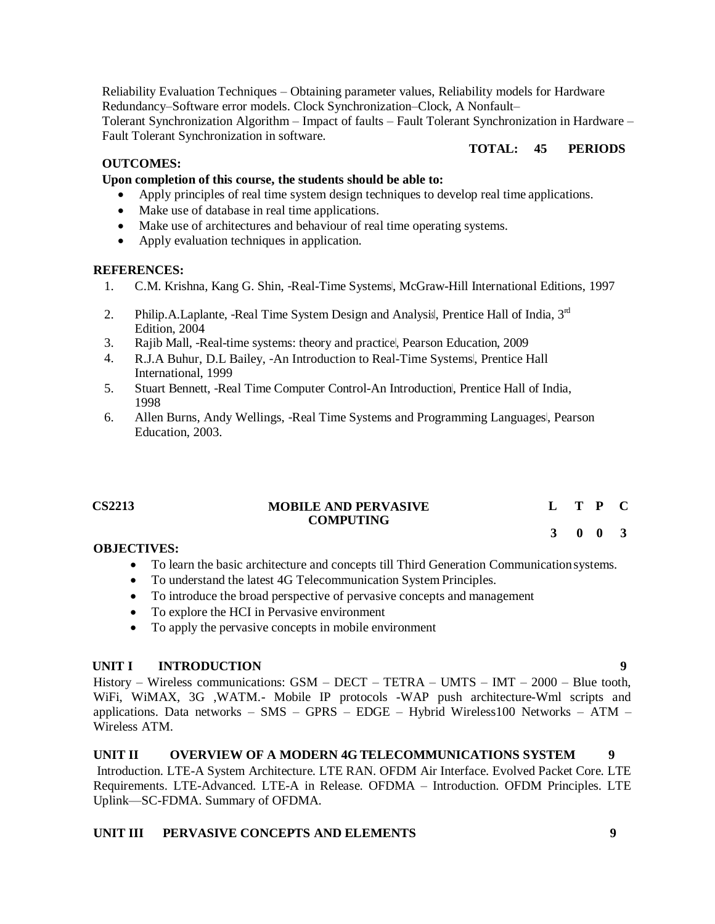Reliability Evaluation Techniques – Obtaining parameter values, Reliability models for Hardware Redundancy–Software error models. Clock Synchronization–Clock, A Nonfault– Tolerant Synchronization Algorithm – Impact of faults – Fault Tolerant Synchronization in Hardware – Fault Tolerant Synchronization in software. **TOTAL: 45 PERIODS**

## **OUTCOMES:**

### **Upon completion of this course, the students should be able to:**

- Apply principles of real time system design techniques to develop real time applications.
- Make use of database in real time applications.
- Make use of architectures and behaviour of real time operating systems.
- Apply evaluation techniques in application.

#### **REFERENCES:**

- 1. C.M. Krishna, Kang G. Shin, -Real-Time Systems, McGraw-Hill International Editions, 1997
- 2. Philip.A.Laplante, -Real Time System Design and Analysis, Prentice Hall of India,  $3<sup>rd</sup>$ Edition, 2004
- 3. Rajib Mall, -Real-time systems: theory and practice, Pearson Education, 2009
- 4. R.J.A Buhur, D.L Bailey, -An Introduction to Real-Time Systems, Prentice Hall International, 1999
- 5. Stuart Bennett, ―Real Time Computer Control-An Introduction‖, Prentice Hall of India, 1998
- 6. Allen Burns, Andy Wellings, -Real Time Systems and Programming Languages, Pearson Education, 2003.

| <b>CS2213</b> |                  | <b>MOBILE AND PERVASIVE</b> |         | L T P C |  |
|---------------|------------------|-----------------------------|---------|---------|--|
|               | <b>COMPUTING</b> |                             | 3 0 0 3 |         |  |

### **OBJECTIVES:**

- To learn the basic architecture and concepts till Third Generation Communicationsystems.
- To understand the latest 4G Telecommunication System Principles.
- To introduce the broad perspective of pervasive concepts and management
- To explore the HCI in Pervasive environment
- To apply the pervasive concepts in mobile environment

### **UNIT I INTRODUCTION 9**

History – Wireless communications: GSM – DECT – TETRA – UMTS – IMT – 2000 – Blue tooth, WiFi, WiMAX, 3G ,WATM.- Mobile IP protocols -WAP push architecture-Wml scripts and applications. Data networks – SMS – GPRS – EDGE – Hybrid Wireless100 Networks – ATM – Wireless ATM.

### **UNIT II OVERVIEW OF A MODERN 4G TELECOMMUNICATIONS SYSTEM 9**

Introduction. LTE-A System Architecture. LTE RAN. OFDM Air Interface. Evolved Packet Core. LTE Requirements. LTE-Advanced. LTE-A in Release. OFDMA – Introduction. OFDM Principles. LTE Uplink—SC-FDMA. Summary of OFDMA.

### **UNIT III PERVASIVE CONCEPTS AND ELEMENTS 9**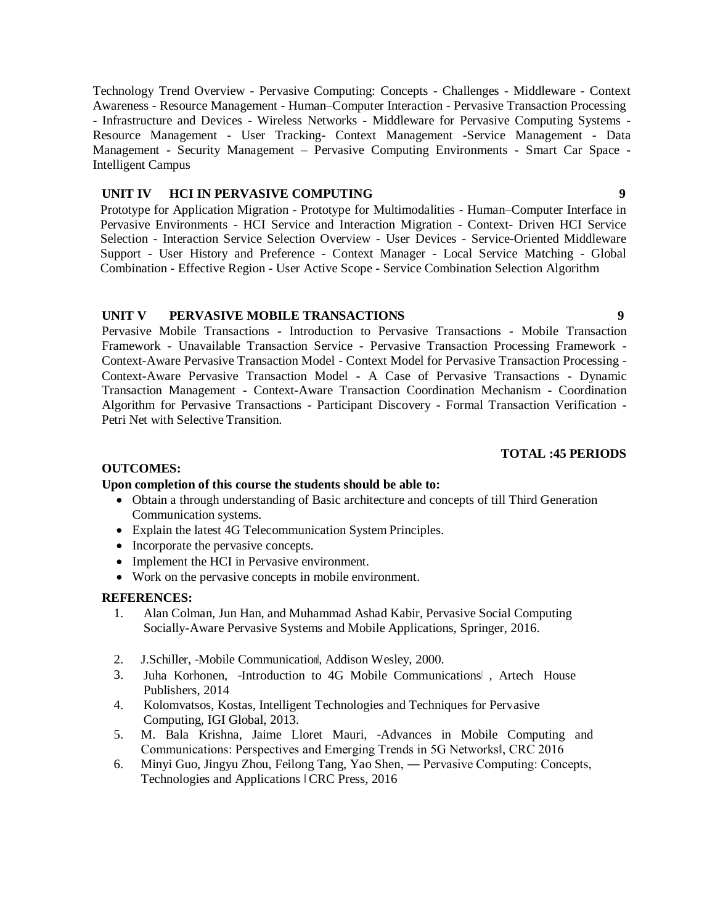Technology Trend Overview - Pervasive Computing: Concepts - Challenges - Middleware - Context Awareness - Resource Management - Human–Computer Interaction - Pervasive Transaction Processing - Infrastructure and Devices - Wireless Networks - Middleware for Pervasive Computing Systems - Resource Management - User Tracking- Context Management -Service Management - Data Management - Security Management – Pervasive Computing Environments - Smart Car Space - Intelligent Campus

# **UNIT IV HCI IN PERVASIVE COMPUTING 9**

Prototype for Application Migration - Prototype for Multimodalities - Human–Computer Interface in Pervasive Environments - HCI Service and Interaction Migration - Context- Driven HCI Service Selection - Interaction Service Selection Overview - User Devices - Service-Oriented Middleware Support - User History and Preference - Context Manager - Local Service Matching - Global Combination - Effective Region - User Active Scope - Service Combination Selection Algorithm

### **UNIT V PERVASIVE MOBILE TRANSACTIONS 9**

Pervasive Mobile Transactions - Introduction to Pervasive Transactions - Mobile Transaction Framework - Unavailable Transaction Service - Pervasive Transaction Processing Framework - Context-Aware Pervasive Transaction Model - Context Model for Pervasive Transaction Processing - Context-Aware Pervasive Transaction Model - A Case of Pervasive Transactions - Dynamic Transaction Management - Context-Aware Transaction Coordination Mechanism - Coordination Algorithm for Pervasive Transactions - Participant Discovery - Formal Transaction Verification - Petri Net with Selective Transition.

### **TOTAL :45 PERIODS**

# **OUTCOMES:**

# **Upon completion of this course the students should be able to:**

- Obtain a through understanding of Basic architecture and concepts of till Third Generation Communication systems.
- Explain the latest 4G Telecommunication System Principles.
- Incorporate the pervasive concepts.
- Implement the HCI in Pervasive environment.
- Work on the pervasive concepts in mobile environment.

- 1. Alan Colman, Jun Han, and Muhammad Ashad Kabir, Pervasive Social Computing Socially-Aware Pervasive Systems and Mobile Applications, Springer, 2016.
- 2. J.Schiller, -Mobile Communication, Addison Wesley, 2000.
- 3. Juha Korhonen, ―Introduction to 4G Mobile Communications‖ , Artech House Publishers, 2014
- 4. Kolomvatsos, Kostas, Intelligent Technologies and Techniques for Perv asive Computing, IGI Global, 2013.
- 5. M. Bala Krishna, Jaime Lloret Mauri, ―Advances in Mobile Computing and Communications: Perspectives and Emerging Trends in 5G Networks‖, CRC 2016
- 6. Minyi Guo, Jingyu Zhou, Feilong Tang, Yao Shen, ― Pervasive Computing: Concepts, Technologies and Applications ‖ CRC Press, 2016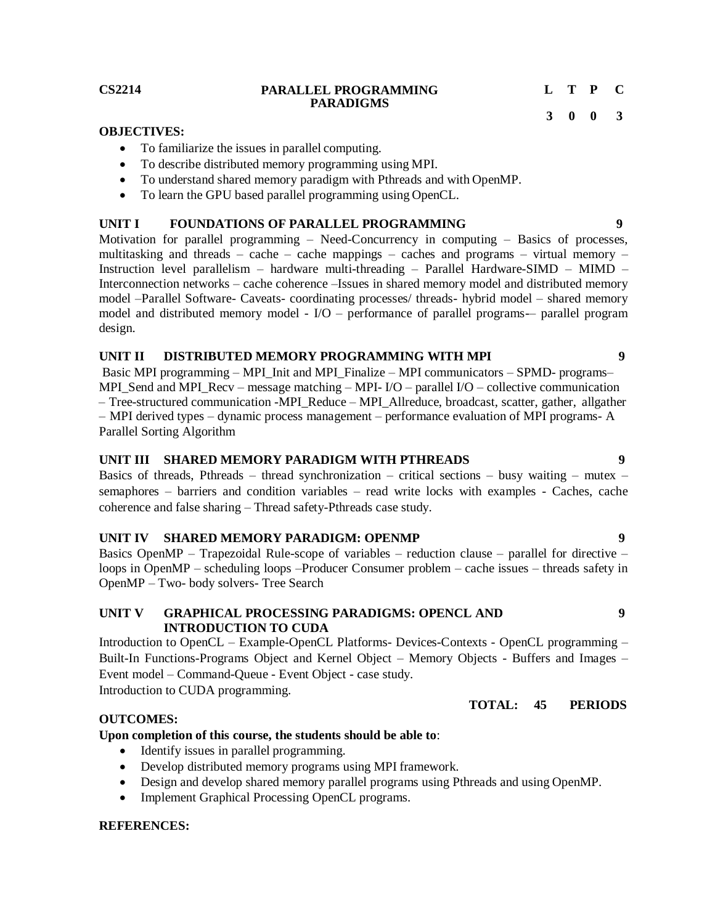#### **CS2214 PARALLEL PROGRAMMING PARADIGMS**

**L T P C 3 0 0 3**

## **OBJECTIVES:**

- To familiarize the issues in parallel computing.
- To describe distributed memory programming using MPI.
- To understand shared memory paradigm with Pthreads and with OpenMP.
- To learn the GPU based parallel programming using OpenCL.

#### **UNIT I FOUNDATIONS OF PARALLEL PROGRAMMING 9**

Motivation for parallel programming – Need-Concurrency in computing – Basics of processes, multitasking and threads – cache – cache mappings – caches and programs – virtual memory – Instruction level parallelism – hardware multi-threading – Parallel Hardware-SIMD – MIMD – Interconnection networks – cache coherence –Issues in shared memory model and distributed memory model –Parallel Software- Caveats- coordinating processes/ threads- hybrid model – shared memory model and distributed memory model - I/O – performance of parallel programs-– parallel program design.

# **UNIT II DISTRIBUTED MEMORY PROGRAMMING WITH MPI 9**

Basic MPI programming – MPI\_Init and MPI\_Finalize – MPI communicators – SPMD- programs– MPI\_Send and MPI\_Recv – message matching – MPI- I/O – parallel I/O – collective communication – Tree-structured communication -MPI\_Reduce – MPI\_Allreduce, broadcast, scatter, gather, allgather – MPI derived types – dynamic process management – performance evaluation of MPI programs- A

Parallel Sorting Algorithm

#### **UNIT III SHARED MEMORY PARADIGM WITH PTHREADS 9**

Basics of threads, Pthreads – thread synchronization – critical sections – busy waiting – mutex – semaphores – barriers and condition variables – read write locks with examples - Caches, cache coherence and false sharing – Thread safety-Pthreads case study.

### **UNIT IV SHARED MEMORY PARADIGM: OPENMP 9**

Basics OpenMP – Trapezoidal Rule-scope of variables – reduction clause – parallel for directive – loops in OpenMP – scheduling loops –Producer Consumer problem – cache issues – threads safety in OpenMP – Two- body solvers- Tree Search

# **UNIT V GRAPHICAL PROCESSING PARADIGMS: OPENCL AND INTRODUCTION TO CUDA**

Introduction to OpenCL – Example-OpenCL Platforms- Devices-Contexts - OpenCL programming – Built-In Functions-Programs Object and Kernel Object – Memory Objects - Buffers and Images – Event model – Command-Queue - Event Object - case study. Introduction to CUDA programming.

### **OUTCOMES:**

# **Upon completion of this course, the students should be able to**:

- Identify issues in parallel programming.
- Develop distributed memory programs using MPI framework.
- Design and develop shared memory parallel programs using Pthreads and using OpenMP.
- Implement Graphical Processing OpenCL programs.

#### **REFERENCES:**

**9**

**TOTAL: 45 PERIODS**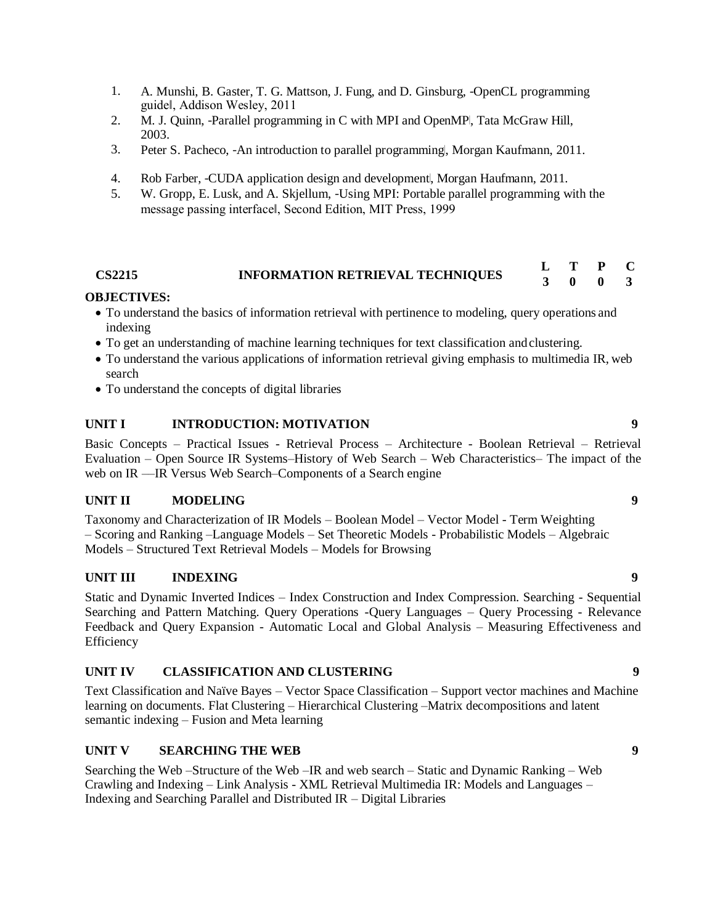- 1. A. Munshi, B. Gaster, T. G. Mattson, J. Fung, and D. Ginsburg, -OpenCL programming guide‖, Addison Wesley, 2011
- 2. M. J. Quinn, -Parallel programming in C with MPI and OpenMP, Tata McGraw Hill, 2003.
- 3. Peter S. Pacheco, -An introduction to parallel programming, Morgan Kaufmann, 2011.
- 4. Rob Farber, -CUDA application design and development, Morgan Haufmann, 2011.
- 5. W. Gropp, E. Lusk, and A. Skjellum, -Using MPI: Portable parallel programming with the message passing interface‖, Second Edition, MIT Press, 1999

#### **CS2215 INFORMATION RETRIEVAL TECHNIQUES <sup>L</sup> <sup>T</sup> <sup>P</sup> <sup>C</sup> 3 0 0 3**

### **OBJECTIVES:**

- To understand the basics of information retrieval with pertinence to modeling, query operations and indexing
- To get an understanding of machine learning techniques for text classification andclustering.
- To understand the various applications of information retrieval giving emphasis to multimedia IR, web search
- To understand the concepts of digital libraries

# **UNIT I INTRODUCTION: MOTIVATION 9**

Basic Concepts – Practical Issues - Retrieval Process – Architecture - Boolean Retrieval – Retrieval Evaluation – Open Source IR Systems–History of Web Search – Web Characteristics– The impact of the web on IR ––IR Versus Web Search–Components of a Search engine

# **UNIT II MODELING 9**

Taxonomy and Characterization of IR Models – Boolean Model – Vector Model - Term Weighting – Scoring and Ranking –Language Models – Set Theoretic Models - Probabilistic Models – Algebraic Models – Structured Text Retrieval Models – Models for Browsing

## **UNIT III INDEXING 9**

Static and Dynamic Inverted Indices – Index Construction and Index Compression. Searching - Sequential Searching and Pattern Matching. Query Operations -Query Languages – Query Processing - Relevance Feedback and Query Expansion - Automatic Local and Global Analysis – Measuring Effectiveness and Efficiency

# **UNIT IV CLASSIFICATION AND CLUSTERING 9**

Text Classification and Naïve Bayes – Vector Space Classification – Support vector machines and Machine learning on documents. Flat Clustering – Hierarchical Clustering –Matrix decompositions and latent semantic indexing – Fusion and Meta learning

# **UNIT V SEARCHING THE WEB 9**

Searching the Web –Structure of the Web –IR and web search – Static and Dynamic Ranking – Web Crawling and Indexing – Link Analysis - XML Retrieval Multimedia IR: Models and Languages – Indexing and Searching Parallel and Distributed IR – Digital Libraries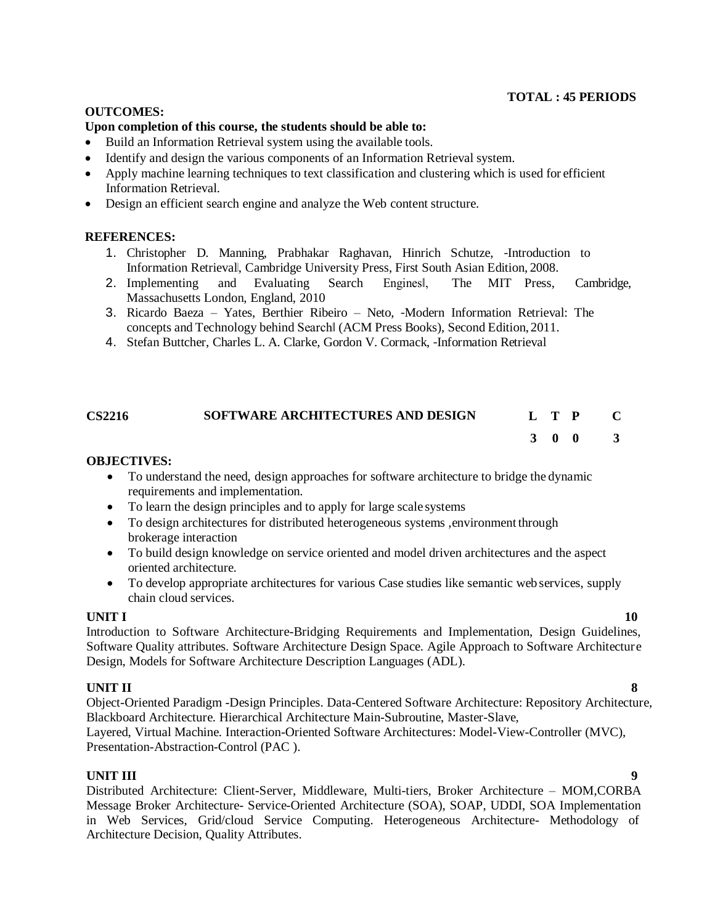## **TOTAL : 45 PERIODS**

#### **OUTCOMES:**

#### **Upon completion of this course, the students should be able to:**

- Build an Information Retrieval system using the available tools.
- Identify and design the various components of an Information Retrieval system.
- Apply machine learning techniques to text classification and clustering which is used for efficient Information Retrieval.
- Design an efficient search engine and analyze the Web content structure.

#### **REFERENCES:**

- 1. Christopher D. Manning, Prabhakar Raghavan, Hinrich Schutze, -Introduction to Information Retrievall, Cambridge University Press, First South Asian Edition, 2008.
- 2. Implementing and Evaluating Search Engines‖, The MIT Press, Cambridge, Massachusetts London, England, 2010
- 3. Ricardo Baeza Yates, Berthier Ribeiro Neto, ―Modern Information Retrieval: The concepts and Technology behind Search‖ (ACM Press Books), Second Edition,2011.
- 4. Stefan Buttcher, Charles L. A. Clarke, Gordon V. Cormack, ―Information Retrieval

# **CS2216 SOFTWARE ARCHITECTURES AND DESIGN L T P C**

**3 0 0 3**

#### **OBJECTIVES:**

- To understand the need, design approaches for software architecture to bridge the dynamic requirements and implementation.
- To learn the design principles and to apply for large scale systems
- To design architectures for distributed heterogeneous systems , environment through brokerage interaction
- To build design knowledge on service oriented and model driven architectures and the aspect oriented architecture.
- To develop appropriate architectures for various Case studies like semantic web services, supply chain cloud services.

#### **UNIT I 10**

Introduction to Software Architecture-Bridging Requirements and Implementation, Design Guidelines, Software Quality attributes. Software Architecture Design Space. Agile Approach to Software Architecture Design, Models for Software Architecture Description Languages (ADL).

### **UNIT II 8**

Object-Oriented Paradigm -Design Principles. Data-Centered Software Architecture: Repository Architecture, Blackboard Architecture. Hierarchical Architecture Main-Subroutine, Master-Slave, Layered, Virtual Machine. Interaction-Oriented Software Architectures: Model-View-Controller (MVC), Presentation-Abstraction-Control (PAC ).

### **UNIT III 9**

Distributed Architecture: Client-Server, Middleware, Multi-tiers, Broker Architecture – MOM,CORBA Message Broker Architecture- Service-Oriented Architecture (SOA), SOAP, UDDI, SOA Implementation in Web Services, Grid/cloud Service Computing. Heterogeneous Architecture- Methodology of Architecture Decision, Quality Attributes.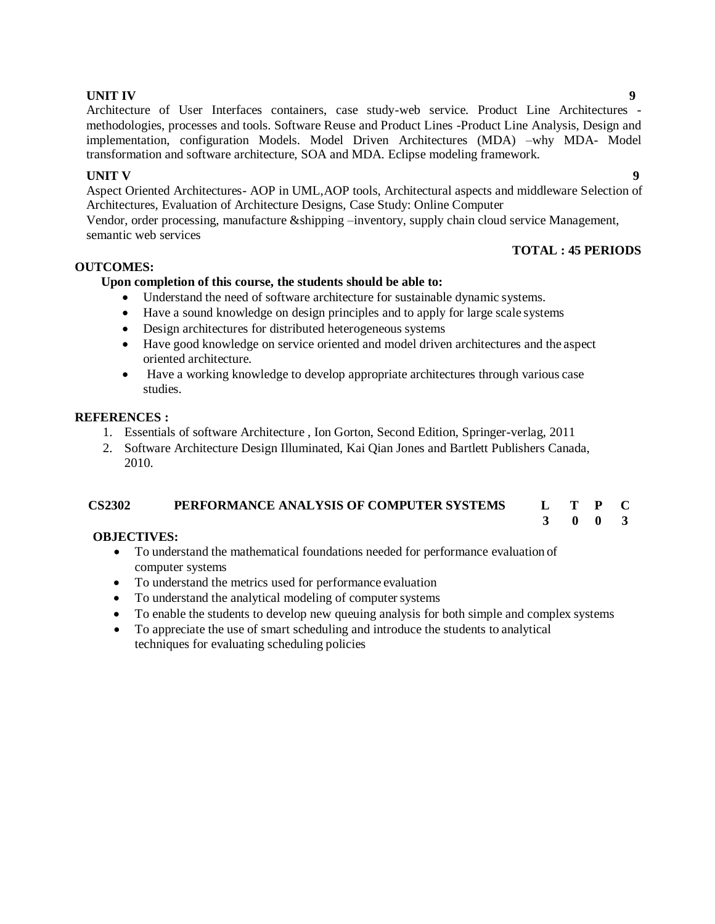# **UNIT IV 9**

Architecture of User Interfaces containers, case study-web service. Product Line Architectures methodologies, processes and tools. Software Reuse and Product Lines -Product Line Analysis, Design and implementation, configuration Models. Model Driven Architectures (MDA) –why MDA- Model transformation and software architecture, SOA and MDA. Eclipse modeling framework.

# **UNIT V 9**

Aspect Oriented Architectures- AOP in UML,AOP tools, Architectural aspects and middleware Selection of Architectures, Evaluation of Architecture Designs, Case Study: Online Computer

Vendor, order processing, manufacture &shipping –inventory, supply chain cloud service Management, semantic web services

# **OUTCOMES:**

# **Upon completion of this course, the students should be able to:**

- Understand the need of software architecture for sustainable dynamic systems.
- Have a sound knowledge on design principles and to apply for large scale systems
- Design architectures for distributed heterogeneous systems
- Have good knowledge on service oriented and model driven architectures and the aspect oriented architecture.
- Have a working knowledge to develop appropriate architectures through various case studies.

## **REFERENCES :**

- 1. Essentials of software Architecture , Ion Gorton, Second Edition, Springer-verlag, 2011
- 2. Software Architecture Design Illuminated, Kai Qian Jones and Bartlett Publishers Canada, 2010.

#### **CS2302 PERFORMANCE ANALYSIS OF COMPUTER SYSTEMS L T P C 3 0 0 3**

### **OBJECTIVES:**

- To understand the mathematical foundations needed for performance evaluation of computer systems
- To understand the metrics used for performance evaluation
- To understand the analytical modeling of computer systems
- To enable the students to develop new queuing analysis for both simple and complex systems
- To appreciate the use of smart scheduling and introduce the students to analytical techniques for evaluating scheduling policies

**TOTAL : 45 PERIODS**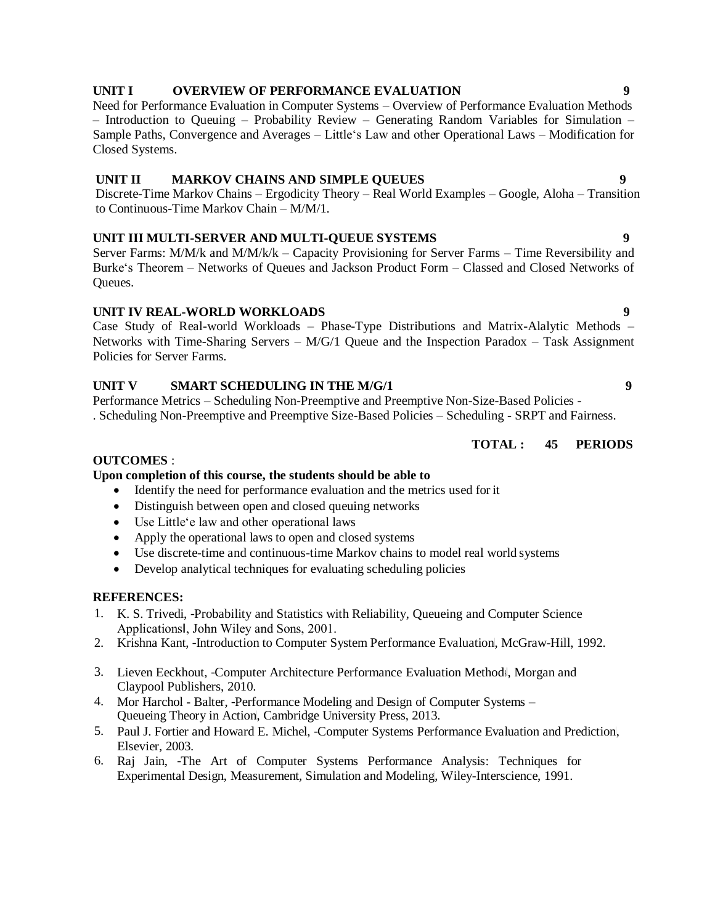# **UNIT I OVERVIEW OF PERFORMANCE EVALUATION 9**

Need for Performance Evaluation in Computer Systems – Overview of Performance Evaluation Methods – Introduction to Queuing – Probability Review – Generating Random Variables for Simulation – Sample Paths, Convergence and Averages – Little's Law and other Operational Laws – Modification for Closed Systems.

# **UNIT II MARKOV CHAINS AND SIMPLE QUEUES 9**

Discrete-Time Markov Chains – Ergodicity Theory – Real World Examples – Google, Aloha – Transition to Continuous-Time Markov Chain – M/M/1.

# **UNIT III MULTI-SERVER AND MULTI-QUEUE SYSTEMS 9**

Server Farms: M/M/k and M/M/k/k – Capacity Provisioning for Server Farms – Time Reversibility and Burke's Theorem – Networks of Queues and Jackson Product Form – Classed and Closed Networks of Queues.

# **UNIT IV REAL-WORLD WORKLOADS 9**

Case Study of Real-world Workloads – Phase-Type Distributions and Matrix-Alalytic Methods – Networks with Time-Sharing Servers –  $M/G/1$  Queue and the Inspection Paradox – Task Assignment Policies for Server Farms.

# **UNIT V SMART SCHEDULING IN THE M/G/1 9**

Performance Metrics – Scheduling Non-Preemptive and Preemptive Non-Size-Based Policies - . Scheduling Non-Preemptive and Preemptive Size-Based Policies – Scheduling - SRPT and Fairness.

# **TOTAL : 45 PERIODS**

# **OUTCOMES** :

# **Upon completion of this course, the students should be able to**

- Identify the need for performance evaluation and the metrics used for it
- Distinguish between open and closed queuing networks
- Use Little'e law and other operational laws
- Apply the operational laws to open and closed systems
- Use discrete-time and continuous-time Markov chains to model real world systems
- Develop analytical techniques for evaluating scheduling policies

- 1. K. S. Trivedi, -Probability and Statistics with Reliability, Queueing and Computer Science Applications‖, John Wiley and Sons, 2001.
- 2. Krishna Kant, -Introduction to Computer System Performance Evaluation, McGraw-Hill, 1992.
- 3. Lieven Eeckhout, -Computer Architecture Performance Evaluation Methods, Morgan and Claypool Publishers, 2010.
- 4. Mor Harchol Balter, -Performance Modeling and Design of Computer Systems Queueing Theory in Action, Cambridge University Press, 2013.
- 5. Paul J. Fortier and Howard E. Michel, -Computer Systems Performance Evaluation and Prediction, Elsevier, 2003.
- 6. Raj Jain, ―The Art of Computer Systems Performance Analysis: Techniques for Experimental Design, Measurement, Simulation and Modeling, Wiley-Interscience, 1991.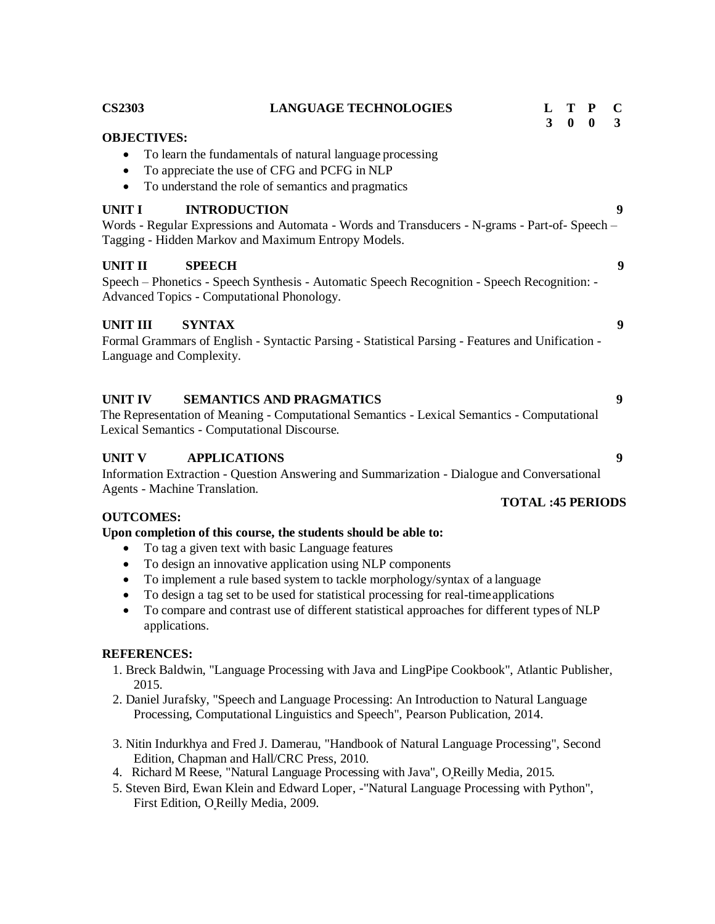| <b>LANGUAGE TECHNOLOGIES</b><br><b>CS2303</b><br>T<br>C<br>L<br>3<br>3<br>$\mathbf{0}$<br>$\mathbf{0}$                                                                                             |   |
|----------------------------------------------------------------------------------------------------------------------------------------------------------------------------------------------------|---|
| <b>OBJECTIVES:</b>                                                                                                                                                                                 |   |
| To learn the fundamentals of natural language processing<br>To appreciate the use of CFG and PCFG in NLP<br>$\bullet$<br>To understand the role of semantics and pragmatics<br>$\bullet$           |   |
| <b>UNIT I</b><br><b>INTRODUCTION</b><br>9<br>Words - Regular Expressions and Automata - Words and Transducers - N-grams - Part-of- Speech -<br>Tagging - Hidden Markov and Maximum Entropy Models. |   |
| <b>UNIT II</b><br><b>SPEECH</b><br>Speech – Phonetics - Speech Synthesis - Automatic Speech Recognition - Speech Recognition: -<br>Advanced Topics - Computational Phonology.                      | 9 |
| <b>UNIT III</b><br><b>SYNTAX</b><br>9                                                                                                                                                              |   |
| Formal Grammars of English - Syntactic Parsing - Statistical Parsing - Features and Unification -<br>Language and Complexity.                                                                      |   |
| <b>SEMANTICS AND PRAGMATICS</b><br>9<br><b>UNIT IV</b>                                                                                                                                             |   |
| The Representation of Meaning - Computational Semantics - Lexical Semantics - Computational<br>Lexical Semantics - Computational Discourse.                                                        |   |
| <b>UNIT V</b><br><b>APPLICATIONS</b><br>9                                                                                                                                                          |   |
| Information Extraction - Question Answering and Summarization - Dialogue and Conversational<br>Agents - Machine Translation.                                                                       |   |
| <b>TOTAL: 45 PERIODS</b>                                                                                                                                                                           |   |
| <b>OUTCOMES:</b>                                                                                                                                                                                   |   |
| Upon completion of this course, the students should be able to:                                                                                                                                    |   |
| To tag a given text with basic Language features                                                                                                                                                   |   |
| To design an innovative application using NLP components<br>٠                                                                                                                                      |   |
| To implement a rule based system to tackle morphology/syntax of a language<br>To design a tag set to be used for statistical processing for real-time applications                                 |   |

 To compare and contrast use of different statistical approaches for different types of NLP applications.

- 1. Breck Baldwin, "Language Processing with Java and LingPipe Cookbook", Atlantic Publisher, 2015.
- 2. Daniel Jurafsky, "Speech and Language Processing: An Introduction to Natural Language Processing, Computational Linguistics and Speech", Pearson Publication, 2014.
- 3. Nitin Indurkhya and Fred J. Damerau, "Handbook of Natural Language Processing", Second Edition, Chapman and Hall/CRC Press, 2010.
- 4. Richard M Reese, "Natural Language Processing with Java", O<sub>-Reilly</sub> Media, 2015.
- 5. Steven Bird, Ewan Klein and Edward Loper, -"Natural Language Processing with Python", First Edition, O Reilly Media, 2009.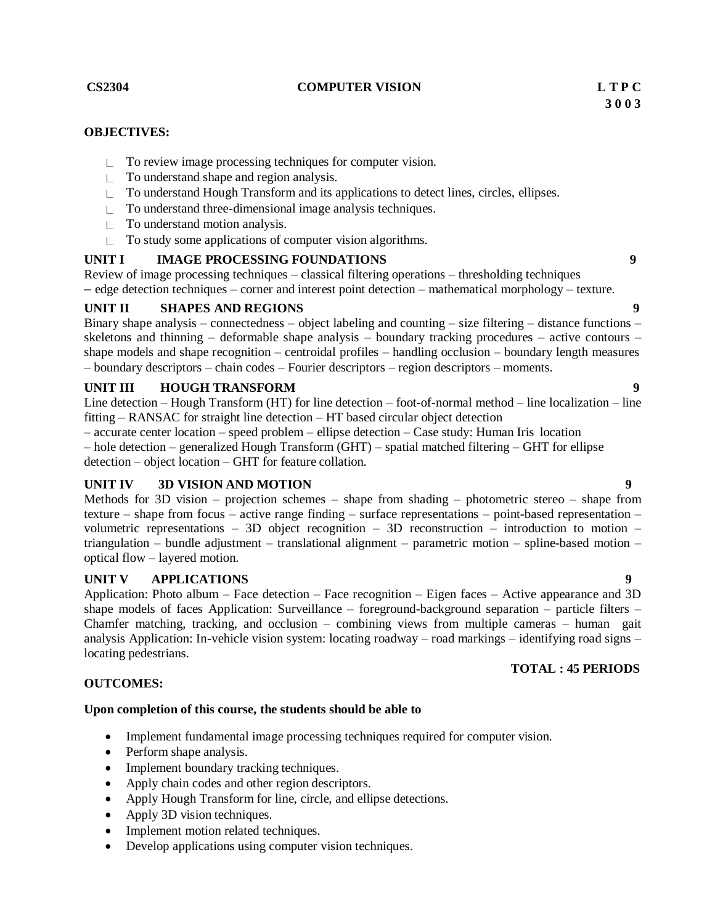### **CS2304 COMPUTER VISION L T P C**

## **OBJECTIVES:**

- $\Box$  To review image processing techniques for computer vision.
- $\Box$  To understand shape and region analysis.
- $\Box$  To understand Hough Transform and its applications to detect lines, circles, ellipses.
- $\Box$  To understand three-dimensional image analysis techniques.
- $\Box$  To understand motion analysis.
- $\Box$  To study some applications of computer vision algorithms.

# **UNIT I IMAGE PROCESSING FOUNDATIONS 9**

Review of image processing techniques – classical filtering operations – thresholding techniques – edge detection techniques – corner and interest point detection – mathematical morphology – texture.

# **UNIT II SHAPES AND REGIONS 9**

Binary shape analysis – connectedness – object labeling and counting – size filtering – distance functions – skeletons and thinning – deformable shape analysis – boundary tracking procedures – active contours – shape models and shape recognition – centroidal profiles – handling occlusion – boundary length measures – boundary descriptors – chain codes – Fourier descriptors – region descriptors – moments.

# **UNIT III HOUGH TRANSFORM 9**

Line detection – Hough Transform (HT) for line detection – foot-of-normal method – line localization – line fitting – RANSAC for straight line detection – HT based circular object detection

– accurate center location – speed problem – ellipse detection – Case study: Human Iris location – hole detection – generalized Hough Transform (GHT) – spatial matched filtering – GHT for ellipse detection – object location – GHT for feature collation.

### **UNIT IV 3D VISION AND MOTION 9**

Methods for 3D vision – projection schemes – shape from shading – photometric stereo – shape from texture – shape from focus – active range finding – surface representations – point-based representation – volumetric representations – 3D object recognition – 3D reconstruction – introduction to motion – triangulation – bundle adjustment – translational alignment – parametric motion – spline-based motion – optical flow – layered motion.

# **UNIT V APPLICATIONS 9**

Application: Photo album – Face detection – Face recognition – Eigen faces – Active appearance and 3D shape models of faces Application: Surveillance – foreground-background separation – particle filters – Chamfer matching, tracking, and occlusion – combining views from multiple cameras – human gait analysis Application: In-vehicle vision system: locating roadway – road markings – identifying road signs – locating pedestrians.

### **OUTCOMES:**

### **Upon completion of this course, the students should be able to**

- Implement fundamental image processing techniques required for computer vision.
- Perform shape analysis.
- Implement boundary tracking techniques.
- Apply chain codes and other region descriptors.
- Apply Hough Transform for line, circle, and ellipse detections.
- Apply 3D vision techniques.
- Implement motion related techniques.
- Develop applications using computer vision techniques.

**TOTAL : 45 PERIODS**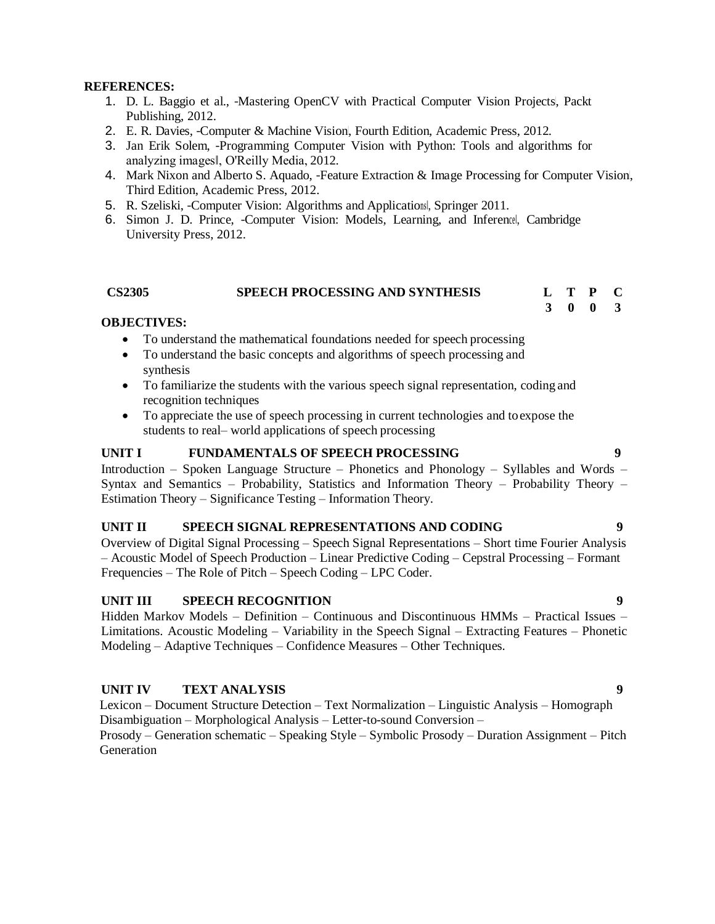# **REFERENCES:**

- 1. D. L. Baggio et al., -Mastering OpenCV with Practical Computer Vision Projects, Packt Publishing, 2012.
- 2. E. R. Davies, -Computer & Machine Vision, Fourth Edition, Academic Press, 2012.
- 3. Jan Erik Solem, ―Programming Computer Vision with Python: Tools and algorithms for analyzing images‖, O'Reilly Media, 2012.
- 4. Mark Nixon and Alberto S. Aquado, -Feature Extraction & Image Processing for Computer Vision, Third Edition, Academic Press, 2012.
- 5. R. Szeliski, -Computer Vision: Algorithms and Applications, Springer 2011.
- 6. Simon J. D. Prince, -Computer Vision: Models, Learning, and Inference, Cambridge University Press, 2012.

# **CS2305 SPEECH PROCESSING AND SYNTHESIS L T P C**

### **OBJECTIVES:**

- To understand the mathematical foundations needed for speech processing
- To understand the basic concepts and algorithms of speech processing and synthesis
- To familiarize the students with the various speech signal representation, coding and recognition techniques
- To appreciate the use of speech processing in current technologies and toexpose the students to real– world applications of speech processing

#### **UNIT I FUNDAMENTALS OF SPEECH PROCESSING 9**

Introduction – Spoken Language Structure – Phonetics and Phonology – Syllables and Words – Syntax and Semantics – Probability, Statistics and Information Theory – Probability Theory – Estimation Theory – Significance Testing – Information Theory.

# **UNIT II SPEECH SIGNAL REPRESENTATIONS AND CODING 9**

Overview of Digital Signal Processing – Speech Signal Representations – Short time Fourier Analysis – Acoustic Model of Speech Production – Linear Predictive Coding – Cepstral Processing – Formant Frequencies – The Role of Pitch – Speech Coding – LPC Coder.

# **UNIT III SPEECH RECOGNITION 9**

Hidden Markov Models – Definition – Continuous and Discontinuous HMMs – Practical Issues – Limitations. Acoustic Modeling – Variability in the Speech Signal – Extracting Features – Phonetic Modeling – Adaptive Techniques – Confidence Measures – Other Techniques.

# **UNIT IV TEXT ANALYSIS 9**

Lexicon – Document Structure Detection – Text Normalization – Linguistic Analysis – Homograph Disambiguation – Morphological Analysis – Letter-to-sound Conversion –

Prosody – Generation schematic – Speaking Style – Symbolic Prosody – Duration Assignment – Pitch Generation

**3 0 0 3**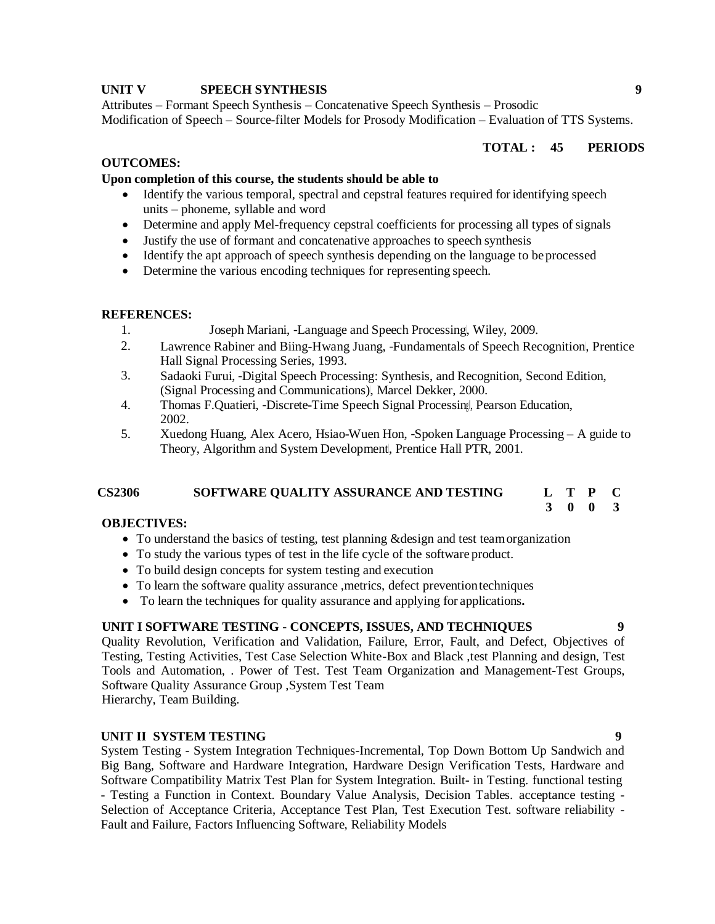# **UNIT V SPEECH SYNTHESIS 9**

Attributes – Formant Speech Synthesis – Concatenative Speech Synthesis – Prosodic Modification of Speech – Source-filter Models for Prosody Modification – Evaluation of TTS Systems.

## **TOTAL : 45 PERIODS**

# **OUTCOMES:**

# **Upon completion of this course, the students should be able to**

- Identify the various temporal, spectral and cepstral features required for identifying speech units – phoneme, syllable and word
- Determine and apply Mel-frequency cepstral coefficients for processing all types of signals
- Justify the use of formant and concatenative approaches to speech synthesis
- Identify the apt approach of speech synthesis depending on the language to be processed
- Determine the various encoding techniques for representing speech.

### **REFERENCES:**

- 1. Joseph Mariani, -Language and Speech Processing, Wiley, 2009.
- 2. Lawrence Rabiner and Biing-Hwang Juang, -Fundamentals of Speech Recognition, Prentice Hall Signal Processing Series, 1993.
- 3. Sadaoki Furui, ―Digital Speech Processing: Synthesis, and Recognition, Second Edition, (Signal Processing and Communications), Marcel Dekker, 2000.
- 4. Thomas F.Quatieri, -Discrete-Time Speech Signal Processing, Pearson Education, 2002.
- 5. Xuedong Huang, Alex Acero, Hsiao-Wuen Hon, ―Spoken Language Processing A guide to Theory, Algorithm and System Development, Prentice Hall PTR, 2001.

#### **CS2306 SOFTWARE QUALITY ASSURANCE AND TESTING L T P C 3 0 0 3**

### **OBJECTIVES:**

- To understand the basics of testing, test planning &design and test teamorganization
- To study the various types of test in the life cycle of the software product.
- To build design concepts for system testing and execution
- To learn the software quality assurance , metrics, defect prevention techniques
- To learn the techniques for quality assurance and applying for applications**.**

# **UNIT I SOFTWARE TESTING - CONCEPTS, ISSUES, AND TECHNIQUES 9**

Quality Revolution, Verification and Validation, Failure, Error, Fault, and Defect, Objectives of Testing, Testing Activities, Test Case Selection White-Box and Black ,test Planning and design, Test Tools and Automation, . Power of Test. Test Team Organization and Management**-**Test Groups, Software Quality Assurance Group ,System Test Team

Hierarchy, Team Building.

### **UNIT II SYSTEM TESTING 9**

System Testing - System Integration Techniques-Incremental, Top Down Bottom Up Sandwich and Big Bang, Software and Hardware Integration, Hardware Design Verification Tests, Hardware and Software Compatibility Matrix Test Plan for System Integration. Built- in Testing. functional testing - Testing a Function in Context. Boundary Value Analysis, Decision Tables. acceptance testing - Selection of Acceptance Criteria, Acceptance Test Plan, Test Execution Test. software reliability - Fault and Failure, Factors Influencing Software, Reliability Models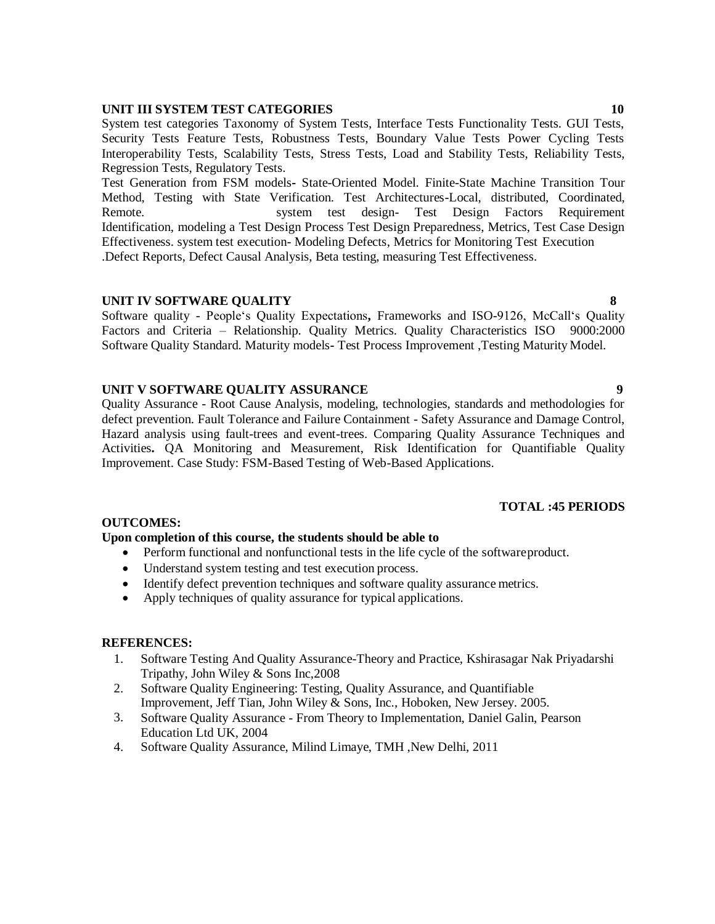#### **UNIT III SYSTEM TEST CATEGORIES 10**

System test categories Taxonomy of System Tests, Interface Tests Functionality Tests. GUI Tests, Security Tests Feature Tests, Robustness Tests, Boundary Value Tests Power Cycling Tests Interoperability Tests, Scalability Tests, Stress Tests, Load and Stability Tests, Reliability Tests, Regression Tests, Regulatory Tests.

Test Generation from FSM models**-** State-Oriented Model. Finite-State Machine Transition Tour Method, Testing with State Verification. Test Architectures-Local, distributed, Coordinated, Remote. system test design- Test Design Factors Requirement Identification, modeling a Test Design Process Test Design Preparedness, Metrics, Test Case Design Effectiveness. system test execution*-* Modeling Defects, Metrics for Monitoring Test Execution .Defect Reports, Defect Causal Analysis, Beta testing, measuring Test Effectiveness.

### **UNIT IV SOFTWARE QUALITY 8**

Software quality *-* People's Quality Expectations**,** Frameworks and ISO-9126, McCall's Quality Factors and Criteria – Relationship. Quality Metrics. Quality Characteristics ISO 9000:2000 Software Quality Standard. Maturity models**-** Test Process Improvement ,Testing Maturity Model.

### **UNIT V SOFTWARE QUALITY ASSURANCE 9**

Quality Assurance - Root Cause Analysis, modeling, technologies, standards and methodologies for defect prevention. Fault Tolerance and Failure Containment - Safety Assurance and Damage Control, Hazard analysis using fault-trees and event-trees. Comparing Quality Assurance Techniques and Activities**.** QA Monitoring and Measurement, Risk Identification for Quantifiable Quality Improvement. Case Study: FSM-Based Testing of Web-Based Applications.

#### **TOTAL :45 PERIODS**

### **OUTCOMES:**

### **Upon completion of this course, the students should be able to**

- Perform functional and nonfunctional tests in the life cycle of the softwareproduct.
- Understand system testing and test execution process.
- Identify defect prevention techniques and software quality assurance metrics.
- Apply techniques of quality assurance for typical applications.

- 1. Software Testing And Quality Assurance-Theory and Practice, Kshirasagar Nak Priyadarshi Tripathy, John Wiley & Sons Inc,2008
- 2. Software Quality Engineering: Testing, Quality Assurance, and Quantifiable Improvement, Jeff Tian, John Wiley & Sons, Inc., Hoboken, New Jersey. 2005.
- 3. Software Quality Assurance From Theory to Implementation, Daniel Galin, Pearson Education Ltd UK, 2004
- 4. Software Quality Assurance, Milind Limaye, TMH ,New Delhi, 2011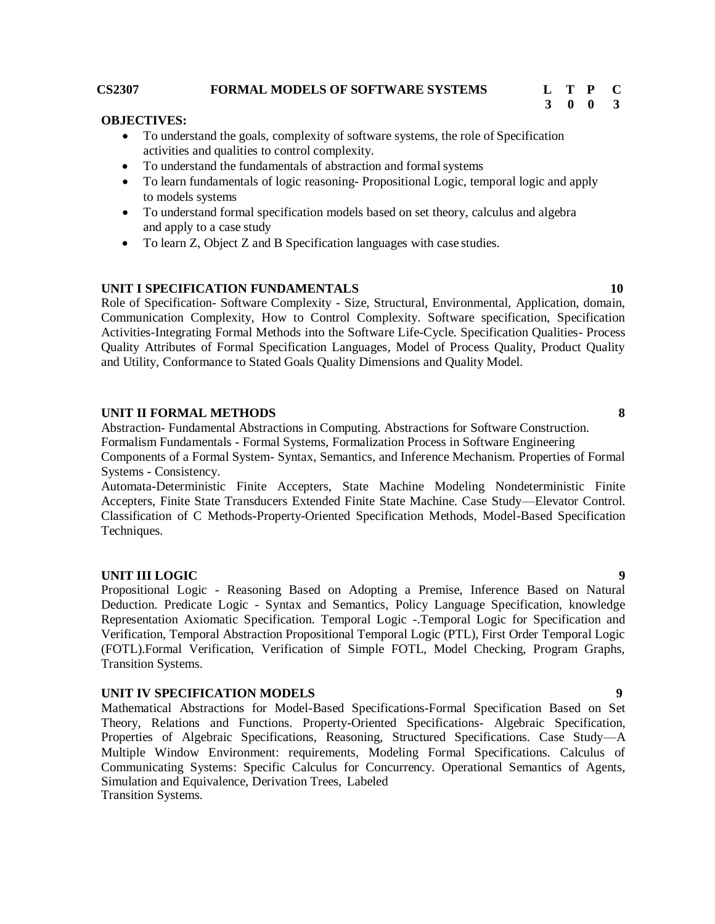#### **CS2307 FORMAL MODELS OF SOFTWARE SYSTEMS L T P C**

# **3 0 0 3**

#### **OBJECTIVES:**

- To understand the goals, complexity of software systems, the role of Specification activities and qualities to control complexity.
- To understand the fundamentals of abstraction and formal systems
- To learn fundamentals of logic reasoning- Propositional Logic, temporal logic and apply to models systems
- To understand formal specification models based on set theory, calculus and algebra and apply to a case study
- To learn Z, Object Z and B Specification languages with case studies.

#### **UNIT I SPECIFICATION FUNDAMENTALS 10**

Role of Specification- Software Complexity - Size, Structural, Environmental, Application, domain, Communication Complexity, How to Control Complexity. Software specification, Specification Activities-Integrating Formal Methods into the Software Life-Cycle. Specification Qualities- Process Quality Attributes of Formal Specification Languages, Model of Process Quality, Product Quality and Utility, Conformance to Stated Goals Quality Dimensions and Quality Model.

#### **UNIT II FORMAL METHODS 8**

Abstraction- Fundamental Abstractions in Computing. Abstractions for Software Construction. Formalism Fundamentals - Formal Systems, Formalization Process in Software Engineering

Components of a Formal System- Syntax, Semantics, and Inference Mechanism. Properties of Formal Systems - Consistency.

Automata-Deterministic Finite Accepters, State Machine Modeling Nondeterministic Finite Accepters, Finite State Transducers Extended Finite State Machine. Case Study—Elevator Control. Classification of C Methods-Property-Oriented Specification Methods, Model-Based Specification Techniques.

#### **UNIT III LOGIC 9**

Propositional Logic - Reasoning Based on Adopting a Premise, Inference Based on Natural Deduction. Predicate Logic - Syntax and Semantics, Policy Language Specification, knowledge Representation Axiomatic Specification. Temporal Logic -.Temporal Logic for Specification and Verification, Temporal Abstraction Propositional Temporal Logic (PTL), First Order Temporal Logic (FOTL).Formal Verification, Verification of Simple FOTL, Model Checking, Program Graphs, Transition Systems.

## **UNIT IV SPECIFICATION MODELS 9**

Mathematical Abstractions for Model-Based Specifications-Formal Specification Based on Set Theory, Relations and Functions. Property-Oriented Specifications- Algebraic Specification, Properties of Algebraic Specifications, Reasoning, Structured Specifications. Case Study—A Multiple Window Environment: requirements, Modeling Formal Specifications. Calculus of Communicating Systems: Specific Calculus for Concurrency. Operational Semantics of Agents, Simulation and Equivalence, Derivation Trees, Labeled Transition Systems.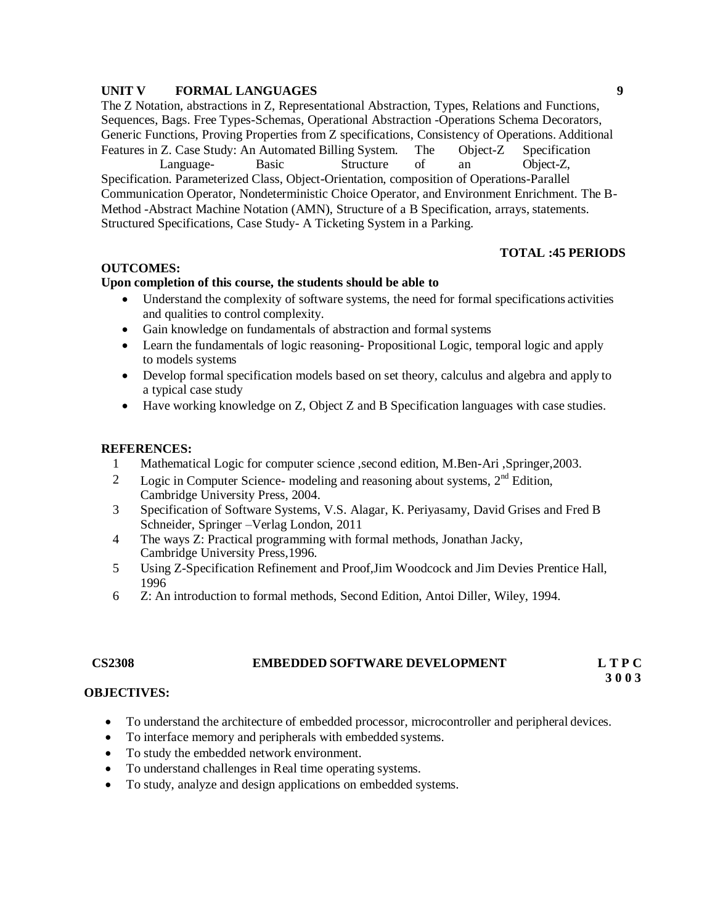### **UNIT V FORMAL LANGUAGES 9**

The Z Notation, abstractions in Z, Representational Abstraction, Types, Relations and Functions, Sequences, Bags. Free Types-Schemas, Operational Abstraction -Operations Schema Decorators, Generic Functions, Proving Properties from Z specifications, Consistency of Operations. Additional Features in Z. Case Study: An Automated Billing System. The Object-Z Specification

Language- Basic Structure of an Object-Z, Specification. Parameterized Class, Object-Orientation, composition of Operations-Parallel Communication Operator, Nondeterministic Choice Operator, and Environment Enrichment. The B-Method -Abstract Machine Notation (AMN), Structure of a B Specification, arrays, statements. Structured Specifications, Case Study- A Ticketing System in a Parking.

#### **TOTAL :45 PERIODS**

#### **OUTCOMES:**

#### **Upon completion of this course, the students should be able to**

- Understand the complexity of software systems, the need for formal specifications activities and qualities to control complexity.
- Gain knowledge on fundamentals of abstraction and formal systems
- Learn the fundamentals of logic reasoning- Propositional Logic, temporal logic and apply to models systems
- Develop formal specification models based on set theory, calculus and algebra and apply to a typical case study
- Have working knowledge on Z, Object Z and B Specification languages with case studies.

#### **REFERENCES:**

- 1 Mathematical Logic for computer science ,second edition, M.Ben-Ari ,Springer,2003.
- 2 Logic in Computer Science- modeling and reasoning about systems,  $2<sup>nd</sup>$  Edition, Cambridge University Press, 2004.
- 3 Specification of Software Systems, V.S. Alagar, K. Periyasamy, David Grises and Fred B Schneider, Springer –Verlag London, 2011
- 4 The ways Z: Practical programming with formal methods, Jonathan Jacky, Cambridge University Press,1996.
- 5 Using Z-Specification Refinement and Proof,Jim Woodcock and Jim Devies Prentice Hall, 1996
- 6 Z: An introduction to formal methods, Second Edition, Antoi Diller, Wiley, 1994.

#### **CS2308 EMBEDDED SOFTWARE DEVELOPMENT L T P C**

**3 0 0 3**

### **OBJECTIVES:**

- To understand the architecture of embedded processor, microcontroller and peripheral devices.
- To interface memory and peripherals with embedded systems.
- To study the embedded network environment.
- To understand challenges in Real time operating systems.
- To study, analyze and design applications on embedded systems.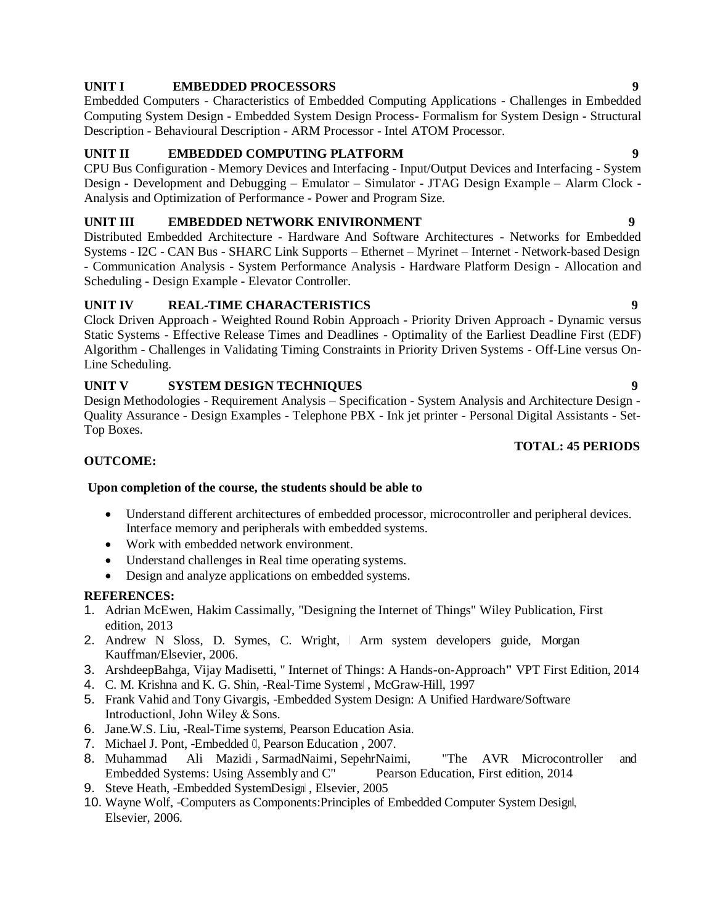# **UNIT I EMBEDDED PROCESSORS 9**

Embedded Computers - Characteristics of Embedded Computing Applications - Challenges in Embedded Computing System Design - Embedded System Design Process- Formalism for System Design - Structural Description - Behavioural Description - ARM Processor - Intel ATOM Processor.

# **UNIT II EMBEDDED COMPUTING PLATFORM 9**

CPU Bus Configuration - Memory Devices and Interfacing - Input/Output Devices and Interfacing - System Design - Development and Debugging – Emulator – Simulator - JTAG Design Example – Alarm Clock - Analysis and Optimization of Performance - Power and Program Size.

# **UNIT III EMBEDDED NETWORK ENIVIRONMENT 9**

Distributed Embedded Architecture - Hardware And Software Architectures - Networks for Embedded Systems - I2C - CAN Bus - SHARC Link Supports – Ethernet – Myrinet – Internet - Network-based Design - Communication Analysis - System Performance Analysis - Hardware Platform Design - Allocation and Scheduling - Design Example - Elevator Controller.

# **UNIT IV REAL-TIME CHARACTERISTICS 9**

Clock Driven Approach - Weighted Round Robin Approach - Priority Driven Approach - Dynamic versus Static Systems - Effective Release Times and Deadlines - Optimality of the Earliest Deadline First (EDF) Algorithm - Challenges in Validating Timing Constraints in Priority Driven Systems - Off-Line versus On-Line Scheduling.

# **UNIT V SYSTEM DESIGN TECHNIQUES 9**

Design Methodologies - Requirement Analysis – Specification - System Analysis and Architecture Design - Quality Assurance - Design Examples - Telephone PBX - Ink jet printer - Personal Digital Assistants - Set-Top Boxes.

### **TOTAL: 45 PERIODS**

## **OUTCOME:**

### **Upon completion of the course, the students should be able to**

- Understand different architectures of embedded processor, microcontroller and peripheral devices. Interface memory and peripherals with embedded systems.
- Work with embedded network environment.
- Understand challenges in Real time operating systems.
- Design and analyze applications on embedded systems.

- 1. [Adrian McEwen, Hakim Cassimally, "](http://as.wiley.com/WileyCDA/Section/id-302477.html?query=Adrian%2BMcEwen)Designing the Internet of Things" Wiley Publication, First edition, 2013
- 2. Andrew N Sloss, D. Symes, C. Wright, | Arm system developers guide, Morgan Kauffman/Elsevier, 2006.
- 3. ArshdeepBahga, Vijay Madisetti, " Internet of Things: A Hands-on-Approach**"** VPT First Edition, 2014
- 4. C. M. Krishna and K. G. Shin, -Real-Time Systems , McGraw-Hill, 1997
- 5. Frank Vahid and Tony Givargis, -Embedded System Design: A Unified Hardware/Software Introduction‖, John Wiley & Sons.
- 6. Jane.W.S. Liu, -Real-Time systems, Pearson Education Asia.
- 7. Michael J. Pont, -Embedded C. Pearson Education, 2007.
- 8. Muhammad [Ali Mazidi ,](http://www.flipkart.com/author/muhammad-ali-mazidi) [SarmadNaimi,](http://www.flipkart.com/author/sarmad-naimi) [SepehrNaimi,](http://www.flipkart.com/author/sarmad-naimi) "The AVR [Microcontroller](http://www.flipkart.com/avr-microcontroller-embedded-systems-using-assembly-c-english-1st/p/itmdx9xymthfney5?pid=9789332518407&srno=b_4&al=VI9czj2bJnIjMNyRjS3zK6ooLct2HXcsmA5ll9vq7PRMvv57zih0TIaLq2lx4bRfFLwHQxVDMNU%3D&ref=fdbb67e0-59cc-4280-aace-b704379767da) an[d](http://www.flipkart.com/avr-microcontroller-embedded-systems-using-assembly-c-english-1st/p/itmdx9xymthfney5?pid=9789332518407&srno=b_4&al=VI9czj2bJnIjMNyRjS3zK6ooLct2HXcsmA5ll9vq7PRMvv57zih0TIaLq2lx4bRfFLwHQxVDMNU%3D&ref=fdbb67e0-59cc-4280-aace-b704379767da) [Embedded Systems: Using Assembly](http://www.flipkart.com/avr-microcontroller-embedded-systems-using-assembly-c-english-1st/p/itmdx9xymthfney5?pid=9789332518407&srno=b_4&al=VI9czj2bJnIjMNyRjS3zK6ooLct2HXcsmA5ll9vq7PRMvv57zih0TIaLq2lx4bRfFLwHQxVDMNU%3D&ref=fdbb67e0-59cc-4280-aace-b704379767da) and C" Pearson Education, First edition, 2014
- 9. Steve Heath, -Embedded SystemDesign, Elsevier, 2005
- 10. Wayne Wolf, -Computers as Components: Principles of Embedded Computer System Design, Elsevier, 2006.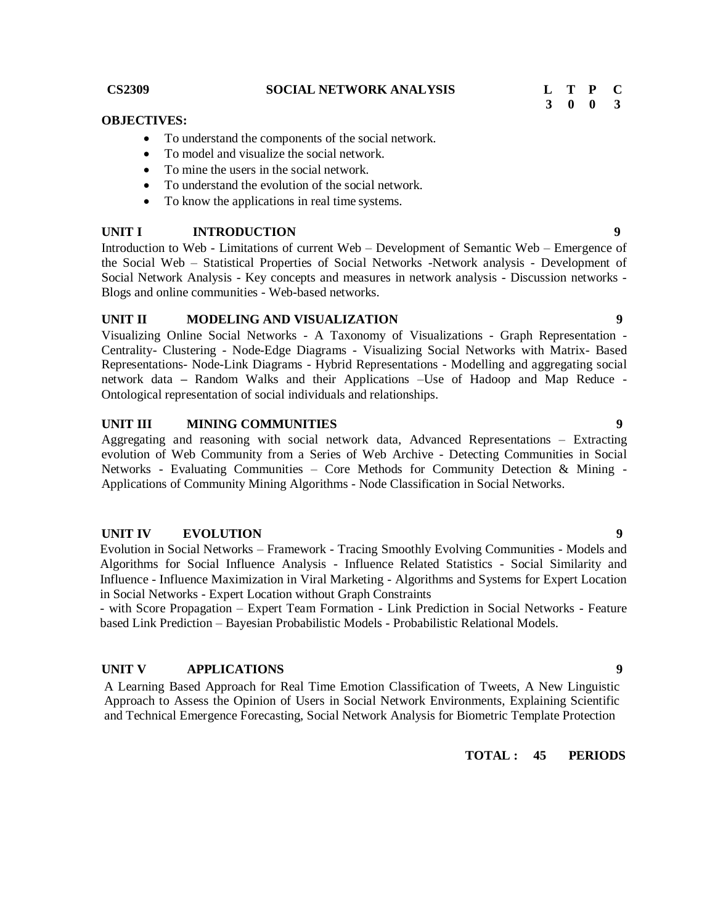#### **OBJECTIVES:**

- To understand the components of the social network.
- To model and visualize the social network.
- To mine the users in the social network.
- To understand the evolution of the social network.
- To know the applications in real time systems.

#### **UNIT I INTRODUCTION 9**

Introduction to Web - Limitations of current Web – Development of Semantic Web – Emergence of the Social Web – Statistical Properties of Social Networks -Network analysis - Development of Social Network Analysis - Key concepts and measures in network analysis - Discussion networks - Blogs and online communities - Web-based networks.

#### **UNIT II MODELING AND VISUALIZATION 9**

Visualizing Online Social Networks - A Taxonomy of Visualizations - Graph Representation - Centrality- Clustering - Node-Edge Diagrams - Visualizing Social Networks with Matrix- Based Representations- Node-Link Diagrams - Hybrid Representations - Modelling and aggregating social network data **–** Random Walks and their Applications –Use of Hadoop and Map Reduce - Ontological representation of social individuals and relationships.

# **UNIT III MINING COMMUNITIES 9**

Aggregating and reasoning with social network data, Advanced Representations – Extracting evolution of Web Community from a Series of Web Archive - Detecting Communities in Social Networks - Evaluating Communities – Core Methods for Community Detection & Mining - Applications of Community Mining Algorithms - Node Classification in Social Networks.

#### **UNIT IV EVOLUTION 9**

Evolution in Social Networks – Framework - Tracing Smoothly Evolving Communities - Models and Algorithms for Social Influence Analysis - Influence Related Statistics - Social Similarity and Influence - Influence Maximization in Viral Marketing - Algorithms and Systems for Expert Location in Social Networks - Expert Location without Graph Constraints

- with Score Propagation – Expert Team Formation - Link Prediction in Social Networks - Feature based Link Prediction – Bayesian Probabilistic Models - Probabilistic Relational Models.

#### **UNIT V APPLICATIONS 9**

A Learning Based Approach for Real Time Emotion Classification of Tweets, A New Linguistic Approach to Assess the Opinion of Users in Social Network Environments, Explaining Scientific and Technical Emergence Forecasting, Social Network Analysis for Biometric Template Protection

**TOTAL : 45 PERIODS**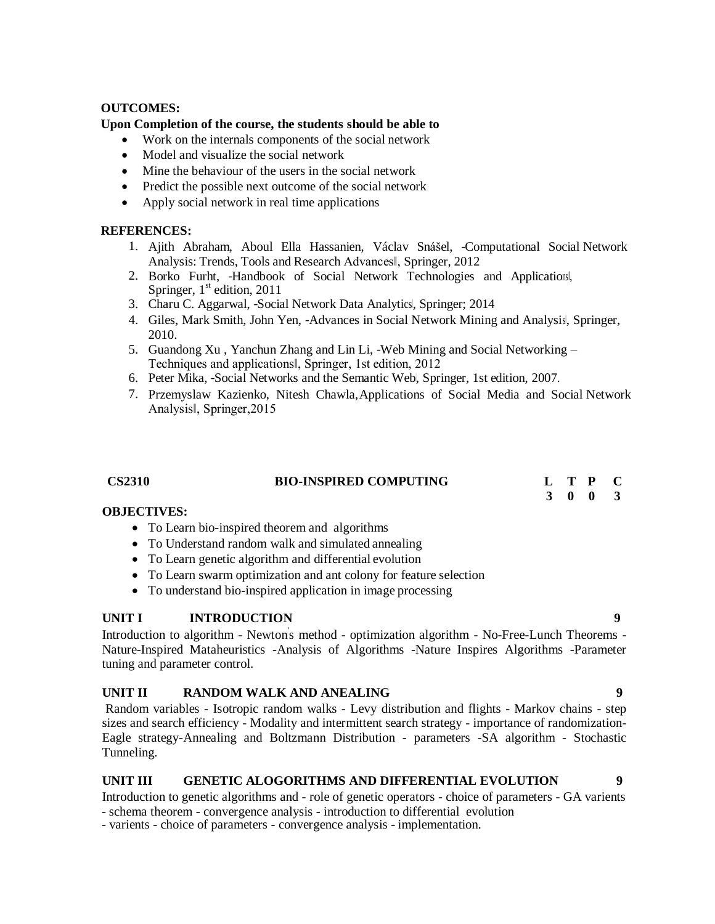#### **OUTCOMES:**

### **Upon Completion of the course, the students should be able to**

- Work on the internals components of the social network
- Model and visualize the social network
- Mine the behaviour of the users in the social network
- Predict the possible next outcome of the social network
- Apply social network in real time applications

#### **REFERENCES:**

- 1. Ajith Abraham, Aboul Ella Hassanien, Václav Snášel, ―Computational Social Network Analysis: Trends, Tools and Research Advances‖, Springer, 2012
- 2. Borko Furht, -Handbook of Social Network Technologies and Applications, Springer,  $1<sup>st</sup>$  edition, 2011
- 3. Charu C. Aggarwal, -Social Network Data Analytics, Springer; 2014
- 4. Giles, Mark Smith, John Yen, -Advances in Social Network Mining and Analysis, Springer, 2010.
- 5. Guandong Xu , Yanchun Zhang and Lin Li, ―Web Mining and Social Networking Techniques and applications‖, Springer, 1st edition, 2012
- 6. Peter Mika, -Social Networks and the Semantic Web, Springer, 1st edition, 2007.
- 7. Przemyslaw Kazienko, Nitesh Chawla, Applications of Social Media and Social Network Analysis‖, Springer,2015

| <b>CS2310</b> | <b>BIO-INSPIRED COMPUTING</b> |       | L T P C                 |
|---------------|-------------------------------|-------|-------------------------|
|               |                               | 3 0 0 | $\overline{\mathbf{3}}$ |

#### **OBJECTIVES:**

- To Learn bio-inspired theorem and algorithms
- To Understand random walk and simulated annealing
- To Learn genetic algorithm and differential evolution
- To Learn swarm optimization and ant colony for feature selection
- To understand bio-inspired application in image processing

## **UNIT I INTRODUCTION 9**

Introduction to algorithm - Newton' s method - optimization algorithm - No-Free-Lunch Theorems - Nature-Inspired Mataheuristics -Analysis of Algorithms -Nature Inspires Algorithms -Parameter tuning and parameter control.

# **UNIT II RANDOM WALK AND ANEALING 9**

Random variables - Isotropic random walks - Levy distribution and flights - Markov chains - step sizes and search efficiency - Modality and intermittent search strategy - importance of randomization-Eagle strategy-Annealing and Boltzmann Distribution - parameters -SA algorithm - Stochastic Tunneling.

### **UNIT III GENETIC ALOGORITHMS AND DIFFERENTIAL EVOLUTION 9**

Introduction to genetic algorithms and - role of genetic operators - choice of parameters - GA varients - schema theorem - convergence analysis - introduction to differential evolution

- varients - choice of parameters - convergence analysis - implementation.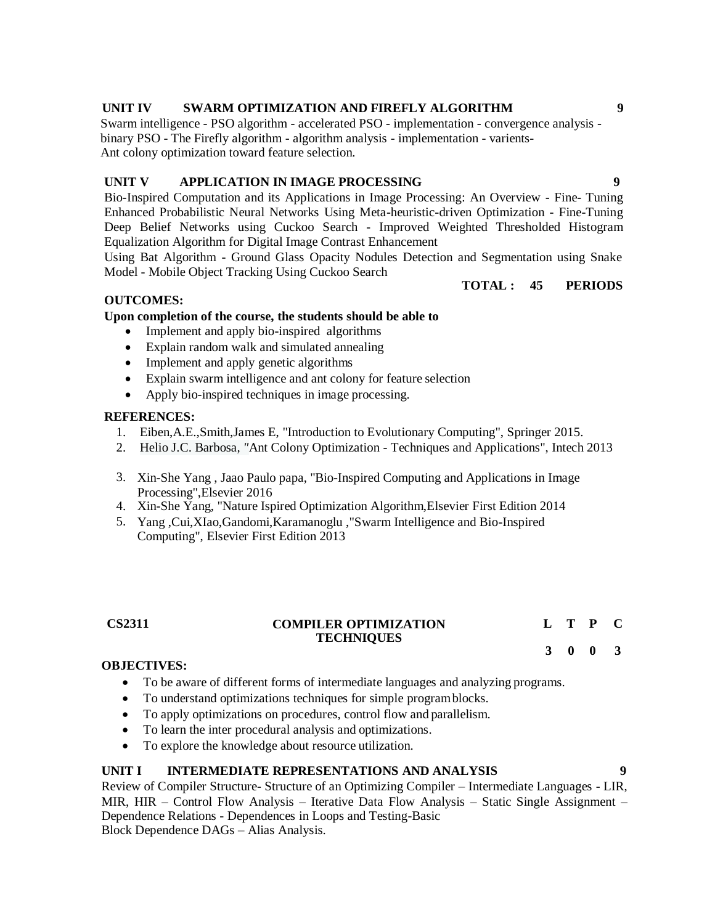# **UNIT IV SWARM OPTIMIZATION AND FIREFLY ALGORITHM 9**

Swarm intelligence - PSO algorithm - accelerated PSO - implementation - convergence analysis binary PSO - The Firefly algorithm - algorithm analysis - implementation - varients-Ant colony optimization toward feature selection.

# **UNIT V APPLICATION IN IMAGE PROCESSING 9**

Bio-Inspired Computation and its Applications in Image Processing: An Overview - Fine- Tuning Enhanced Probabilistic Neural Networks Using Meta-heuristic-driven Optimization - Fine-Tuning Deep Belief Networks using Cuckoo Search - Improved Weighted Thresholded Histogram Equalization Algorithm for Digital Image Contrast Enhancement

Using Bat Algorithm - Ground Glass Opacity Nodules Detection and Segmentation using Snake Model - Mobile Object Tracking Using Cuckoo Search

**TOTAL : 45 PERIODS**

### **OUTCOMES:**

## **Upon completion of the course, the students should be able to**

- Implement and apply bio-inspired algorithms
- Explain random walk and simulated annealing
- Implement and apply genetic algorithms
- Explain swarm intelligence and ant colony for feature selection
- Apply bio-inspired techniques in image processing.

### **REFERENCES:**

- 1. Eiben,A.E.,Smith,James E, "Introduction to Evolutionary Computing", Springer 2015.
- 2. [Helio J.C. Barbosa](http://www.intechopen.com/books/editor/ant-colony-optimization-techniques-and-applications)*, "*Ant Colony Optimization Techniques and Applications", Intech 2013
- 3. Xin-She Yang , Jaao Paulo papa, "Bio-Inspired Computing and Applications in Image Processing",Elsevier 2016
- 4. Xin-She Yang, "Nature Ispired Optimization Algorithm,Elsevier First Edition 2014
- 5. Yang ,Cui,XIao,Gandomi,Karamanoglu ,"Swarm Intelligence and Bio-Inspired Computing", Elsevier First Edition 2013

| <b>CS2311</b> | <b>COMPILER OPTIMIZATION</b> |  | L T P C |  |
|---------------|------------------------------|--|---------|--|
|               | <b>TECHNIQUES</b>            |  |         |  |
|               |                              |  | 3 0 0 3 |  |

#### **OBJECTIVES:**

- To be aware of different forms of intermediate languages and analyzing programs.
- To understand optimizations techniques for simple programblocks.
- To apply optimizations on procedures, control flow and parallelism.
- To learn the inter procedural analysis and optimizations.
- To explore the knowledge about resource utilization.

### **UNIT I INTERMEDIATE REPRESENTATIONS AND ANALYSIS 9**

Review of Compiler Structure- Structure of an Optimizing Compiler – Intermediate Languages - LIR, MIR, HIR – Control Flow Analysis – Iterative Data Flow Analysis – Static Single Assignment – Dependence Relations - Dependences in Loops and Testing-Basic Block Dependence DAGs – Alias Analysis.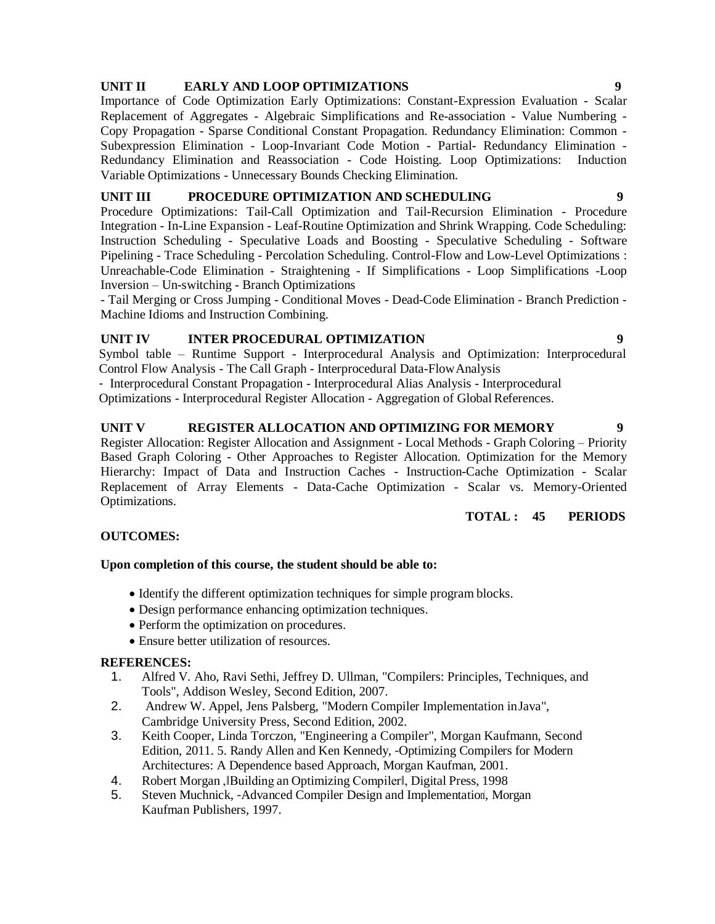# **UNIT II EARLY AND LOOP OPTIMIZATIONS 9**

Importance of Code Optimization Early Optimizations: Constant-Expression Evaluation - Scalar Replacement of Aggregates - Algebraic Simplifications and Re-association - Value Numbering - Copy Propagation - Sparse Conditional Constant Propagation. Redundancy Elimination: Common - Subexpression Elimination - Loop-Invariant Code Motion - Partial- Redundancy Elimination - Redundancy Elimination and Reassociation - Code Hoisting. Loop Optimizations: Induction Variable Optimizations - Unnecessary Bounds Checking Elimination.

# **UNIT III PROCEDURE OPTIMIZATION AND SCHEDULING 9**

Procedure Optimizations: Tail-Call Optimization and Tail-Recursion Elimination - Procedure Integration - In-Line Expansion - Leaf-Routine Optimization and Shrink Wrapping. Code Scheduling: Instruction Scheduling - Speculative Loads and Boosting - Speculative Scheduling - Software Pipelining - Trace Scheduling - Percolation Scheduling. Control-Flow and Low-Level Optimizations : Unreachable-Code Elimination - Straightening - If Simplifications - Loop Simplifications -Loop Inversion – Un-switching - Branch Optimizations

- Tail Merging or Cross Jumping - Conditional Moves - Dead-Code Elimination - Branch Prediction - Machine Idioms and Instruction Combining.

# **UNIT IV INTER PROCEDURAL OPTIMIZATION 9**

Symbol table – Runtime Support - Interprocedural Analysis and Optimization: Interprocedural Control Flow Analysis - The Call Graph - Interprocedural Data-FlowAnalysis

- Interprocedural Constant Propagation - Interprocedural Alias Analysis - Interprocedural Optimizations - Interprocedural Register Allocation - Aggregation of GlobalReferences.

# **UNIT V REGISTER ALLOCATION AND OPTIMIZING FOR MEMORY 9**

Register Allocation: Register Allocation and Assignment - Local Methods - Graph Coloring – Priority Based Graph Coloring - Other Approaches to Register Allocation. Optimization for the Memory Hierarchy: Impact of Data and Instruction Caches - Instruction-Cache Optimization - Scalar Replacement of Array Elements - Data-Cache Optimization - Scalar vs. Memory-Oriented Optimizations.

# **TOTAL : 45 PERIODS**

# **OUTCOMES:**

### **Upon completion of this course, the student should be able to:**

- Identify the different optimization techniques for simple program blocks.
- Design performance enhancing optimization techniques.
- Perform the optimization on procedures.
- Ensure better utilization of resources.

- 1. Alfred V. Aho, Ravi Sethi, Jeffrey D. Ullman, "Compilers: Principles, Techniques, and Tools", Addison Wesley, Second Edition, 2007.
- 2. Andrew W. Appel, Jens Palsberg, "Modern Compiler Implementation inJava", Cambridge University Press, Second Edition, 2002.
- 3. Keith Cooper, Linda Torczon, "Engineering a Compiler", Morgan Kaufmann, Second Edition, 2011. 5. Randy Allen and Ken Kennedy, -Optimizing Compilers for Modern Architectures: A Dependence based Approach, Morgan Kaufman, 2001.
- 4. Robert [Morgan](http://www.amazon.in/s/ref%3Ddp_byline_sr_book_1?ie=UTF8&field-author=Bob%2BMorgan&search-alias=stripbooks), Building an Optimizing Compiler , Digital Press, 1998
- 5. Steven Muchnick, -Advanced Compiler Design and Implementation, Morgan Kaufman Publishers, 1997.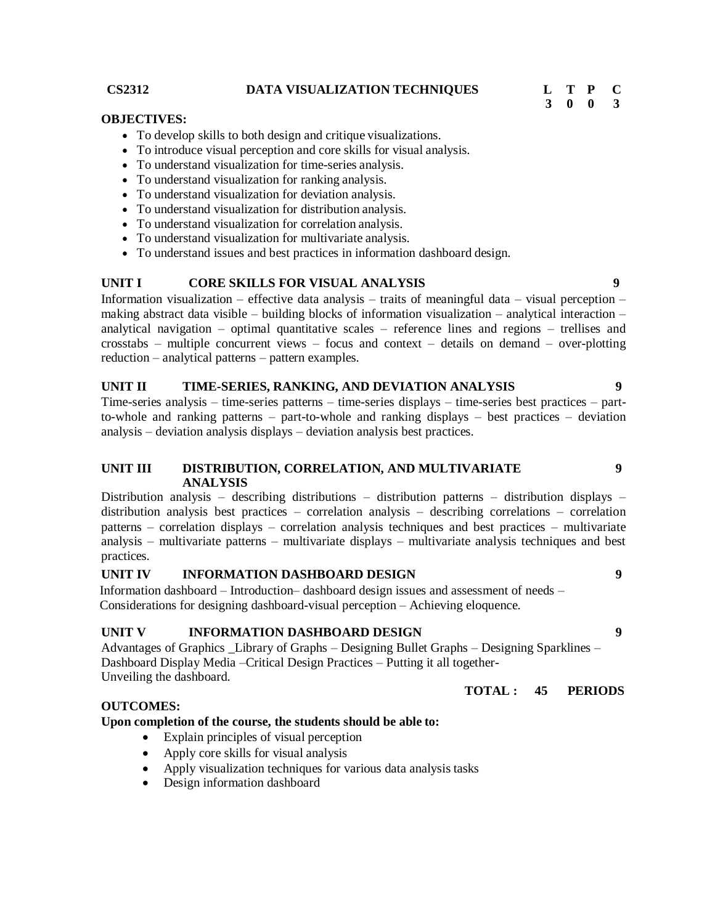#### **CS2312 DATA VISUALIZATION TECHNIQUES L T P C**

#### **OBJECTIVES:**

- To develop skills to both design and critique visualizations.
- To introduce visual perception and core skills for visual analysis.
- To understand visualization for time-series analysis.
- To understand visualization for ranking analysis.
- To understand visualization for deviation analysis.
- To understand visualization for distribution analysis.
- To understand visualization for correlation analysis.
- To understand visualization for multivariate analysis.
- To understand issues and best practices in information dashboard design.

# **UNIT I CORE SKILLS FOR VISUAL ANALYSIS 9**

Information visualization – effective data analysis – traits of meaningful data – visual perception – making abstract data visible – building blocks of information visualization – analytical interaction – analytical navigation – optimal quantitative scales – reference lines and regions – trellises and crosstabs – multiple concurrent views – focus and context – details on demand – over-plotting reduction – analytical patterns – pattern examples.

#### **UNIT II TIME-SERIES, RANKING, AND DEVIATION ANALYSIS 9**

Time-series analysis – time-series patterns – time-series displays – time-series best practices – partto-whole and ranking patterns – part-to-whole and ranking displays – best practices – deviation analysis – deviation analysis displays – deviation analysis best practices.

#### **UNIT III DISTRIBUTION, CORRELATION, AND MULTIVARIATE ANALYSIS**

Distribution analysis – describing distributions – distribution patterns – distribution displays – distribution analysis best practices – correlation analysis – describing correlations – correlation patterns – correlation displays – correlation analysis techniques and best practices – multivariate analysis – multivariate patterns – multivariate displays – multivariate analysis techniques and best practices.

# **UNIT IV INFORMATION DASHBOARD DESIGN 9**

Information dashboard – Introduction– dashboard design issues and assessment of needs – Considerations for designing dashboard-visual perception – Achieving eloquence.

### **UNIT V INFORMATION DASHBOARD DESIGN 9**

Advantages of Graphics \_Library of Graphs – Designing Bullet Graphs – Designing Sparklines – Dashboard Display Media –Critical Design Practices – Putting it all together-Unveiling the dashboard.

#### **OUTCOMES:**

#### **Upon completion of the course, the students should be able to:**

- Explain principles of visual perception
- Apply core skills for visual analysis
- Apply visualization techniques for various data analysis tasks
- Design information dashboard

# **TOTAL : 45 PERIODS**

# **9**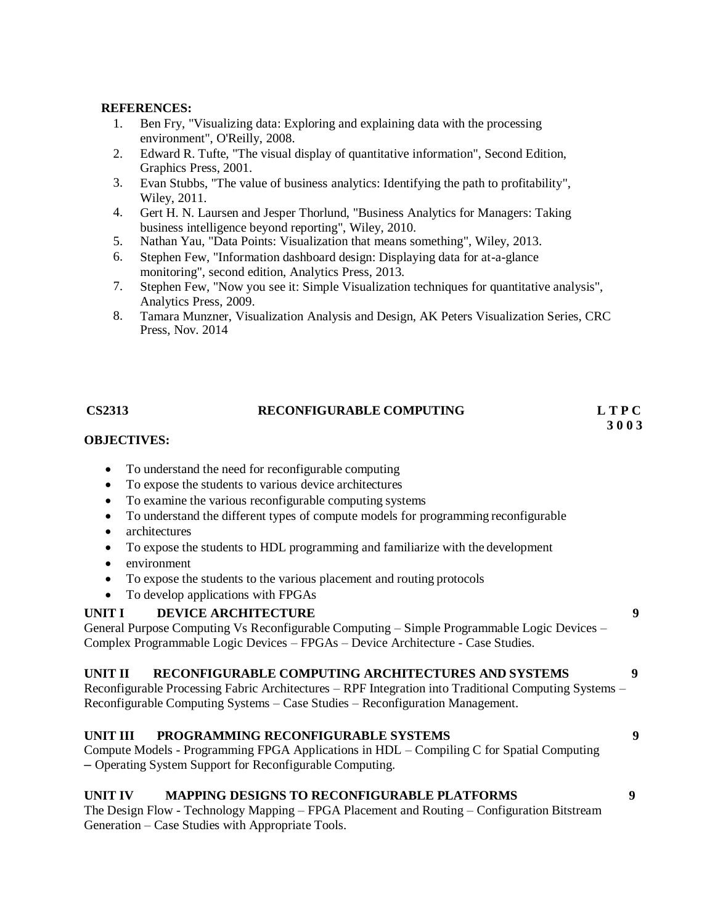- 1. Ben Fry, "Visualizing data: Exploring and explaining data with the processing environment", O'Reilly, 2008.
- 2. Edward R. Tufte, "The visual display of quantitative information", Second Edition, Graphics Press, 2001.
- 3. Evan Stubbs, "The value of business analytics: Identifying the path to profitability", Wiley, 2011.
- 4. Gert H. N. Laursen and Jesper Thorlund, "Business Analytics for Managers: Taking business intelligence beyond reporting", Wiley, 2010.
- 5. Nathan Yau, "Data Points: Visualization that means something", Wiley, 2013.
- 6. Stephen Few, "Information dashboard design: Displaying data for at-a-glance monitoring", second edition, Analytics Press, 2013.
- 7. Stephen Few, "Now you see it: Simple Visualization techniques for quantitative analysis", Analytics Press, 2009.
- 8. Tamara Munzner, Visualization Analysis and Design, AK Peters Visualization Series, CRC Press, Nov. 2014

| <b>CS2313</b>                                                                                                                        | RECONFIGURABLE COMPUTING                                                                                                                                                                                                                                                                                                                                                                                                  | L T P C<br>3003 |
|--------------------------------------------------------------------------------------------------------------------------------------|---------------------------------------------------------------------------------------------------------------------------------------------------------------------------------------------------------------------------------------------------------------------------------------------------------------------------------------------------------------------------------------------------------------------------|-----------------|
| <b>OBJECTIVES:</b>                                                                                                                   |                                                                                                                                                                                                                                                                                                                                                                                                                           |                 |
| $\bullet$<br>$\bullet$<br>$\bullet$<br>$\bullet$<br>architectures<br>$\bullet$<br>$\bullet$<br>environment<br>$\bullet$<br>$\bullet$ | To understand the need for reconfigurable computing<br>To expose the students to various device architectures<br>To examine the various reconfigurable computing systems<br>To understand the different types of compute models for programming reconfigurable<br>To expose the students to HDL programming and familiarize with the development<br>To expose the students to the various placement and routing protocols |                 |
| $\bullet$                                                                                                                            | To develop applications with FPGAs                                                                                                                                                                                                                                                                                                                                                                                        |                 |
| UNIT I                                                                                                                               | <b>DEVICE ARCHITECTURE</b><br>General Purpose Computing Vs Reconfigurable Computing – Simple Programmable Logic Devices –<br>Complex Programmable Logic Devices – FPGAs – Device Architecture - Case Studies.                                                                                                                                                                                                             | 9               |
| <b>UNIT II</b>                                                                                                                       | RECONFIGURABLE COMPUTING ARCHITECTURES AND SYSTEMS<br>Reconfigurable Processing Fabric Architectures – RPF Integration into Traditional Computing Systems –<br>Reconfigurable Computing Systems - Case Studies - Reconfiguration Management.                                                                                                                                                                              | 9               |
| UNIT III                                                                                                                             | PROGRAMMING RECONFIGURABLE SYSTEMS<br>Compute Models - Programming FPGA Applications in HDL - Compiling C for Spatial Computing<br>- Operating System Support for Reconfigurable Computing.                                                                                                                                                                                                                               | 9               |
| <b>UNIT IV</b>                                                                                                                       | <b>MAPPING DESIGNS TO RECONFIGURABLE PLATFORMS</b><br>The Design Flow - Technology Mapping – FPGA Placement and Routing – Configuration Bitstream<br>Generation – Case Studies with Appropriate Tools.                                                                                                                                                                                                                    | 9               |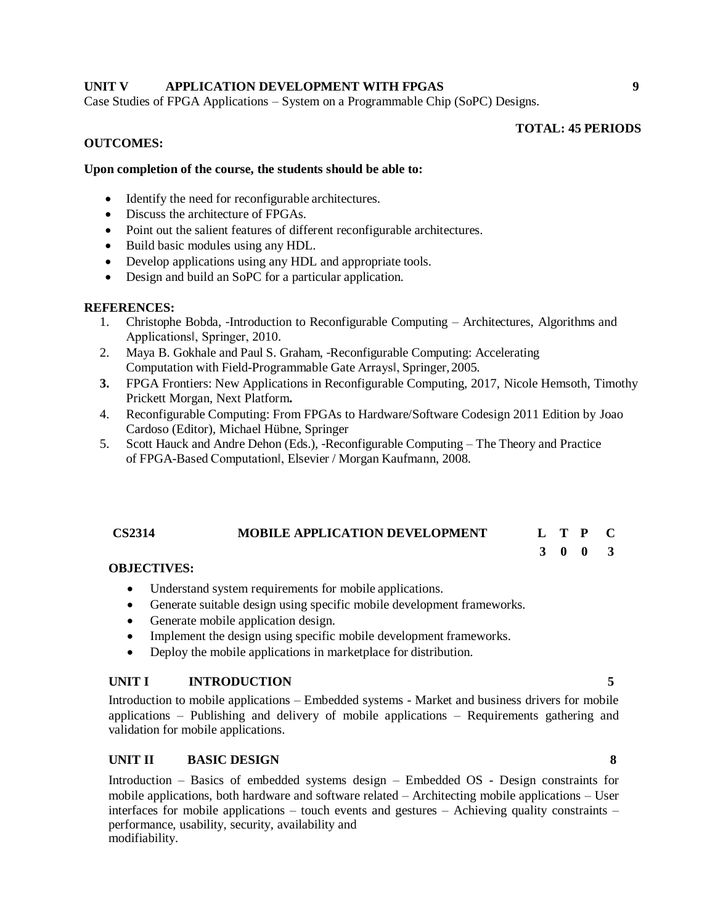# **UNIT V APPLICATION DEVELOPMENT WITH FPGAS 9**

Case Studies of FPGA Applications – System on a Programmable Chip (SoPC) Designs.

#### **TOTAL: 45 PERIODS**

#### **OUTCOMES:**

#### **Upon completion of the course, the students should be able to:**

- Identify the need for reconfigurable architectures.
- Discuss the architecture of FPGAs.
- Point out the salient features of different reconfigurable architectures.
- Build basic modules using any HDL.
- Develop applications using any HDL and appropriate tools.
- Design and build an SoPC for a particular application.

### **REFERENCES:**

- 1. Christophe Bobda, -Introduction to Reconfigurable Computing Architectures, Algorithms and Applications‖, Springer, 2010.
- 2. Maya B. Gokhale and Paul S. Graham, -Reconfigurable Computing: Accelerating Computation with Field-Programmable Gate Arrays‖, Springer,2005.
- **3.** FPGA Frontiers: New Applications in Reconfigurable Computing, 2017, [Nicole Hemsoth, Timothy](https://www.amazon.com/s/ref%3Ddp_byline_sr_book_1?ie=UTF8&text=Nicole%2BHemsoth&search-alias=books&field-author=Nicole%2BHemsoth&sort=relevancerank) [Prickett Morgan](https://www.amazon.com/s/ref%3Ddp_byline_sr_book_2?ie=UTF8&text=Timothy%2BPrickett%2BMorgan&search-alias=books&field-author=Timothy%2BPrickett%2BMorgan&sort=relevancerank), Next Platform**.**
- 4. Reconfigurable Computing: From FPGAs to Hardware/Software Codesign 2011 Edition by [Joao](https://www.amazon.com/s/ref%3Ddp_byline_sr_book_1?ie=UTF8&text=Joao%2BCardoso&search-alias=books&field-author=Joao%2BCardoso&sort=relevancerank) [Cardoso \(](https://www.amazon.com/s/ref%3Ddp_byline_sr_book_1?ie=UTF8&text=Joao%2BCardoso&search-alias=books&field-author=Joao%2BCardoso&sort=relevancerank)Editor), [Michael Hübne,](https://www.amazon.com/s/ref%3Ddp_byline_sr_book_2?ie=UTF8&text=Michael%2BHÃ¼bner&search-alias=books&field-author=Michael%2BHÃ¼bner&sort=relevancerank) Springer
- 5. Scott Hauck and Andre Dehon (Eds.), ―Reconfigurable Computing The Theory and Practice of FPGA-Based Computation‖, Elsevier / Morgan Kaufmann, 2008.

### **CS2314 MOBILE APPLICATION DEVELOPMENT L T P C**

### **OBJECTIVES:**

- Understand system requirements for mobile applications.
- Generate suitable design using specific mobile development frameworks.
- Generate mobile application design.
- Implement the design using specific mobile development frameworks.
- Deploy the mobile applications in marketplace for distribution.

### **UNIT I INTRODUCTION 5**

Introduction to mobile applications – Embedded systems - Market and business drivers for mobile applications – Publishing and delivery of mobile applications – Requirements gathering and validation for mobile applications.

### **UNIT II BASIC DESIGN 8**

Introduction – Basics of embedded systems design – Embedded OS - Design constraints for mobile applications, both hardware and software related – Architecting mobile applications – User interfaces for mobile applications – touch events and gestures – Achieving quality constraints – performance, usability, security, availability and modifiability.

**3 0 0 3**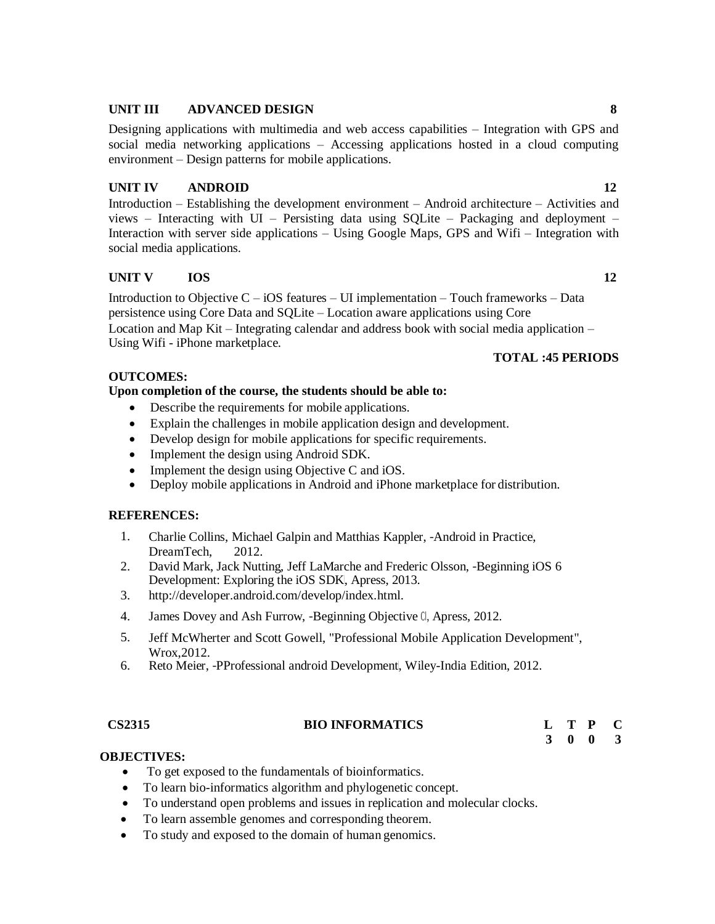# **UNIT III ADVANCED DESIGN 8**

Designing applications with multimedia and web access capabilities – Integration with GPS and social media networking applications – Accessing applications hosted in a cloud computing environment – Design patterns for mobile applications.

# **UNIT IV ANDROID 12**

Introduction – Establishing the development environment – Android architecture – Activities and views – Interacting with UI – Persisting data using SQLite – Packaging and deployment – Interaction with server side applications – Using Google Maps, GPS and Wifi – Integration with social media applications.

# **UNIT V IOS 12**

Introduction to Objective  $C - iOS$  features – UI implementation – Touch frameworks – Data persistence using Core Data and SQLite – Location aware applications using Core Location and Map Kit – Integrating calendar and address book with social media application – Using Wifi - iPhone marketplace.

#### **TOTAL :45 PERIODS**

### **OUTCOMES:**

### **Upon completion of the course, the students should be able to:**

- Describe the requirements for mobile applications.
- Explain the challenges in mobile application design and development.
- Develop design for mobile applications for specific requirements.
- Implement the design using Android SDK.
- Implement the design using Objective C and iOS.
- Deploy mobile applications in Android and iPhone marketplace for distribution.

### **REFERENCES:**

- 1. Charlie Collins, Michael Galpin and Matthias Kappler, -Android in Practice, DreamTech, 2012.
- 2. David Mark, Jack Nutting, Jeff LaMarche and Frederic Olsson, -Beginning iOS 6 Development: Exploring the iOS SDK, Apress, 2013.
- 3. [http://developer.android.com/develop/index.html.](http://developer.android.com/develop/index.html)
- 4. James Dovey and Ash Furrow, -Beginning Objective C, Apress, 2012.
- 5. Jeff McWherter and Scott Gowell, "Professional Mobile Application Development", Wrox,2012.
- 6. Reto Meier, -PProfessional android Development, Wiley-India Edition, 2012.

# **CS2315 BIO INFORMATICS L T P C**

# **3 0 0 3**

# **OBJECTIVES:**

- To get exposed to the fundamentals of bioinformatics.
- To learn bio-informatics algorithm and phylogenetic concept.
- To understand open problems and issues in replication and molecular clocks.
- To learn assemble genomes and corresponding theorem.
- To study and exposed to the domain of human genomics.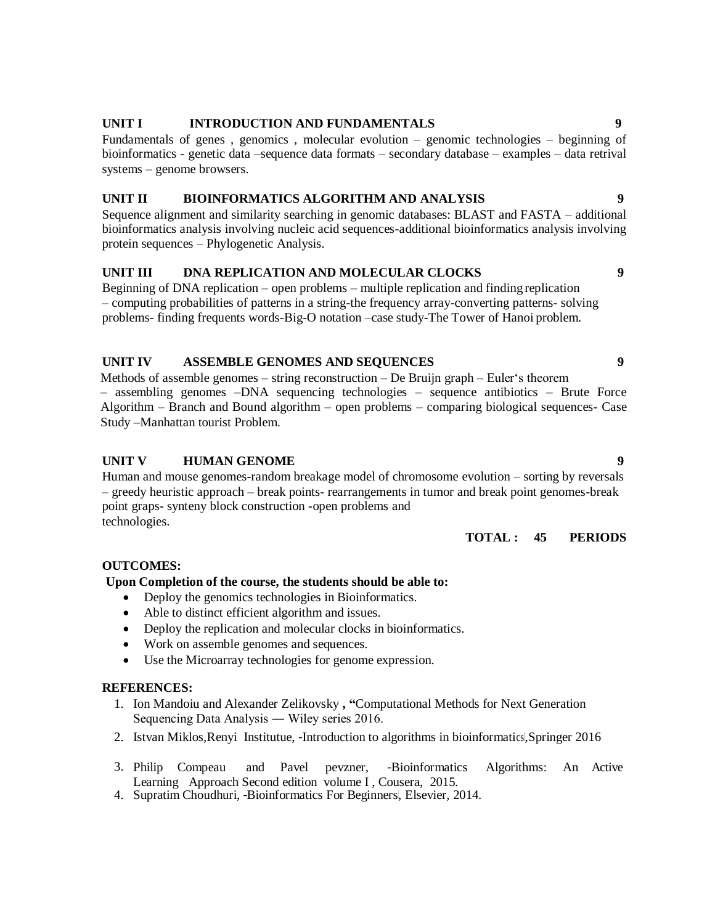### **UNIT I INTRODUCTION AND FUNDAMENTALS 9**

Fundamentals of genes , genomics , molecular evolution – genomic technologies – beginning of bioinformatics - genetic data –sequence data formats – secondary database – examples – data retrival systems – genome browsers.

# **UNIT II BIOINFORMATICS ALGORITHM AND ANALYSIS 9**

Sequence alignment and similarity searching in genomic databases: BLAST and FASTA – additional bioinformatics analysis involving nucleic acid sequences-additional bioinformatics analysis involving protein sequences – Phylogenetic Analysis.

# **UNIT III DNA REPLICATION AND MOLECULAR CLOCKS 9**

Beginning of DNA replication – open problems – multiple replication and finding replication – computing probabilities of patterns in a string-the frequency array-converting patterns- solving problems- finding frequents words-Big-O notation –case study-The Tower of Hanoi problem.

# **UNIT IV ASSEMBLE GENOMES AND SEQUENCES 9**

Methods of assemble genomes – string reconstruction – De Bruijn graph – Euler's theorem – assembling genomes –DNA sequencing technologies – sequence antibiotics – Brute Force Algorithm – Branch and Bound algorithm – open problems – comparing biological sequences- Case Study –Manhattan tourist Problem.

# **UNIT V HUMAN GENOME 9**

Human and mouse genomes-random breakage model of chromosome evolution – sorting by reversals – greedy heuristic approach – break points- rearrangements in tumor and break point genomes-break point graps- synteny block construction -open problems and technologies.

**TOTAL : 45 PERIODS**

### **OUTCOMES:**

### **Upon Completion of the course, the students should be able to:**

- Deploy the genomics technologies in Bioinformatics.
- Able to distinct efficient algorithm and issues.
- Deploy the replication and molecular clocks in bioinformatics.
- Work on assemble genomes and sequences.
- Use the Microarray technologies for genome expression.

- 1. [Ion Mandoiu a](http://www.amazon.in/s/ref%3Ddp_byline_sr_book_1?ie=UTF8&field-author=Ion%2BMandoiu&search-alias=stripbooks)nd [Alexander Zelikovsky](http://www.amazon.in/s/ref%3Ddp_byline_sr_book_2?ie=UTF8&field-author=Alexander%2BZelikovsky&search-alias=stripbooks) **, "**Computational Methods for Next Generation Sequencing Data Analysis ― Wiley series 2016.
- 2. Istvan Miklos, Renyi Institutue, -Introduction to algorithms in bioinformatics, Springer 2016
- 3. Philip Compeau and Pavel pevzner, ―Bioinformatics Algorithms: An Active Learning Approach Second edition volume I, Cousera, 2015.
- 4. Supratim Choudhuri, -Bioinformatics For Beginners, Elsevier, 2014.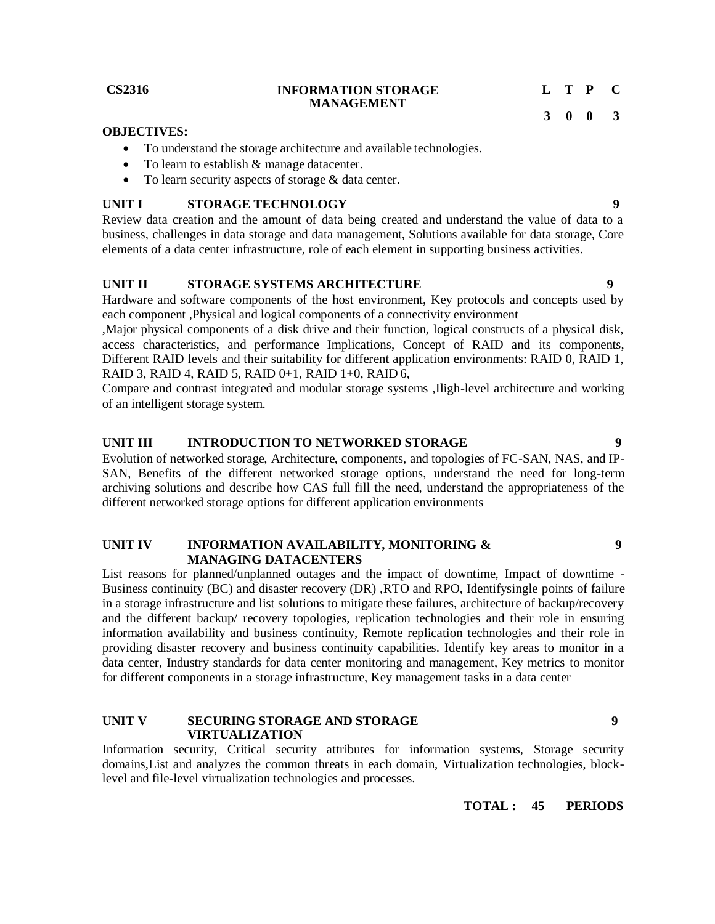#### **CS2316 INFORMATION STORAGE MANAGEMENT**

#### **OBJECTIVES:**

- To understand the storage architecture and available technologies.
- To learn to establish & manage datacenter.
- To learn security aspects of storage & data center.

#### **UNIT I STORAGE TECHNOLOGY 9**

Review data creation and the amount of data being created and understand the value of data to a business, challenges in data storage and data management, Solutions available for data storage, Core elements of a data center infrastructure, role of each element in supporting business activities.

#### **UNIT II STORAGE SYSTEMS ARCHITECTURE 9**

Hardware and software components of the host environment, Key protocols and concepts used by each component ,Physical and logical components of a connectivity environment

,Major physical components of a disk drive and their function, logical constructs of a physical disk, access characteristics, and performance Implications, Concept of RAID and its components, Different RAID levels and their suitability for different application environments: RAID 0, RAID 1, RAID 3, RAID 4, RAID 5, RAID 0+1, RAID 1+0, RAID 6,

Compare and contrast integrated and modular storage systems ,Iligh-level architecture and working of an intelligent storage system.

# **UNIT III INTRODUCTION TO NETWORKED STORAGE 9**

Evolution of networked storage, Architecture, components, and topologies of FC-SAN, NAS, and IP-SAN, Benefits of the different networked storage options, understand the need for long-term archiving solutions and describe how CAS full fill the need, understand the appropriateness of the different networked storage options for different application environments

#### **UNIT IV INFORMATION AVAILABILITY, MONITORING & MANAGING DATACENTERS**

List reasons for planned/unplanned outages and the impact of downtime, Impact of downtime - Business continuity (BC) and disaster recovery (DR) ,RTO and RPO, Identifysingle points of failure in a storage infrastructure and list solutions to mitigate these failures, architecture of backup/recovery and the different backup/ recovery topologies, replication technologies and their role in ensuring information availability and business continuity, Remote replication technologies and their role in providing disaster recovery and business continuity capabilities. Identify key areas to monitor in a data center, Industry standards for data center monitoring and management, Key metrics to monitor for different components in a storage infrastructure, Key management tasks in a data center

#### **UNIT V SECURING STORAGE AND STORAGE VIRTUALIZATION**

Information security, Critical security attributes for information systems, Storage security domains,List and analyzes the common threats in each domain, Virtualization technologies, blocklevel and file-level virtualization technologies and processes.

**TOTAL : 45 PERIODS**

**9**

**9**